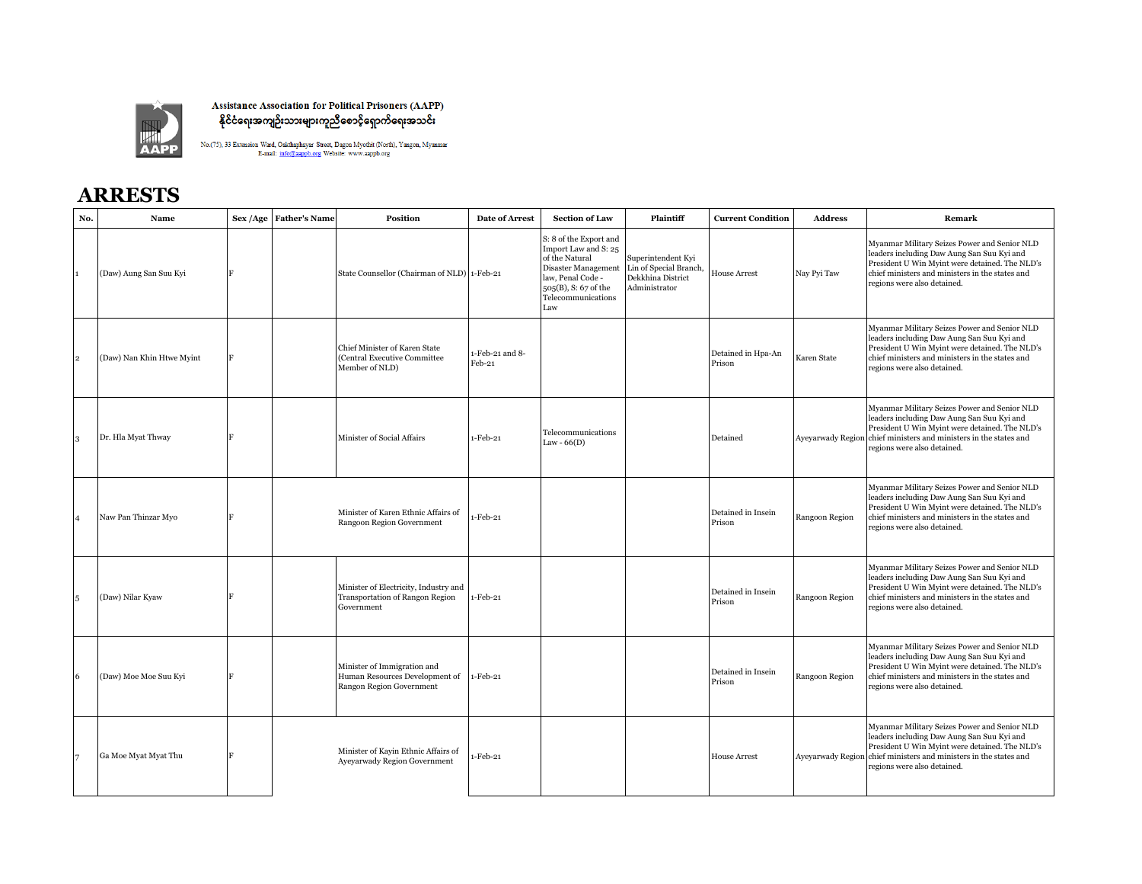

Assistance Association for Political Prisoners (AAPP)<br>နိုင်ငံရေးအကျဉ်းသားများကူညီစောင့်ရှောက်ရေးအသင်း

 $\rm No.(75),$ 33<br> Extension Ward, Oakthaphayar Street, Dagon Myo<br/>thit (North), Yangon, Myanmar E-mail:  $\overline{\mbox{mfo}\,\mbox{g\&apph.org}}$  Website: www.aapp<br/>b.org

## **ARRESTS**

| No. | Name                      | Sex / Age Father's Name | <b>Position</b>                                                                           | <b>Date of Arrest</b>     | <b>Section of Law</b>                                                                                                                                             | Plaintiff                                                                          | <b>Current Condition</b>     | <b>Address</b>    | Remark                                                                                                                                                                                                                         |
|-----|---------------------------|-------------------------|-------------------------------------------------------------------------------------------|---------------------------|-------------------------------------------------------------------------------------------------------------------------------------------------------------------|------------------------------------------------------------------------------------|------------------------------|-------------------|--------------------------------------------------------------------------------------------------------------------------------------------------------------------------------------------------------------------------------|
|     | (Daw) Aung San Suu Kyi    |                         | State Counsellor (Chairman of NLD) 1-Feb-21                                               |                           | S: 8 of the Export and<br>Import Law and S: 25<br>of the Natural<br>Disaster Management<br>law, Penal Code -<br>505(B), S: 67 of the<br>Telecommunications<br>Law | Superintendent Kyi<br>Lin of Special Branch,<br>Dekkhina District<br>Administrator | <b>House Arrest</b>          | Nay Pyi Taw       | Myanmar Military Seizes Power and Senior NLD<br>leaders including Daw Aung San Suu Kyi and<br>President U Win Myint were detained. The NLD's<br>chief ministers and ministers in the states and<br>regions were also detained. |
|     | (Daw) Nan Khin Htwe Myint |                         | Chief Minister of Karen State<br>(Central Executive Committee<br>Member of NLD)           | 1-Feb-21 and 8-<br>Feb-21 |                                                                                                                                                                   |                                                                                    | Detained in Hpa-An<br>Prison | Karen State       | Myanmar Military Seizes Power and Senior NLD<br>leaders including Daw Aung San Suu Kyi and<br>President U Win Myint were detained. The NLD's<br>chief ministers and ministers in the states and<br>regions were also detained. |
|     | Dr. Hla Myat Thway        |                         | Minister of Social Affairs                                                                | 1-Feb-21                  | Telecommunications<br>Law - $66(D)$                                                                                                                               |                                                                                    | Detained                     | Ayeyarwady Region | Myanmar Military Seizes Power and Senior NLD<br>leaders including Daw Aung San Suu Kyi and<br>President U Win Myint were detained. The NLD's<br>chief ministers and ministers in the states and<br>regions were also detained. |
|     | Naw Pan Thinzar Myo       |                         | Minister of Karen Ethnic Affairs of<br>Rangoon Region Government                          | -Feb-21                   |                                                                                                                                                                   |                                                                                    | Detained in Insein<br>Prison | Rangoon Region    | Myanmar Military Seizes Power and Senior NLD<br>leaders including Daw Aung San Suu Kyi and<br>President U Win Myint were detained. The NLD's<br>chief ministers and ministers in the states and<br>regions were also detained. |
|     | (Daw) Nilar Kyaw          |                         | Minister of Electricity, Industry and<br>Transportation of Rangon Region<br>Government    | 1-Feb-21                  |                                                                                                                                                                   |                                                                                    | Detained in Insein<br>Prison | Rangoon Region    | Myanmar Military Seizes Power and Senior NLD<br>leaders including Daw Aung San Suu Kyi and<br>President U Win Myint were detained. The NLD's<br>chief ministers and ministers in the states and<br>regions were also detained. |
|     | (Daw) Moe Moe Suu Kyi     |                         | Minister of Immigration and<br>Human Resources Development of<br>Rangon Region Government | 1-Feb-21                  |                                                                                                                                                                   |                                                                                    | Detained in Insein<br>Prison | Rangoon Region    | Myanmar Military Seizes Power and Senior NLD<br>leaders including Daw Aung San Suu Kyi and<br>President U Win Myint were detained. The NLD's<br>chief ministers and ministers in the states and<br>regions were also detained. |
|     | Ga Moe Myat Myat Thu      |                         | Minister of Kayin Ethnic Affairs of<br>Ayeyarwady Region Government                       | $-Feb-21$                 |                                                                                                                                                                   |                                                                                    | <b>House Arrest</b>          | Ayeyarwady Regior | Myanmar Military Seizes Power and Senior NLD<br>leaders including Daw Aung San Suu Kyi and<br>President U Win Myint were detained. The NLD's<br>chief ministers and ministers in the states and<br>regions were also detained. |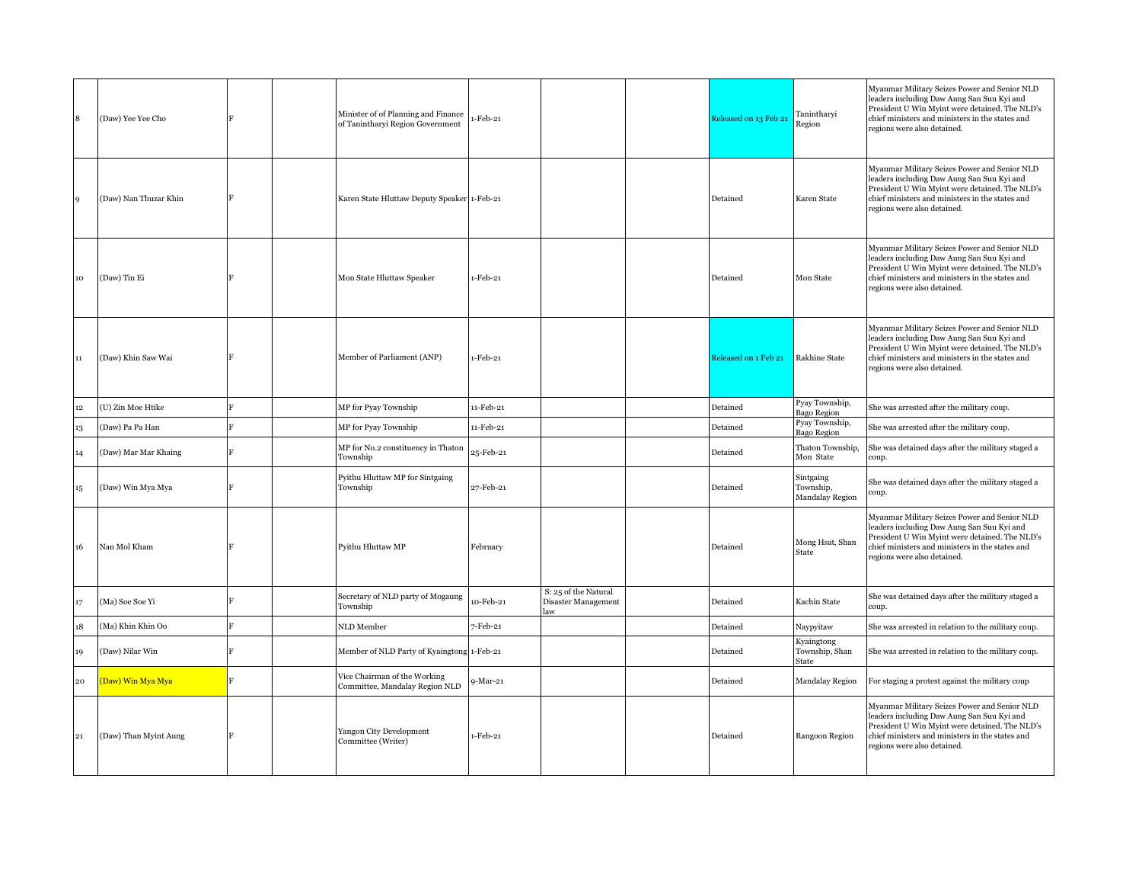| 8  | (Daw) Yee Yee Cho     |             | Minister of of Planning and Finance<br>of Tanintharyi Region Government | $-Feb-21$ |                                                    | Released on 13 Feb 21 | Tanintharyi<br>Region                     | Myanmar Military Seizes Power and Senior NLD<br>leaders including Daw Aung San Suu Kyi and<br>President U Win Myint were detained. The NLD's<br>chief ministers and ministers in the states and<br>regions were also detained. |
|----|-----------------------|-------------|-------------------------------------------------------------------------|-----------|----------------------------------------------------|-----------------------|-------------------------------------------|--------------------------------------------------------------------------------------------------------------------------------------------------------------------------------------------------------------------------------|
| 9  | (Daw) Nan Thuzar Khin |             | Karen State Hluttaw Deputy Speaker 1-Feb-21                             |           |                                                    | Detained              | Karen State                               | Myanmar Military Seizes Power and Senior NLD<br>leaders including Daw Aung San Suu Kyi and<br>President U Win Myint were detained. The NLD's<br>chief ministers and ministers in the states and<br>regions were also detained. |
| 10 | (Daw) Tin Ei          |             | Mon State Hluttaw Speaker                                               | 1-Feb-21  |                                                    | Detained              | Mon State                                 | Myanmar Military Seizes Power and Senior NLD<br>leaders including Daw Aung San Suu Kyi and<br>President U Win Myint were detained. The NLD's<br>chief ministers and ministers in the states and<br>regions were also detained. |
| 11 | (Daw) Khin Saw Wai    |             | Member of Parliament (ANP)                                              | -Feb-21   |                                                    | Released on 1 Feb 21  | <b>Rakhine State</b>                      | Myanmar Military Seizes Power and Senior NLD<br>leaders including Daw Aung San Suu Kyi and<br>President U Win Myint were detained. The NLD's<br>chief ministers and ministers in the states and<br>regions were also detained. |
| 12 | (U) Zin Moe Htike     |             | MP for Pyay Township                                                    | 11-Feb-21 |                                                    | Detained              | Pyay Township,<br>Bago Region             | She was arrested after the military coup.                                                                                                                                                                                      |
| 13 | (Daw) Pa Pa Han       |             | MP for Pyay Township                                                    | 11-Feb-21 |                                                    | Detained              | Pyay Township,<br>Bago Region             | She was arrested after the military coup.                                                                                                                                                                                      |
| 14 | (Daw) Mar Mar Khaing  |             | MP for No.2 constituency in Thaton<br>Township                          | 25-Feb-21 |                                                    | Detained              | Thaton Township,<br>Mon State             | She was detained days after the military staged a<br>coup.                                                                                                                                                                     |
| 15 | (Daw) Win Mya Mya     |             | Pyithu Hluttaw MP for Sintgaing<br>Township                             | 27-Feb-21 |                                                    | Detained              | Sintgaing<br>Township,<br>Mandalay Region | She was detained days after the military staged a<br>coup.                                                                                                                                                                     |
| 16 | Nan Mol Kham          |             | Pyithu Hluttaw MP                                                       | February  |                                                    | Detained              | Mong Hsat, Shan<br>State                  | Myanmar Military Seizes Power and Senior NLD<br>leaders including Daw Aung San Suu Kyi and<br>President U Win Myint were detained. The NLD's<br>chief ministers and ministers in the states and<br>regions were also detained. |
| 17 | (Ma) Soe Soe Yi       |             | Secretary of NLD party of Mogaung<br>Township                           | 10-Feb-21 | S: 25 of the Natural<br>Disaster Management<br>law | Detained              | Kachin State                              | She was detained days after the military staged a<br>coup.                                                                                                                                                                     |
| 18 | (Ma) Khin Khin Oo     |             | NLD Member                                                              | 7-Feb-21  |                                                    | Detained              | Naypyitaw                                 | She was arrested in relation to the military coup.                                                                                                                                                                             |
| 19 | (Daw) Nilar Win       |             | Member of NLD Party of Kyaingtong 1-Feb-21                              |           |                                                    | Detained              | Kyaingtong<br>Township, Shan<br>State     | She was arrested in relation to the military coup.                                                                                                                                                                             |
| 20 | (Daw) Win Mya Mya     | $\mathbf F$ | Vice Chairman of the Working<br>Committee, Mandalay Region NLD          | 9-Mar-21  |                                                    | Detained              | <b>Mandalay Region</b>                    | For staging a protest against the military coup                                                                                                                                                                                |
| 21 | (Daw) Than Myint Aung |             | Yangon City Development<br>Committee (Writer)                           | -Feb-21   |                                                    | Detained              | Rangoon Region                            | Myanmar Military Seizes Power and Senior NLD<br>leaders including Daw Aung San Suu Kyi and<br>President U Win Myint were detained. The NLD's<br>chief ministers and ministers in the states and<br>regions were also detained. |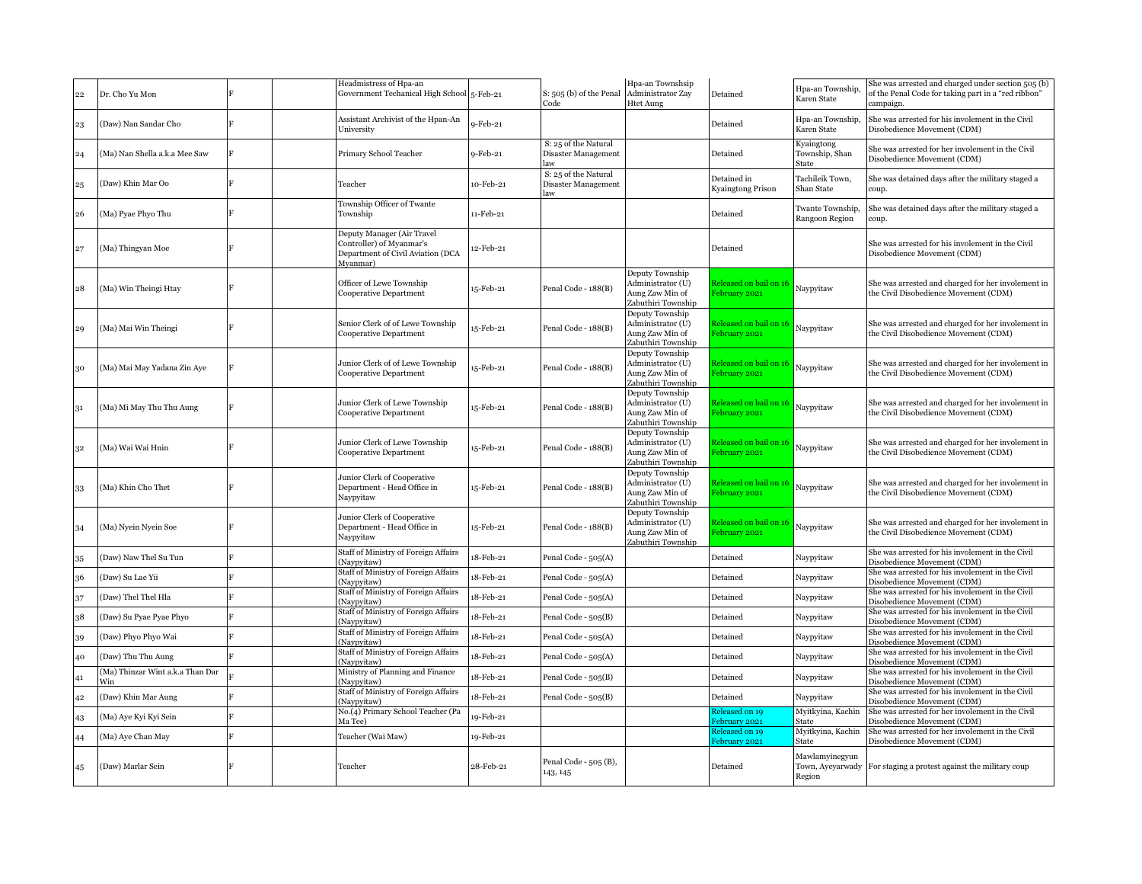| 22 | Dr. Cho Yu Mon                          |  | Headmistress of Hpa-an<br>Government Techanical High School 5-Feb-21                                    |           | $S: 505$ (b) of the Penal<br>Code                  | Hpa-an Townshsip<br>Administrator Zay<br>Htet Aung                            | Detained                                | Hpa-an Township,<br>Karen State           | She was arrested and charged under section 505 (b)<br>of the Penal Code for taking part in a "red ribbon"<br>ampaign. |
|----|-----------------------------------------|--|---------------------------------------------------------------------------------------------------------|-----------|----------------------------------------------------|-------------------------------------------------------------------------------|-----------------------------------------|-------------------------------------------|-----------------------------------------------------------------------------------------------------------------------|
| 23 | (Daw) Nan Sandar Cho                    |  | Assistant Archivist of the Hpan-An<br>University                                                        | )-Feb-21  |                                                    |                                                                               | Detained                                | Hpa-an Township,<br>Karen State           | She was arrested for his involement in the Civil<br>Disobedience Movement (CDM)                                       |
|    | (Ma) Nan Shella a.k.a Mee Saw           |  | Primary School Teacher                                                                                  | 9-Feb-21  | S: 25 of the Natural<br>Disaster Management<br>law |                                                                               | Detained                                | Kyaingtong<br>Township, Shan<br>State     | She was arrested for her involement in the Civil<br>Disobedience Movement (CDM)                                       |
| 25 | (Daw) Khin Mar Oo                       |  | Teacher                                                                                                 | 10-Feb-21 | S: 25 of the Natural<br>Disaster Management<br>law |                                                                               | Detained in<br><b>Kyaingtong Prison</b> | Tachileik Town,<br>Shan State             | She was detained days after the military staged a<br>coup.                                                            |
| 26 | (Ma) Pyae Phyo Thu                      |  | Township Officer of Twante<br>Township                                                                  | 11-Feb-21 |                                                    |                                                                               | Detained                                | <b>Twante Township.</b><br>Rangoon Region | She was detained days after the military staged a<br>oup.                                                             |
| 27 | (Ma) Thingyan Moe                       |  | Deputy Manager (Air Travel<br>Controller) of Myanmar's<br>Department of Civil Aviation (DCA<br>Myanmar) | 12-Feb-21 |                                                    |                                                                               | Detained                                |                                           | She was arrested for his involement in the Civil<br>Disobedience Movement (CDM)                                       |
|    | (Ma) Win Theingi Htay                   |  | Officer of Lewe Township<br>Cooperative Department                                                      | 15-Feb-21 | Penal Code - 188(B)                                | Deputy Township<br>Administrator (U)<br>Aung Zaw Min of<br>Zabuthiri Township | Released on bail on 16<br>February 2021 | Naypyitaw                                 | She was arrested and charged for her involement in<br>the Civil Disobedience Movement (CDM)                           |
|    | (Ma) Mai Win Theingi                    |  | Senior Clerk of of Lewe Township<br>Cooperative Department                                              | 15-Feb-21 | Penal Code - 188(B)                                | Deputy Township<br>Administrator (U)<br>Aung Zaw Min of<br>Zabuthiri Township | Released on bail on 1<br>February 2021  | Naypyitaw                                 | She was arrested and charged for her involement in<br>the Civil Disobedience Movement (CDM)                           |
| 30 | (Ma) Mai May Yadana Zin Aye             |  | Junior Clerk of of Lewe Township<br>Cooperative Department                                              | 15-Feb-21 | Penal Code - 188(B)                                | Deputy Township<br>Administrator (U)<br>Aung Zaw Min of<br>Zabuthiri Township | Released on bail on 10<br>February 2021 | Naypyitaw                                 | She was arrested and charged for her involement in<br>the Civil Disobedience Movement (CDM)                           |
| 31 | (Ma) Mi May Thu Thu Aung                |  | Junior Clerk of Lewe Township<br>Cooperative Department                                                 | 15-Feb-21 | Penal Code - 188(B)                                | Deputy Township<br>Administrator (U)<br>Aung Zaw Min of<br>Zabuthiri Township | Released on bail on 10<br>February 2021 | Naypyitaw                                 | She was arrested and charged for her involement in<br>the Civil Disobedience Movement (CDM)                           |
| 32 | (Ma) Wai Wai Hnin                       |  | Junior Clerk of Lewe Township<br>Cooperative Department                                                 | 15-Feb-21 | Penal Code - 188(B)                                | Deputy Township<br>Administrator (U)<br>Aung Zaw Min of<br>Zabuthiri Township | Released on bail on 16<br>February 2021 | Naypyitaw                                 | She was arrested and charged for her involement in<br>the Civil Disobedience Movement (CDM)                           |
| 33 | (Ma) Khin Cho Thet                      |  | Junior Clerk of Cooperative<br>Department - Head Office in<br>Naypyitaw                                 | 15-Feb-21 | Penal Code - 188(B)                                | Deputy Township<br>Administrator (U)<br>Aung Zaw Min of<br>Zabuthiri Township | Released on bail on 16<br>February 2021 | Naypyitaw                                 | She was arrested and charged for her involement in<br>the Civil Disobedience Movement (CDM)                           |
| 34 | (Ma) Nyein Nyein Soe                    |  | Junior Clerk of Cooperative<br>Department - Head Office in<br>Naypyitaw                                 | 15-Feb-21 | Penal Code - 188(B)                                | Deputy Township<br>Administrator (U)<br>Aung Zaw Min of<br>Zabuthiri Township | Released on bail on 10<br>February 2021 | Naypyitaw                                 | She was arrested and charged for her involement in<br>the Civil Disobedience Movement (CDM)                           |
| 35 | (Daw) Naw Thel Su Tun                   |  | Staff of Ministry of Foreign Affairs<br>Navpyitaw)                                                      | 18-Feb-21 | Penal Code - 505(A)                                |                                                                               | Detained                                | Naypyitaw                                 | She was arrested for his involement in the Civil<br>Disobedience Movement (CDM)                                       |
| 36 | (Daw) Su Lae Yii                        |  | Staff of Ministry of Foreign Affairs<br>Navpyitaw)                                                      | 18-Feb-21 | Penal Code - 505(A)                                |                                                                               | Detained                                | Naypyitaw                                 | She was arrested for his involement in the Civil<br>Disobedience Movement (CDM)                                       |
| 37 | (Daw) Thel Thel Hla                     |  | Staff of Ministry of Foreign Affairs<br>Naypyitaw)                                                      | 18-Feb-21 | Penal Code - 505(A)                                |                                                                               | Detained                                | Naypyitaw                                 | She was arrested for his involement in the Civil<br>Disobedience Movement (CDM)                                       |
| 38 | (Daw) Su Pyae Pyae Phyo                 |  | Staff of Ministry of Foreign Affairs<br>Naypyitaw)                                                      | 18-Feb-21 | Penal Code - 505(B)                                |                                                                               | Detained                                | Naypyitaw                                 | She was arrested for his involement in the Civil<br>Disobedience Movement (CDM)                                       |
| 39 | (Daw) Phyo Phyo Wai                     |  | Staff of Ministry of Foreign Affairs<br>(Naypyitaw)                                                     | 18-Feb-21 | Penal Code - 505(A)                                |                                                                               | Detained                                | Naypyitaw                                 | She was arrested for his involement in the Civil<br>Disobedience Movement (CDM)                                       |
| 40 | (Daw) Thu Thu Aung                      |  | Staff of Ministry of Foreign Affairs<br>Naypyitaw)                                                      | 18-Feb-21 | Penal Code - 505(A)                                |                                                                               | Detained                                | Naypyitaw                                 | She was arrested for his involement in the Civil<br>Disobedience Movement (CDM)                                       |
|    | (Ma) Thinzar Wint a.k.a Than Dar<br>Win |  | Ministry of Planning and Finance<br>Navpvitaw)                                                          | 18-Feb-21 | Penal Code - 505(B)                                |                                                                               | Detained                                | Naypyitaw                                 | She was arrested for his involement in the Civil<br>Disobedience Movement (CDM)                                       |
| 42 | (Daw) Khin Mar Aung                     |  | Staff of Ministry of Foreign Affairs<br>Navpvitaw)                                                      | 18-Feb-21 | Penal Code - 505(B)                                |                                                                               | Detained                                | Naypyitaw                                 | She was arrested for his involement in the Civil<br>Disobedience Movement (CDM)                                       |
| 43 | (Ma) Aye Kyi Kyi Sein                   |  | No.(4) Primary School Teacher (Pa<br>Ma Tee)                                                            | 19-Feb-21 |                                                    |                                                                               | Released on 19<br>ebruary 2021          | Myitkyina, Kachin<br>State                | She was arrested for her involement in the Civil<br>Disobedience Movement (CDM)                                       |
| 44 | (Ma) Aye Chan May                       |  | Teacher (Wai Maw)                                                                                       | 19-Feb-21 |                                                    |                                                                               | Released on 19<br>ebruary 2021          | Myitkyina, Kachin<br>State                | She was arrested for her involement in the Civil<br>Disobedience Movement (CDM)                                       |
| 45 | (Daw) Marlar Sein                       |  | Teacher                                                                                                 | 28-Feb-21 | Penal Code - 505 (B),<br>143, 145                  |                                                                               | Detained                                | Mawlamyinegyun<br>Region                  | Town, Ayeyarwady For staging a protest against the military coup                                                      |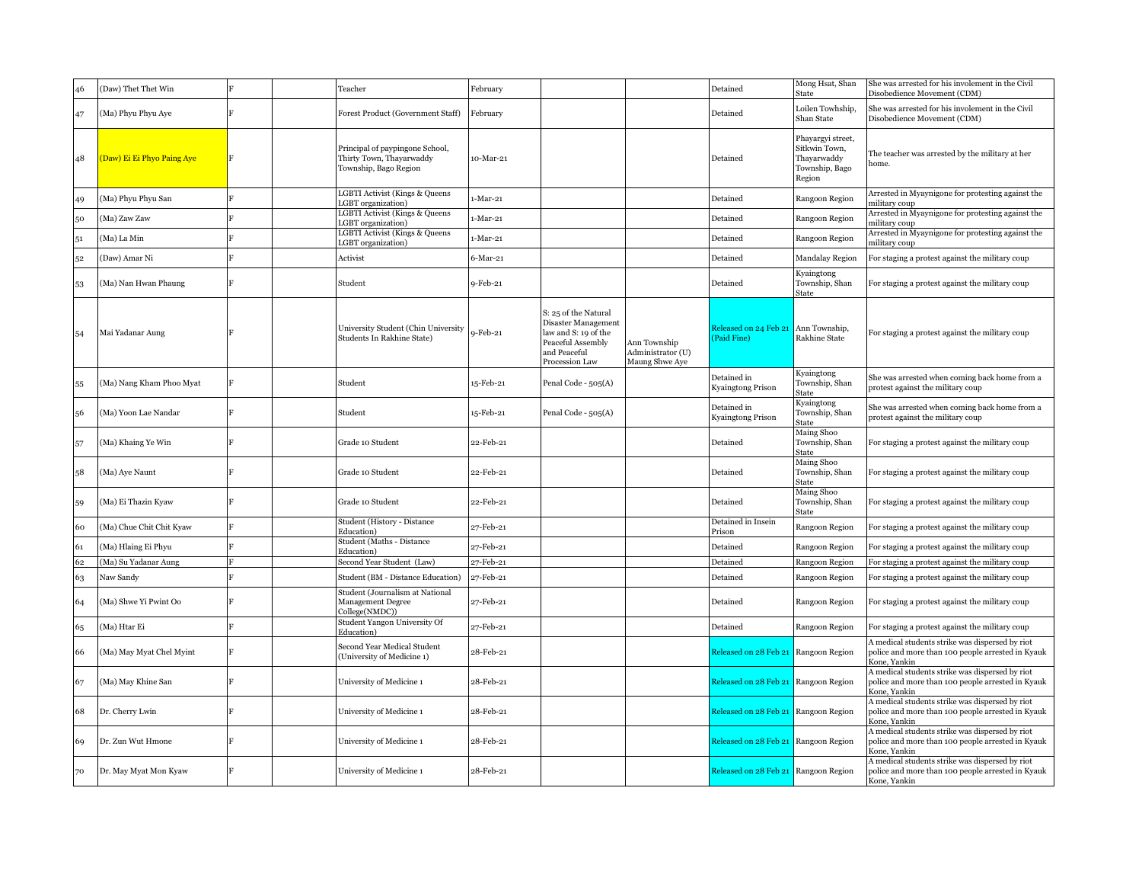|    | Daw) Thet Thet Win        |  | Teacher                                                                              | February    |                                                                                                                            |                                                     | Detained                                | Mong Hsat, Shan<br>State                                                      | She was arrested for his involement in the Civil<br>Disobedience Movement (CDM)                                      |
|----|---------------------------|--|--------------------------------------------------------------------------------------|-------------|----------------------------------------------------------------------------------------------------------------------------|-----------------------------------------------------|-----------------------------------------|-------------------------------------------------------------------------------|----------------------------------------------------------------------------------------------------------------------|
| 47 | (Ma) Phyu Phyu Aye        |  | Forest Product (Government Staff)                                                    | February    |                                                                                                                            |                                                     | Detained                                | Loilen Towhship,<br>Shan State                                                | She was arrested for his involement in the Civil<br>Disobedience Movement (CDM)                                      |
| 48 | Daw) Ei Ei Phyo Paing Aye |  | Principal of paypingone School,<br>Thirty Town, Thayarwaddy<br>Township, Bago Region | 10-Mar-21   |                                                                                                                            |                                                     | Detained                                | Phayargyi street,<br>Sitkwin Town,<br>Thayarwaddy<br>Township, Bago<br>Region | The teacher was arrested by the military at her<br>home.                                                             |
| 49 | (Ma) Phyu Phyu San        |  | <b>LGBTI Activist (Kings &amp; Queens</b><br>GBT organization)                       | 1-Mar-21    |                                                                                                                            |                                                     | Detained                                | Rangoon Region                                                                | Arrested in Myaynigone for protesting against the<br>nilitarv coup                                                   |
| 50 | (Ma) Zaw Zaw              |  | <b>LGBTI Activist (Kings &amp; Queens</b><br>GBT organization)                       | $-Mar-21$   |                                                                                                                            |                                                     | Detained                                | Rangoon Region                                                                | Arrested in Myaynigone for protesting against the<br>nilitary coup                                                   |
|    | (Ma) La Min               |  | <b>LGBTI Activist (Kings &amp; Queens</b><br>GBT organization)                       | $-Mar-21$   |                                                                                                                            |                                                     | Detained                                | Rangoon Region                                                                | Arrested in Myaynigone for protesting against the<br>military coup                                                   |
| 52 | (Daw) Amar Ni             |  | Activist                                                                             | $5$ -Mar-21 |                                                                                                                            |                                                     | Detained                                | Mandalay Region                                                               | For staging a protest against the military coup                                                                      |
| 53 | (Ma) Nan Hwan Phaung      |  | Student                                                                              | 9-Feb-21    |                                                                                                                            |                                                     | Detained                                | Kyaingtong<br>Township, Shan<br>State                                         | For staging a protest against the military coup                                                                      |
|    | Mai Yadanar Aung          |  | Jniversity Student (Chin University<br>Students In Rakhine State)                    | 9-Feb-21    | S: 25 of the Natural<br>Disaster Management<br>law and S: 19 of the<br>Peaceful Assembly<br>and Peaceful<br>Procession Law | Ann Township<br>Administrator (U)<br>Maung Shwe Aye | Released on 24 Feb 21<br>(Paid Fine)    | Ann Township,<br><b>Rakhine State</b>                                         | For staging a protest against the military coup                                                                      |
|    | (Ma) Nang Kham Phoo Myat  |  | Student                                                                              | 15-Feb-21   | Penal Code - 505(A)                                                                                                        |                                                     | Detained in<br><b>Kyaingtong Prison</b> | Kyaingtong<br>Township, Shan<br>State                                         | She was arrested when coming back home from a<br>protest against the military coup                                   |
|    | (Ma) Yoon Lae Nandar      |  | Student                                                                              | 15-Feb-21   | Penal Code - 505(A)                                                                                                        |                                                     | Detained in<br>Kyaingtong Prison        | Kyaingtong<br>Township, Shan<br>State                                         | She was arrested when coming back home from a<br>protest against the military coup                                   |
| 57 | (Ma) Khaing Ye Win        |  | Grade 10 Student                                                                     | 22-Feb-21   |                                                                                                                            |                                                     | Detained                                | Maing Shoo<br>Township, Shan<br>State                                         | For staging a protest against the military coup                                                                      |
| 58 | (Ma) Aye Naunt            |  | Grade 10 Student                                                                     | 22-Feb-21   |                                                                                                                            |                                                     | Detained                                | Maing Shoo<br>Township, Shan<br>State                                         | For staging a protest against the military coup                                                                      |
|    | (Ma) Ei Thazin Kyaw       |  | Grade 10 Student                                                                     | 22-Feb-21   |                                                                                                                            |                                                     | Detained                                | Maing Shoo<br>Township, Shan<br>State                                         | For staging a protest against the military coup                                                                      |
| 60 | (Ma) Chue Chit Chit Kyaw  |  | Student (History - Distance<br>Education)                                            | 27-Feb-21   |                                                                                                                            |                                                     | Detained in Insein<br>Prison            | Rangoon Region                                                                | For staging a protest against the military coup                                                                      |
|    | (Ma) Hlaing Ei Phyu       |  | <b>Student (Maths - Distance</b><br>Education)                                       | 27-Feb-21   |                                                                                                                            |                                                     | Detained                                | Rangoon Region                                                                | For staging a protest against the military coup                                                                      |
| 62 | (Ma) Su Yadanar Aung      |  | Second Year Student (Law)                                                            | 27-Feb-21   |                                                                                                                            |                                                     | Detained                                | Rangoon Region                                                                | For staging a protest against the military coup                                                                      |
| 63 | Naw Sandy                 |  | Student (BM - Distance Education)                                                    | 27-Feb-21   |                                                                                                                            |                                                     | Detained                                | Rangoon Region                                                                | For staging a protest against the military coup                                                                      |
|    | (Ma) Shwe Yi Pwint Oo     |  | Student (Journalism at National<br>Management Degree<br>College(NMDC))               | 27-Feb-21   |                                                                                                                            |                                                     | Detained                                | Rangoon Region                                                                | For staging a protest against the military coup                                                                      |
| 65 | (Ma) Htar Ei              |  | Student Yangon University Of<br>Education)                                           | 27-Feb-21   |                                                                                                                            |                                                     | Detained                                | Rangoon Region                                                                | For staging a protest against the military coup                                                                      |
| 66 | (Ma) May Myat Chel Myint  |  | Second Year Medical Student<br>(University of Medicine 1)                            | 28-Feb-21   |                                                                                                                            |                                                     | Released on 28 Feb 21 Rangoon Region    |                                                                               | A medical students strike was dispersed by riot<br>police and more than 100 people arrested in Kyauk<br>Kone, Yankin |
|    | (Ma) May Khine San        |  | University of Medicine 1                                                             | 28-Feb-21   |                                                                                                                            |                                                     | Released on 28 Feb 21 Rangoon Region    |                                                                               | A medical students strike was dispersed by riot<br>police and more than 100 people arrested in Kyauk<br>Kone, Yankin |
| 68 | Dr. Cherry Lwin           |  | University of Medicine 1                                                             | 28-Feb-21   |                                                                                                                            |                                                     | Released on 28 Feb 21 Rangoon Region    |                                                                               | A medical students strike was dispersed by riot<br>police and more than 100 people arrested in Kyauk<br>Kone, Yankin |
| 69 | Dr. Zun Wut Hmone         |  | University of Medicine 1                                                             | 28-Feb-21   |                                                                                                                            |                                                     | Released on 28 Feb 21 Rangoon Region    |                                                                               | A medical students strike was dispersed by riot<br>police and more than 100 people arrested in Kyauk<br>Kone, Yankin |
| 70 | Dr. May Myat Mon Kyaw     |  | University of Medicine 1                                                             | 28-Feb-21   |                                                                                                                            |                                                     | Released on 28 Feb 21 Rangoon Region    |                                                                               | A medical students strike was dispersed by riot<br>police and more than 100 people arrested in Kyauk<br>Kone, Yankin |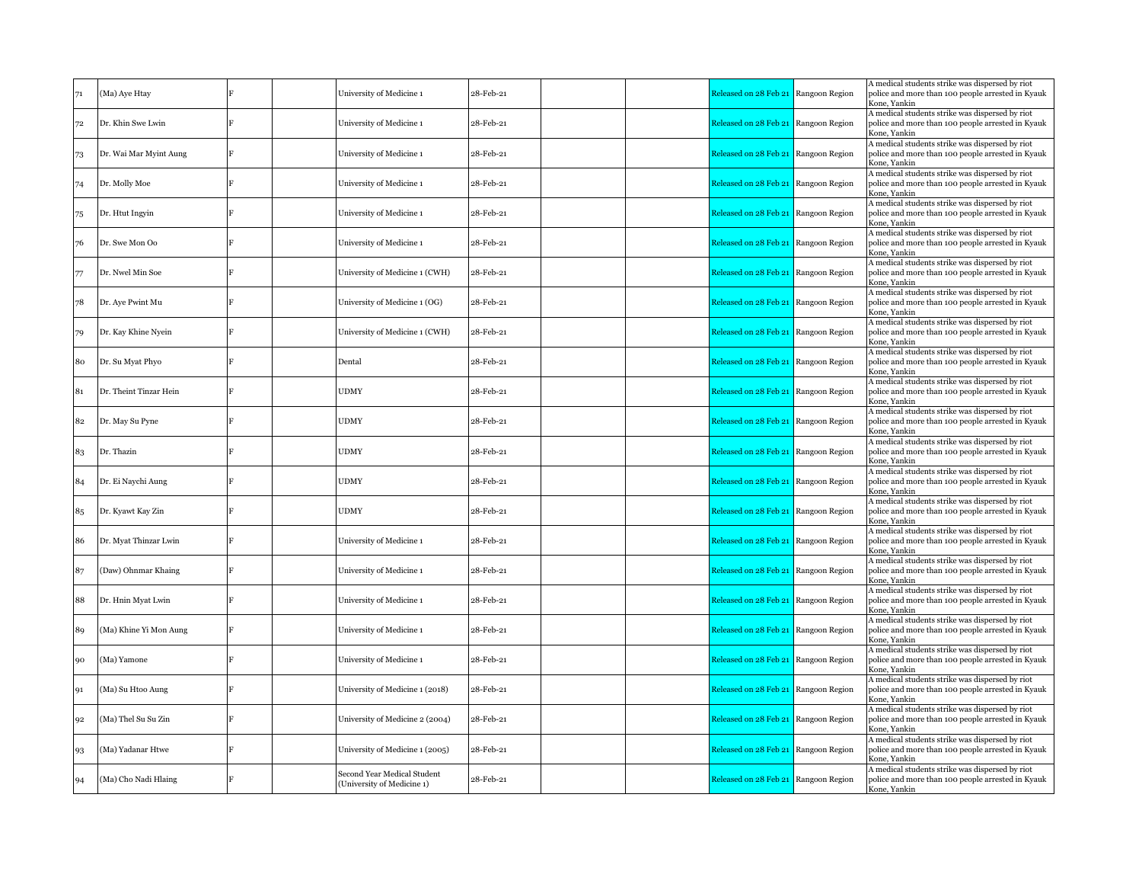| 71             | (Ma) Aye Htay          |  | University of Medicine 1                                  | 28-Feb-21 |  | Released on 28 Feb 21 Rangoon Region | A medical students strike was dispersed by riot<br>police and more than 100 people arrested in Kyauk                 |
|----------------|------------------------|--|-----------------------------------------------------------|-----------|--|--------------------------------------|----------------------------------------------------------------------------------------------------------------------|
|                |                        |  |                                                           |           |  |                                      | Kone, Yankin<br>A medical students strike was dispersed by riot                                                      |
| 72             | Dr. Khin Swe Lwin      |  | University of Medicine 1                                  | 28-Feb-21 |  | Released on 28 Feb 21 Rangoon Region | police and more than 100 people arrested in Kyauk<br>Kone, Yankin                                                    |
| 73             | Dr. Wai Mar Myint Aung |  | University of Medicine 1                                  | 28-Feb-21 |  | Released on 28 Feb 21 Rangoon Region | A medical students strike was dispersed by riot<br>police and more than 100 people arrested in Kyauk<br>Kone, Yankin |
|                | Dr. Molly Moe          |  | University of Medicine 1                                  | 28-Feb-21 |  | Released on 28 Feb 21 Rangoon Region | A medical students strike was dispersed by riot<br>police and more than 100 people arrested in Kyauk<br>Kone, Yankin |
| 75             | Dr. Htut Ingyin        |  | University of Medicine 1                                  | 28-Feb-21 |  | Released on 28 Feb 21 Rangoon Region | A medical students strike was dispersed by riot<br>police and more than 100 people arrested in Kyauk<br>Kone, Yankin |
| 76             | Dr. Swe Mon Oo         |  | University of Medicine 1                                  | 28-Feb-21 |  | Released on 28 Feb 21 Rangoon Region | A medical students strike was dispersed by riot<br>police and more than 100 people arrested in Kyauk<br>Kone, Yankin |
|                | Dr. Nwel Min Soe       |  | University of Medicine 1 (CWH)                            | 28-Feb-21 |  | Released on 28 Feb 21 Rangoon Region | A medical students strike was dispersed by riot<br>police and more than 100 people arrested in Kyauk<br>Kone, Yankin |
| 78             | Dr. Aye Pwint Mu       |  | University of Medicine 1 (OG)                             | 28-Feb-21 |  | Released on 28 Feb 21 Rangoon Region | A medical students strike was dispersed by riot<br>police and more than 100 people arrested in Kyauk<br>Kone, Yankin |
| 79             | Dr. Kay Khine Nyein    |  | University of Medicine 1 (CWH)                            | 28-Feb-21 |  | Released on 28 Feb 21 Rangoon Region | A medical students strike was dispersed by riot<br>police and more than 100 people arrested in Kyauk<br>Kone, Yankin |
| 80             | Dr. Su Myat Phyo       |  | Dental                                                    | 28-Feb-21 |  | Released on 28 Feb 21 Rangoon Region | A medical students strike was dispersed by riot<br>police and more than 100 people arrested in Kyauk<br>Kone, Yankin |
| 81             | Dr. Theint Tinzar Hein |  | <b>UDMY</b>                                               | 28-Feb-21 |  | Released on 28 Feb 21 Rangoon Region | A medical students strike was dispersed by riot<br>police and more than 100 people arrested in Kyauk<br>Kone, Yankin |
| 82             | Dr. May Su Pyne        |  | <b>UDMY</b>                                               | 28-Feb-21 |  | Released on 28 Feb 21 Rangoon Region | A medical students strike was dispersed by riot<br>police and more than 100 people arrested in Kyauk<br>Kone, Yankin |
| 83             | Dr. Thazin             |  | <b>UDMY</b>                                               | 28-Feb-21 |  | Released on 28 Feb 21 Rangoon Region | A medical students strike was dispersed by riot<br>police and more than 100 people arrested in Kyauk<br>Kone, Yankin |
|                | Dr. Ei Naychi Aung     |  | <b>UDMY</b>                                               | 28-Feb-21 |  | Released on 28 Feb 21 Rangoon Region | A medical students strike was dispersed by riot<br>police and more than 100 people arrested in Kyauk<br>Kone, Yankin |
| 85             | Dr. Kyawt Kay Zin      |  | UDMY                                                      | 28-Feb-21 |  | Released on 28 Feb 21 Rangoon Region | A medical students strike was dispersed by riot<br>police and more than 100 people arrested in Kyauk<br>Kone, Yankin |
|                | Dr. Myat Thinzar Lwin  |  | University of Medicine 1                                  | 28-Feb-21 |  | Released on 28 Feb 21 Rangoon Region | A medical students strike was dispersed by riot<br>police and more than 100 people arrested in Kyauk<br>Kone, Yankin |
| 87             | (Daw) Ohnmar Khaing    |  | University of Medicine 1                                  | 28-Feb-21 |  | Released on 28 Feb 21 Rangoon Region | A medical students strike was dispersed by riot<br>police and more than 100 people arrested in Kyauk<br>Kone, Yankin |
| 88             | Dr. Hnin Myat Lwin     |  | University of Medicine 1                                  | 28-Feb-21 |  | Released on 28 Feb 21 Rangoon Region | A medical students strike was dispersed by riot<br>police and more than 100 people arrested in Kyauk<br>Kone, Yankin |
| 89             | (Ma) Khine Yi Mon Aung |  | University of Medicine 1                                  | 28-Feb-21 |  | Released on 28 Feb 21 Rangoon Region | A medical students strike was dispersed by riot<br>police and more than 100 people arrested in Kyauk<br>Kone, Yankin |
| 90             | (Ma) Yamone            |  | University of Medicine 1                                  | 28-Feb-21 |  | Released on 28 Feb 21 Rangoon Region | A medical students strike was dispersed by riot<br>police and more than 100 people arrested in Kyauk<br>Kone, Yankin |
| Q <sub>1</sub> | (Ma) Su Htoo Aung      |  | University of Medicine 1 (2018)                           | 28-Feb-21 |  | Released on 28 Feb 21 Rangoon Region | A medical students strike was dispersed by riot<br>police and more than 100 people arrested in Kyauk<br>Kone, Yankin |
| 92             | (Ma) Thel Su Su Zin    |  | University of Medicine 2 (2004)                           | 28-Feb-21 |  | Released on 28 Feb 21 Rangoon Region | A medical students strike was dispersed by riot<br>police and more than 100 people arrested in Kyauk<br>Kone, Yankin |
| 93             | (Ma) Yadanar Htwe      |  | University of Medicine 1 (2005)                           | 28-Feb-21 |  | Released on 28 Feb 21 Rangoon Region | A medical students strike was dispersed by riot<br>police and more than 100 people arrested in Kyauk<br>Kone, Yankin |
|                | (Ma) Cho Nadi Hlaing   |  | Second Year Medical Student<br>(University of Medicine 1) | 28-Feb-21 |  | Released on 28 Feb 21 Rangoon Region | A medical students strike was dispersed by riot<br>police and more than 100 people arrested in Kyauk<br>Kone, Yankin |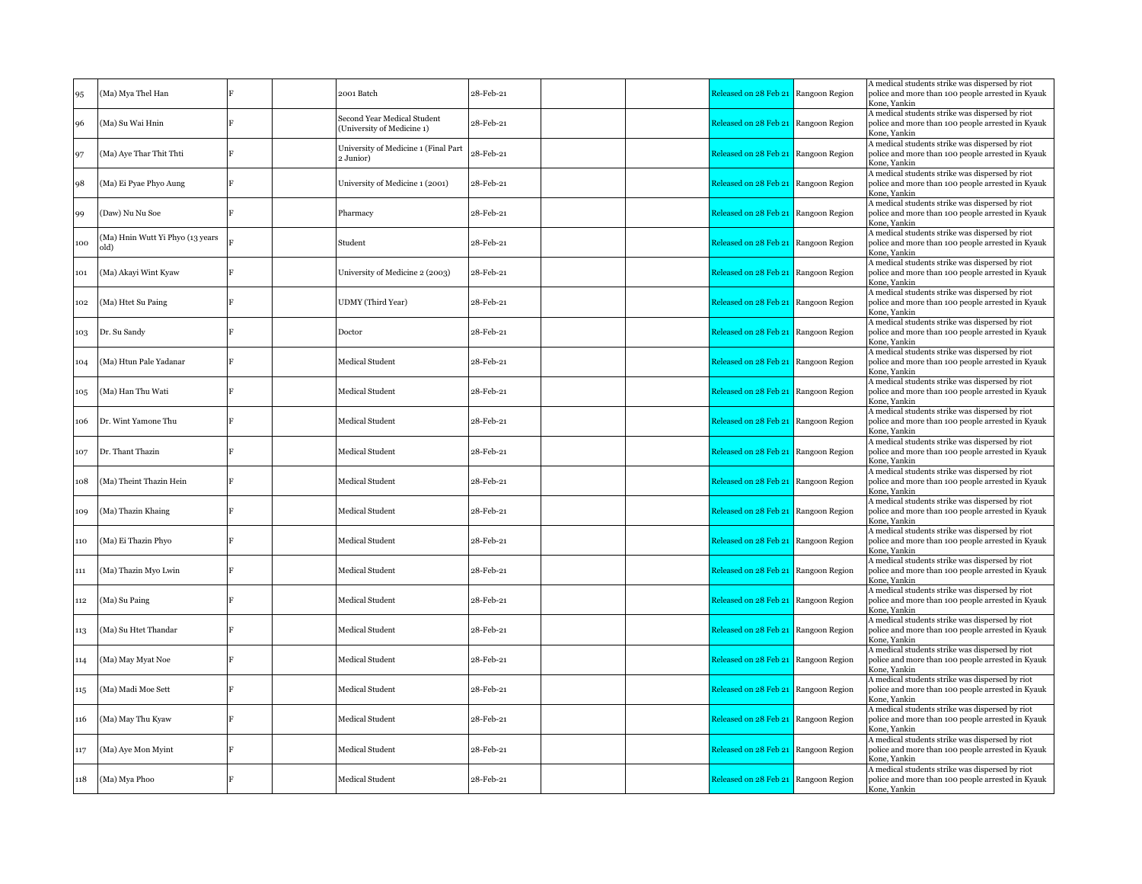| 95  | (Ma) Mya Thel Han                        |  | 2001 Batch                                                | 28-Feb-21 |  | Released on 28 Feb 21 Rangoon Region | A medical students strike was dispersed by riot<br>police and more than 100 people arrested in Kyauk<br>Kone, Yankin |
|-----|------------------------------------------|--|-----------------------------------------------------------|-----------|--|--------------------------------------|----------------------------------------------------------------------------------------------------------------------|
| 96  | (Ma) Su Wai Hnin                         |  | Second Year Medical Student<br>(University of Medicine 1) | 28-Feb-21 |  | Released on 28 Feb 21 Rangoon Region | A medical students strike was dispersed by riot<br>police and more than 100 people arrested in Kyauk<br>Kone, Yankin |
| 97  | (Ma) Aye Thar Thit Thti                  |  | University of Medicine 1 (Final Part<br>2 Junior)         | 28-Feb-21 |  | Released on 28 Feb 21 Rangoon Region | A medical students strike was dispersed by riot<br>police and more than 100 people arrested in Kyauk<br>Kone. Yankin |
| 98  | (Ma) Ei Pyae Phyo Aung                   |  | University of Medicine 1 (2001)                           | 28-Feb-21 |  | Released on 28 Feb 21 Rangoon Region | A medical students strike was dispersed by riot<br>police and more than 100 people arrested in Kyauk<br>Kone, Yankin |
| 99  | (Daw) Nu Nu Soe                          |  | Pharmacy                                                  | 28-Feb-21 |  | Released on 28 Feb 21 Rangoon Region | A medical students strike was dispersed by riot<br>police and more than 100 people arrested in Kyauk<br>Kone, Yankin |
| 100 | (Ma) Hnin Wutt Yi Phyo (13 years<br>(blc |  | Student                                                   | 28-Feb-21 |  | Released on 28 Feb 21 Rangoon Region | A medical students strike was dispersed by riot<br>police and more than 100 people arrested in Kyauk<br>Kone, Yankin |
| 101 | (Ma) Akayi Wint Kyaw                     |  | University of Medicine 2 (2003)                           | 28-Feb-21 |  | Released on 28 Feb 21 Rangoon Region | A medical students strike was dispersed by riot<br>police and more than 100 people arrested in Kyauk<br>Kone, Yankin |
| 102 | (Ma) Htet Su Paing                       |  | <b>UDMY</b> (Third Year)                                  | 28-Feb-21 |  | Released on 28 Feb 21 Rangoon Region | A medical students strike was dispersed by riot<br>police and more than 100 people arrested in Kyauk<br>Kone, Yankin |
| 103 | Dr. Su Sandy                             |  | Doctor                                                    | 28-Feb-21 |  | Released on 28 Feb 21 Rangoon Region | A medical students strike was dispersed by riot<br>police and more than 100 people arrested in Kyauk<br>Kone, Yankin |
| 104 | (Ma) Htun Pale Yadanar                   |  | <b>Medical Student</b>                                    | 28-Feb-21 |  | Released on 28 Feb 21 Rangoon Region | A medical students strike was dispersed by riot<br>police and more than 100 people arrested in Kyauk<br>Kone, Yankin |
| 105 | (Ma) Han Thu Wati                        |  | Medical Student                                           | 28-Feb-21 |  | Released on 28 Feb 21 Rangoon Region | A medical students strike was dispersed by riot<br>police and more than 100 people arrested in Kyauk<br>Kone, Yankin |
| 106 | Dr. Wint Yamone Thu                      |  | Medical Student                                           | 28-Feb-21 |  | Released on 28 Feb 21 Rangoon Region | A medical students strike was dispersed by riot<br>police and more than 100 people arrested in Kyauk<br>Kone, Yankin |
| 107 | Dr. Thant Thazin                         |  | Medical Student                                           | 28-Feb-21 |  | Released on 28 Feb 21 Rangoon Region | A medical students strike was dispersed by riot<br>police and more than 100 people arrested in Kyauk<br>Kone, Yankin |
| 108 | Ma) Theint Thazin Hein                   |  | Medical Student                                           | 28-Feb-21 |  | Released on 28 Feb 21 Rangoon Region | A medical students strike was dispersed by riot<br>police and more than 100 people arrested in Kyauk<br>Kone, Yankin |
| 109 | (Ma) Thazin Khaing                       |  | Medical Student                                           | 28-Feb-21 |  | Released on 28 Feb 21 Rangoon Region | A medical students strike was dispersed by riot<br>police and more than 100 people arrested in Kyauk<br>Kone, Yankin |
| 110 | (Ma) Ei Thazin Phyo                      |  | Medical Student                                           | 28-Feb-21 |  | Released on 28 Feb 21 Rangoon Region | A medical students strike was dispersed by riot<br>police and more than 100 people arrested in Kyauk<br>Kone. Yankin |
| 111 | (Ma) Thazin Myo Lwin                     |  | Medical Student                                           | 28-Feb-21 |  | Released on 28 Feb 21 Rangoon Region | A medical students strike was dispersed by riot<br>police and more than 100 people arrested in Kyauk<br>Kone, Yankin |
| 112 | (Ma) Su Paing                            |  | <b>Medical Student</b>                                    | 28-Feb-21 |  | Released on 28 Feb 21 Rangoon Region | A medical students strike was dispersed by riot<br>police and more than 100 people arrested in Kyauk<br>Kone, Yankin |
| 113 | (Ma) Su Htet Thandar                     |  | Medical Student                                           | 28-Feb-21 |  | Released on 28 Feb 21 Rangoon Region | A medical students strike was dispersed by riot<br>police and more than 100 people arrested in Kyauk<br>Kone, Yankin |
| 114 | (Ma) May Myat Noe                        |  | Medical Student                                           | 28-Feb-21 |  | Released on 28 Feb 21 Rangoon Region | A medical students strike was dispersed by riot<br>police and more than 100 people arrested in Kyauk<br>Kone, Yankin |
| 115 | (Ma) Madi Moe Sett                       |  | Medical Student                                           | 28-Feb-21 |  | Released on 28 Feb 21 Rangoon Region | A medical students strike was dispersed by riot<br>police and more than 100 people arrested in Kyauk<br>Kone. Yankin |
| 116 | (Ma) May Thu Kyaw                        |  | Medical Student                                           | 28-Feb-21 |  | Released on 28 Feb 21 Rangoon Region | A medical students strike was dispersed by riot<br>police and more than 100 people arrested in Kyauk<br>Kone, Yankin |
| 117 | (Ma) Aye Mon Myint                       |  | Medical Student                                           | 28-Feb-21 |  | Released on 28 Feb 21 Rangoon Region | A medical students strike was dispersed by riot<br>police and more than 100 people arrested in Kyauk<br>Kone, Yankin |
| 118 | (Ma) Mya Phoo                            |  | <b>Medical Student</b>                                    | 28-Feb-21 |  | Released on 28 Feb 21 Rangoon Region | A medical students strike was dispersed by riot<br>police and more than 100 people arrested in Kyauk<br>Kone, Yankin |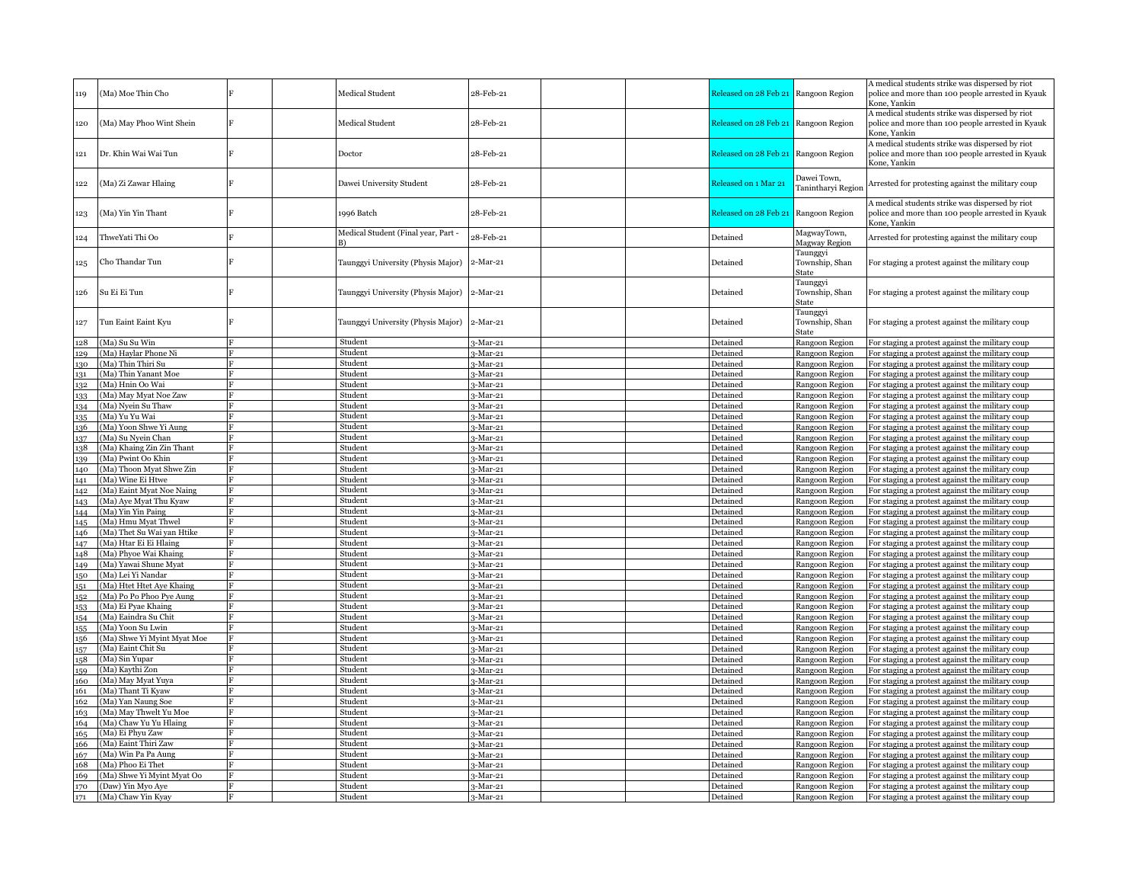|     |                            |    |                                     |            |  |                                      |                    | A medical students strike was dispersed by riot   |
|-----|----------------------------|----|-------------------------------------|------------|--|--------------------------------------|--------------------|---------------------------------------------------|
| 119 | (Ma) Moe Thin Cho          |    | Medical Student                     | 28-Feb-21  |  | Released on 28 Feb 21 Rangoon Region |                    | police and more than 100 people arrested in Kyauk |
|     |                            |    |                                     |            |  |                                      |                    | Kone, Yankin                                      |
|     |                            |    |                                     |            |  |                                      |                    | A medical students strike was dispersed by riot   |
| 120 | (Ma) May Phoo Wint Shein   | E. | <b>Medical Student</b>              | 28-Feb-21  |  | Released on 28 Feb 21 Rangoon Region |                    | police and more than 100 people arrested in Kyauk |
|     |                            |    |                                     |            |  |                                      |                    | Kone, Yankin                                      |
|     |                            |    |                                     |            |  |                                      |                    | A medical students strike was dispersed by riot   |
| 121 | Dr. Khin Wai Wai Tun       | E. | Doctor                              | 28-Feb-21  |  | Released on 28 Feb 21 Rangoon Region |                    | police and more than 100 people arrested in Kyauk |
|     |                            |    |                                     |            |  |                                      |                    | Kone, Yankin                                      |
|     |                            |    |                                     |            |  |                                      |                    |                                                   |
| 122 | (Ma) Zi Zawar Hlaing       |    | Dawei University Student            | 28-Feb-21  |  | Released on 1 Mar 21                 | Dawei Town,        | Arrested for protesting against the military coup |
|     |                            |    |                                     |            |  |                                      | Tanintharyi Region |                                                   |
|     |                            |    |                                     |            |  |                                      |                    | A medical students strike was dispersed by riot   |
| 123 | (Ma) Yin Yin Thant         |    | 1996 Batch                          | 28-Feb-21  |  | Released on 28 Feb 21 Rangoon Region |                    | police and more than 100 people arrested in Kyauk |
|     |                            |    |                                     |            |  |                                      |                    | Kone, Yankin                                      |
|     |                            |    | Medical Student (Final year, Part - |            |  |                                      | MagwayTown,        |                                                   |
| 124 | ThweYati Thi Oo            |    |                                     | 28-Feb-21  |  | Detained                             | Magway Region      | Arrested for protesting against the military coup |
|     |                            |    |                                     |            |  |                                      | Taunggyi           |                                                   |
|     | Cho Thandar Tun            |    |                                     | $2-Mar-21$ |  | Detained                             |                    |                                                   |
| 125 |                            |    | Taunggyi University (Physis Major)  |            |  |                                      | Township, Shan     | For staging a protest against the military coup   |
|     |                            |    |                                     |            |  |                                      | State              |                                                   |
|     |                            |    |                                     |            |  |                                      | Taunggyi           |                                                   |
| 126 | Su Ei Ei Tun               |    | Taunggyi University (Physis Major)  | 2-Mar-21   |  | Detained                             | Township, Shan     | For staging a protest against the military coup   |
|     |                            |    |                                     |            |  |                                      | State              |                                                   |
|     |                            |    |                                     |            |  |                                      | Taunggyi           |                                                   |
| 127 | Tun Eaint Eaint Kyu        |    | Taunggyi University (Physis Major)  | 2-Mar-21   |  | Detained                             | Township, Shan     | For staging a protest against the military coup   |
|     |                            |    |                                     |            |  |                                      | State              |                                                   |
| 128 | Ma) Su Su Win              |    | Student                             | 3-Mar-21   |  | Detained                             | Rangoon Region     | For staging a protest against the military coup   |
| 129 | Ma) Haylar Phone Ni        |    | Student                             | $-Mar-21$  |  | Detained                             | Rangoon Region     | For staging a protest against the military coup   |
| 130 | Ma) Thin Thiri Su          |    | Student                             | $-Mar-21$  |  | Detained                             | Rangoon Region     | For staging a protest against the military coup   |
| 131 | Ma) Thin Yanant Moe        |    | Student                             | $3-Mar-21$ |  | Detained                             | Rangoon Region     | For staging a protest against the military coup   |
| 132 | (Ma) Hnin Oo Wai           |    | Student                             | 3-Mar-21   |  | Detained                             | Rangoon Region     | For staging a protest against the military coup   |
| 133 | Ma) May Myat Noe Zaw       |    | Student                             | $-Mar-21$  |  | Detained                             | Rangoon Region     | For staging a protest against the military coup   |
| 134 | Ma) Nyein Su Thaw          |    | Student                             | $-Mar-21$  |  | Detained                             | Rangoon Region     | For staging a protest against the military coup   |
| 135 | Ma) Yu Yu Wai              |    | Student                             | $-Mar-21$  |  | Detained                             | Rangoon Region     | For staging a protest against the military coup   |
|     | (Ma) Yoon Shwe Yi Aung     |    | Student                             | $-Mar-21$  |  | Detained                             |                    |                                                   |
| 136 |                            |    |                                     |            |  |                                      | Rangoon Region     | For staging a protest against the military coup   |
| 137 | (Ma) Su Nyein Chan         |    | Student                             | }-Mar-21   |  | Detained                             | Rangoon Region     | For staging a protest against the military coup   |
| 138 | (Ma) Khaing Zin Zin Thant  |    | Student                             | $3-Mar-21$ |  | Detained                             | Rangoon Region     | For staging a protest against the military coup   |
| 139 | Ma) Pwint Oo Khin          |    | Student                             | $-Mar-21$  |  | Detained                             | Rangoon Region     | For staging a protest against the military coup   |
| 140 | Ma) Thoon Myat Shwe Zin    |    | Student                             | $-Mar-21$  |  | Detained                             | Rangoon Region     | For staging a protest against the military coup   |
| 141 | Ma) Wine Ei Htwe           | E. | Student                             | $3-Mar-21$ |  | Detained                             | Rangoon Region     | For staging a protest against the military coup   |
| 142 | Ma) Eaint Myat Noe Naing   |    | Student                             | $3-Mar-21$ |  | Detained                             | Rangoon Region     | For staging a protest against the military coup   |
| 143 | Ma) Aye Myat Thu Kyaw      |    | Student                             | 3-Mar-21   |  | Detained                             | Rangoon Region     | For staging a protest against the military coup   |
| 144 | Ma) Yin Yin Paing          |    | Student                             | $-Mar-21$  |  | Detained                             | Rangoon Region     | For staging a protest against the military coup   |
| 145 | Ma) Hmu Myat Thwel         |    | Student                             | $-Mar-21$  |  | Detained                             | Rangoon Region     | For staging a protest against the military coup   |
| 146 | Ma) Thet Su Wai yan Htike  |    | Student                             | $-Mar-21$  |  | Detained                             | Rangoon Region     | For staging a protest against the military coup   |
| 147 | (Ma) Htar Ei Ei Hlaing     |    | Student                             | $-Mar-21$  |  | Detained                             | Rangoon Region     | For staging a protest against the military coup   |
|     |                            |    | Student                             |            |  |                                      |                    |                                                   |
| 148 | (Ma) Phyoe Wai Khaing      |    |                                     | $-Mar-21$  |  | Detained                             | Rangoon Region     | For staging a protest against the military coup   |
| 149 | (Ma) Yawai Shune Myat      |    | Student                             | $-Mar-21$  |  | Detained                             | Rangoon Region     | For staging a protest against the military coup   |
| 150 | Ma) Lei Yi Nandar          |    | Student                             | $-Mar-21$  |  | Detained                             | Rangoon Region     | For staging a protest against the military coup   |
| 151 | Ma) Htet Htet Aye Khaing   |    | Student                             | 3-Mar-21   |  | Detained                             | Rangoon Region     | For staging a protest against the military coup   |
| 152 | Ma) Po Po Phoo Pye Aung    | R  | Student                             | $-Mar-21$  |  | Detained                             | Rangoon Region     | For staging a protest against the military coup   |
| 153 | Ma) Ei Pyae Khaing         |    | Student                             | $-Mar-21$  |  | Detained                             | Rangoon Region     | For staging a protest against the military coup   |
| 154 | (Ma) Eaindra Su Chit       |    | Student                             | $3-Mar-21$ |  | Detained                             | Rangoon Region     | For staging a protest against the military coup   |
| 155 | (Ma) Yoon Su Lwin          |    | Student                             | $3-Mar-21$ |  | Detained                             | Rangoon Region     | For staging a protest against the military coup   |
| 156 | Ma) Shwe Yi Myint Myat Moe |    | Student                             | $-Mar-21$  |  | Detained                             | Rangoon Region     | For staging a protest against the military coup   |
| 157 | (Ma) Eaint Chit Su         |    | Student                             | $3-Mar-21$ |  | Detained                             | Rangoon Region     | For staging a protest against the military coup   |
| 158 | (Ma) Sin Yupar             |    | Student                             | $-Mar-21$  |  | Detained                             | Rangoon Region     | For staging a protest against the military coup   |
| 159 | (Ma) Kaythi Zon            |    | Student                             | -Mar-21    |  | Detained                             | Rangoon Region     | For staging a protest against the military coup   |
| 160 | (Ma) May Myat Yuya         |    | Student                             | 3-Mar-21   |  | Detained                             | Rangoon Region     | For staging a protest against the military coup   |
|     | Ma) Thant Ti Kyaw          |    | Student                             |            |  |                                      |                    |                                                   |
| 161 |                            |    |                                     | $-Mar-21$  |  | Detained                             | Rangoon Region     | For staging a protest against the military coup   |
| 162 | Ma) Yan Naung Soe          |    | Student                             | $-Mar-21$  |  | Detained                             | Rangoon Region     | For staging a protest against the military coup   |
| 163 | Ma) May Thwelt Yu Moe      |    | Student                             | $-Mar-21$  |  | Detained                             | Rangoon Region     | For staging a protest against the military coup   |
| 164 | Ma) Chaw Yu Yu Hlaing      |    | Student                             | $-Mar-21$  |  | Detained                             | Rangoon Region     | For staging a protest against the military coup   |
| 165 | (Ma) Ei Phyu Zaw           |    | Student                             | $-Mar-21$  |  | Detained                             | Rangoon Region     | For staging a protest against the military coup   |
| 166 | (Ma) Eaint Thiri Zaw       |    | Student                             | $3-Mar-21$ |  | Detained                             | Rangoon Region     | For staging a protest against the military coup   |
| 167 | Ma) Win Pa Pa Aung         |    | Student                             | $-Mar-21$  |  | Detained                             | Rangoon Region     | For staging a protest against the military coup   |
| 168 | Ma) Phoo Ei Thet           |    | Student                             | $-Mar-21$  |  | Detained                             | Rangoon Region     | For staging a protest against the military coup   |
| 169 | (Ma) Shwe Yi Myint Myat Oo |    | Student                             | $-Mar-21$  |  | Detained                             | Rangoon Region     | For staging a protest against the military coup   |
| 170 | (Daw) Yin Myo Aye          |    | Student                             | $3-Mar-21$ |  | Detained                             | Rangoon Region     | For staging a protest against the military coup   |
| 171 | (Ma) Chaw Yin Kyay         |    | Student                             | $3-Mar-21$ |  | Detained                             | Rangoon Region     | For staging a protest against the military coup   |
|     |                            |    |                                     |            |  |                                      |                    |                                                   |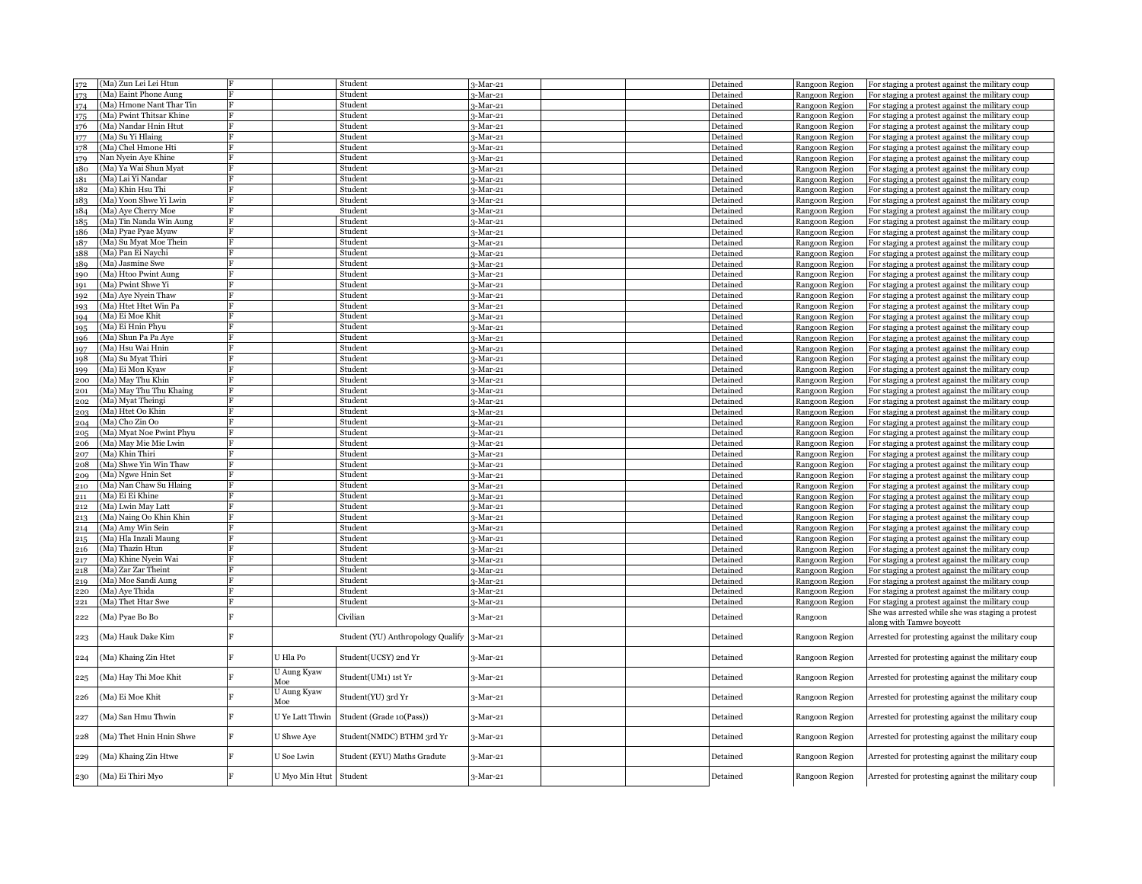| 172 | (Ma) Zun Lei Lei Htun    |                    | Student                           | $-Mar-21$  |  | Detained | Rangoon Region | For staging a protest against the military coup                              |
|-----|--------------------------|--------------------|-----------------------------------|------------|--|----------|----------------|------------------------------------------------------------------------------|
| 173 | (Ma) Eaint Phone Aung    |                    | Student                           | $-Mar-21$  |  | Detained | Rangoon Region | For staging a protest against the military coup                              |
| 174 | (Ma) Hmone Nant Thar Tin |                    | Student                           | $-Mar-21$  |  | Detained | Rangoon Region | For staging a protest against the military coup                              |
| 175 | (Ma) Pwint Thitsar Khine |                    | Student                           | -Mar-21    |  | Detained | Rangoon Region | For staging a protest against the military coup                              |
| 176 | (Ma) Nandar Hnin Htut    |                    | Student                           | -Mar-21    |  | Detained | Rangoon Region | For staging a protest against the military coup                              |
| 177 | (Ma) Su Yi Hlaing        |                    | Student                           | $-Mar-21$  |  | Detained | Rangoon Region | For staging a protest against the military coup                              |
| 178 | (Ma) Chel Hmone Hti      |                    | Student                           | $-Mar-21$  |  | Detained | Rangoon Region | For staging a protest against the military coup                              |
| 179 | Nan Nyein Aye Khine      |                    | Student                           | $-Mar-21$  |  | Detained | Rangoon Region | For staging a protest against the military coup                              |
| 180 | (Ma) Ya Wai Shun Myat    |                    | Student                           | $-Mar-21$  |  | Detained | Rangoon Region | For staging a protest against the military coup                              |
| 181 | (Ma) Lai Yi Nandar       |                    | Student                           | $-Mar-21$  |  | Detained | Rangoon Region | For staging a protest against the military coup                              |
| 182 | (Ma) Khin Hsu Thi        |                    | Student                           | -Mar-21    |  | Detained | Rangoon Region | For staging a protest against the military coup                              |
| 183 | (Ma) Yoon Shwe Yi Lwin   |                    | Student                           | $-Mar-21$  |  | Detained | Rangoon Region | For staging a protest against the military coup                              |
| 184 | (Ma) Aye Cherry Moe      |                    | Student                           | -Mar-21    |  | Detained | Rangoon Region | For staging a protest against the military coup                              |
| 185 | (Ma) Tin Nanda Win Aung  |                    | Student                           | $-Mar-21$  |  | Detained | Rangoon Region | For staging a protest against the military coup                              |
| 186 | (Ma) Pyae Pyae Myaw      |                    | Student                           | $-Mar-21$  |  | Detained | Rangoon Region | For staging a protest against the military coup                              |
| 187 | (Ma) Su Myat Moe Thein   |                    | Student                           | $-Mar-21$  |  | Detained | Rangoon Region | For staging a protest against the military coup                              |
| 188 | (Ma) Pan Ei Naychi       |                    | Student                           | $-Mar-21$  |  | Detained | Rangoon Region | For staging a protest against the military coup                              |
| 189 | (Ma) Jasmine Swe         |                    | Student                           | $-Mar-21$  |  | Detained | Rangoon Region | For staging a protest against the military coup                              |
| 190 | (Ma) Htoo Pwint Aung     |                    | Student                           | $-Mar-21$  |  | Detained | Rangoon Region | For staging a protest against the military coup                              |
| 191 | (Ma) Pwint Shwe Yi       |                    | Student                           | -Mar-21    |  | Detained | Rangoon Region | For staging a protest against the military coup                              |
| 192 | (Ma) Aye Nyein Thaw      |                    | Student                           | $-Mar-21$  |  | Detained | Rangoon Region | For staging a protest against the military coup                              |
| 193 | (Ma) Htet Htet Win Pa    |                    | Student                           | -Mar-21    |  | Detained | Rangoon Region | For staging a protest against the military coup                              |
|     | (Ma) Ei Moe Khit         |                    | Student                           |            |  |          |                |                                                                              |
| 194 |                          |                    | Student                           | -Mar-21    |  | Detained | Rangoon Region | For staging a protest against the military coup                              |
| 195 | (Ma) Ei Hnin Phyu        |                    |                                   | $-Mar-21$  |  | Detained | Rangoon Region | For staging a protest against the military coup                              |
| 196 | (Ma) Shun Pa Pa Aye      |                    | Student                           | $-Mar-21$  |  | Detained | Rangoon Region | For staging a protest against the military coup                              |
| 197 | (Ma) Hsu Wai Hnin        |                    | Student                           | $-Mar-21$  |  | Detained | Rangoon Region | For staging a protest against the military coup                              |
| 198 | (Ma) Su Myat Thiri       |                    | Student                           | $-Mar-21$  |  | Detained | Rangoon Region | For staging a protest against the military coup                              |
| 199 | (Ma) Ei Mon Kyaw         |                    | Student                           | -Mar-21    |  | Detained | Rangoon Region | For staging a protest against the military coup                              |
| 200 | (Ma) May Thu Khin        |                    | Student                           | $-Mar-21$  |  | Detained | Rangoon Region | For staging a protest against the military coup                              |
| 201 | (Ma) May Thu Thu Khaing  |                    | Student                           | -Mar-21    |  | Detained | Rangoon Region | For staging a protest against the military coup                              |
| 202 | (Ma) Myat Theingi        |                    | Student                           | $-Mar-21$  |  | Detained | Rangoon Region | For staging a protest against the military coup                              |
| 203 | (Ma) Htet Oo Khin        |                    | Student                           | $-Mar-21$  |  | Detained | Rangoon Region | For staging a protest against the military coup                              |
| 204 | (Ma) Cho Zin Oo          |                    | Student                           | $-Mar-21$  |  | Detained | Rangoon Region | For staging a protest against the military coup                              |
| 205 | (Ma) Myat Noe Pwint Phyu |                    | Student                           | $-Mar-21$  |  | Detained | Rangoon Region | For staging a protest against the military coup                              |
| 206 | (Ma) May Mie Mie Lwin    |                    | Student                           | $-Mar-21$  |  | Detained | Rangoon Region | For staging a protest against the military coup                              |
| 207 | (Ma) Khin Thiri          |                    | Student                           | $-Mar-21$  |  | Detained | Rangoon Region | For staging a protest against the military coup                              |
| 208 | (Ma) Shwe Yin Win Thaw   |                    | Student                           | $-Mar-21$  |  | Detained | Rangoon Region | For staging a protest against the military coup                              |
| 209 | (Ma) Ngwe Hnin Set       |                    | Student                           | $-Mar-21$  |  | Detained | Rangoon Region | For staging a protest against the military coup                              |
| 210 | (Ma) Nan Chaw Su Hlaing  |                    | Student                           | -Mar-21    |  | Detained | Rangoon Region | For staging a protest against the military coup                              |
| 211 | (Ma) Ei Ei Khine         |                    | Student                           | $-Mar-21$  |  | Detained | Rangoon Region | For staging a protest against the military coup                              |
| 212 | (Ma) Lwin May Latt       |                    | Student                           | $-Mar-21$  |  | Detained | Rangoon Region | For staging a protest against the military coup                              |
| 213 | (Ma) Naing Oo Khin Khin  |                    | Student                           | $-Mar-21$  |  | Detained | Rangoon Region | For staging a protest against the military coup                              |
| 214 | (Ma) Amy Win Sein        |                    | Student                           | $-Mar-21$  |  | Detained | Rangoon Region | For staging a protest against the military coup                              |
| 215 | (Ma) Hla Inzali Maung    |                    | Student                           | $-Mar-21$  |  | Detained | Rangoon Region | For staging a protest against the military coup                              |
| 216 | (Ma) Thazin Htun         |                    | Student                           | $-Mar-21$  |  | Detained |                |                                                                              |
|     | (Ma) Khine Nyein Wai     |                    |                                   |            |  |          | Rangoon Region | For staging a protest against the military coup                              |
| 217 |                          |                    | Student                           | $-Mar-21$  |  | Detained | Rangoon Region | For staging a protest against the military coup                              |
| 218 | (Ma) Zar Zar Theint      |                    | Student                           | -Mar-21    |  | Detained | Rangoon Region | For staging a protest against the military coup                              |
| 210 | (Ma) Moe Sandi Aung      |                    | Student                           | $-Mar-21$  |  | Detained | Rangoon Region | For staging a protest against the military coup                              |
| 220 | (Ma) Aye Thida           |                    | Student                           | $-Mar-21$  |  | Detained | Rangoon Region | For staging a protest against the military coup                              |
| 221 | (Ma) Thet Htar Swe       |                    | Student                           | $-Mar-21$  |  | Detained | Rangoon Region | For staging a protest against the military coup                              |
| 222 | (Ma) Pyae Bo Bo          |                    | Civilian                          | 3-Mar-21   |  | Detained | Rangoon        | She was arrested while she was staging a protest<br>along with Tamwe boycott |
| 223 | (Ma) Hauk Dake Kim       |                    | Student (YU) Anthropology Qualify | 3-Mar-21   |  | Detained | Rangoon Region | Arrested for protesting against the military coup                            |
| 224 | (Ma) Khaing Zin Htet     | U Hla Po           | Student(UCSY) 2nd Yr              | 3-Mar-21   |  | Detained | Rangoon Region | Arrested for protesting against the military coup                            |
| 225 | (Ma) Hay Thi Moe Khit    | U Aung Kyaw<br>Moe | Student(UM1) 1st Yr               | 3-Mar-21   |  | Detained | Rangoon Region | Arrested for protesting against the military coup                            |
| 226 | (Ma) Ei Moe Khit         | U Aung Kyaw<br>Moe | Student(YU) 3rd Yr                | $3-Mar-21$ |  | Detained | Rangoon Region | Arrested for protesting against the military coup                            |
| 227 | (Ma) San Hmu Thwin       | U Ye Latt Thwin    | Student (Grade 10(Pass))          | $3-Mar-21$ |  | Detained | Rangoon Region | Arrested for protesting against the military coup                            |
| 228 | (Ma) Thet Hnin Hnin Shwe | U Shwe Aye         | Student(NMDC) BTHM 3rd Yr         | $3-Mar-21$ |  | Detained | Rangoon Region | Arrested for protesting against the military coup                            |
| 229 | (Ma) Khaing Zin Htwe     | U Soe Lwin         | Student (EYU) Maths Gradute       | $3-Mar-21$ |  | Detained | Rangoon Region | Arrested for protesting against the military coup                            |
| 230 | (Ma) Ei Thiri Myo        | U Myo Min Htut     | Student                           | $3-Mar-21$ |  | Detained | Rangoon Region | Arrested for protesting against the military coup                            |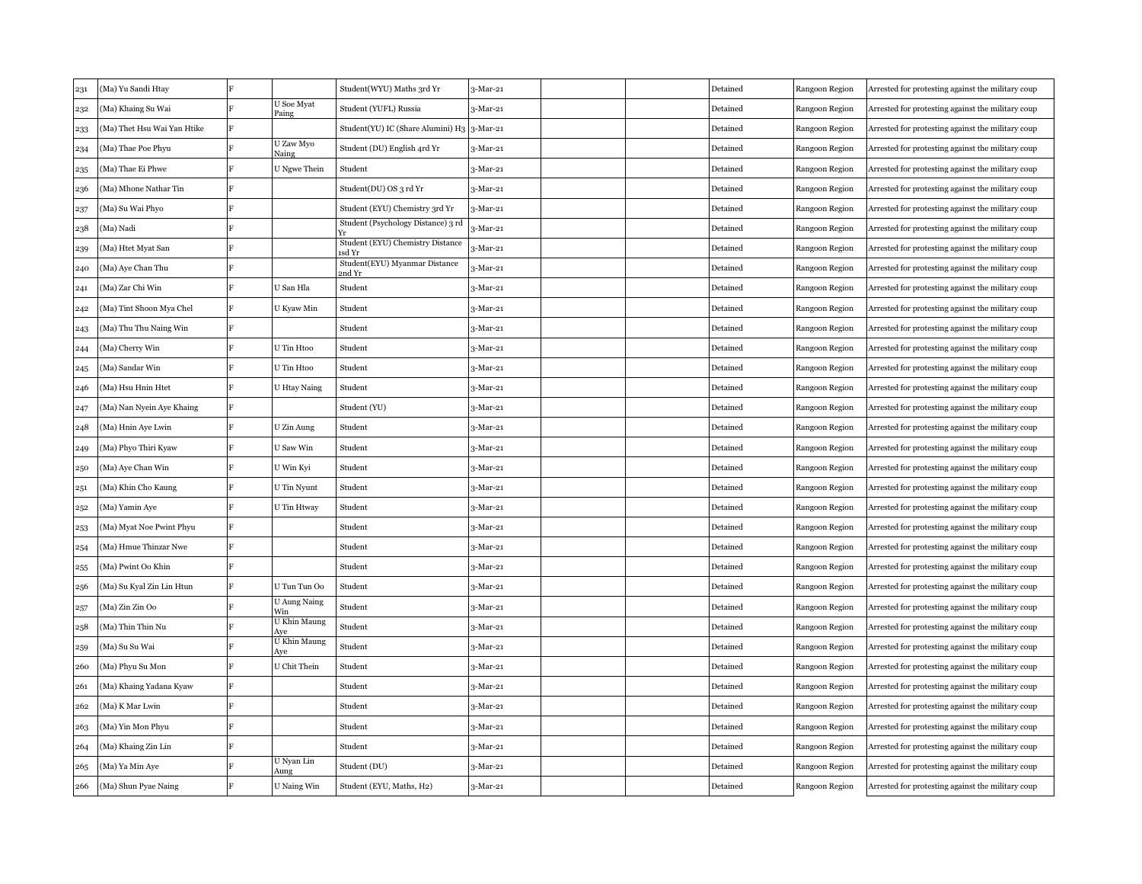| 231 | (Ma) Yu Sandi Htay          |                     | Student(WYU) Maths 3rd Yr                  | $3-Mar-21$ |  | Detained | Rangoon Region | Arrested for protesting against the military coup |
|-----|-----------------------------|---------------------|--------------------------------------------|------------|--|----------|----------------|---------------------------------------------------|
| 232 | (Ma) Khaing Su Wai          | U Soe Myat<br>Paing | Student (YUFL) Russia                      | $3-Mar-21$ |  | Detained | Rangoon Region | Arrested for protesting against the military coup |
| 233 | (Ma) Thet Hsu Wai Yan Htike |                     | Student(YU) IC (Share Alumini) H3          | 3-Mar-21   |  | Detained | Rangoon Region | Arrested for protesting against the military coup |
| 234 | (Ma) Thae Poe Phyu          | U Zaw Myo<br>Naing  | Student (DU) English 4rd Yr                | 3-Mar-21   |  | Detained | Rangoon Region | Arrested for protesting against the military coup |
| 235 | (Ma) Thae Ei Phwe           | U Ngwe Thein        | Student                                    | $3-Mar-21$ |  | Detained | Rangoon Region | Arrested for protesting against the military coup |
| 236 | (Ma) Mhone Nathar Tin       |                     | Student(DU) OS 3 rd Yr                     | $3-Mar-21$ |  | Detained | Rangoon Region | Arrested for protesting against the military coup |
| 237 | (Ma) Su Wai Phyo            |                     | Student (EYU) Chemistry 3rd Yr             | 3-Mar-21   |  | Detained | Rangoon Region | Arrested for protesting against the military coup |
| 238 | Ma) Nadi                    |                     | Student (Psychology Distance) 3 rd         | $3-Mar-21$ |  | Detained | Rangoon Region | Arrested for protesting against the military coup |
| 239 | (Ma) Htet Myat San          |                     | Student (EYU) Chemistry Distance<br>!sd Yr | $-Mar-21$  |  | Detained | Rangoon Region | Arrested for protesting against the military coup |
| 240 | (Ma) Aye Chan Thu           |                     | Student(EYU) Myanmar Distance<br>2nd Yr    | 3-Mar-21   |  | Detained | Rangoon Region | Arrested for protesting against the military coup |
| 241 | (Ma) Zar Chi Win            | U San Hla           | Student                                    | 3-Mar-21   |  | Detained | Rangoon Region | Arrested for protesting against the military coup |
| 242 | (Ma) Tint Shoon Mya Chel    | U Kyaw Min          | Student                                    | 3-Mar-21   |  | Detained | Rangoon Region | Arrested for protesting against the military coup |
| 243 | (Ma) Thu Thu Naing Win      |                     | Student                                    | 3-Mar-21   |  | Detained | Rangoon Region | Arrested for protesting against the military coup |
| 244 | (Ma) Cherry Win             | U Tin Htoo          | Student                                    | 3-Mar-21   |  | Detained | Rangoon Region | Arrested for protesting against the military coup |
| 245 | (Ma) Sandar Win             | U Tin Htoo          | Student                                    | $3-Mar-21$ |  | Detained | Rangoon Region | Arrested for protesting against the military coup |
| 246 | (Ma) Hsu Hnin Htet          | U Htay Naing        | Student                                    | 3-Mar-21   |  | Detained | Rangoon Region | Arrested for protesting against the military coup |
| 247 | (Ma) Nan Nyein Aye Khaing   |                     | Student (YU)                               | 3-Mar-21   |  | Detained | Rangoon Region | Arrested for protesting against the military coup |
| 248 | Ma) Hnin Aye Lwin           | U Zin Aung          | Student                                    | $3-Mar-21$ |  | Detained | Rangoon Region | Arrested for protesting against the military coup |
| 249 | (Ma) Phyo Thiri Kyaw        | U Saw Win           | Student                                    | 3-Mar-21   |  | Detained | Rangoon Region | Arrested for protesting against the military coup |
| 250 | (Ma) Aye Chan Win           | U Win Kyi           | Student                                    | 3-Mar-21   |  | Detained | Rangoon Region | Arrested for protesting against the military coup |
| 251 | (Ma) Khin Cho Kaung         | U Tin Nyunt         | Student                                    | 3-Mar-21   |  | Detained | Rangoon Region | Arrested for protesting against the military coup |
| 252 | (Ma) Yamin Aye              | U Tin Htway         | Student                                    | 3-Mar-21   |  | Detained | Rangoon Region | Arrested for protesting against the military coup |
| 253 | (Ma) Myat Noe Pwint Phyu    |                     | Student                                    | 3-Mar-21   |  | Detained | Rangoon Region | Arrested for protesting against the military coup |
| 254 | (Ma) Hmue Thinzar Nwe       |                     | Student                                    | 3-Mar-21   |  | Detained | Rangoon Region | Arrested for protesting against the military coup |
| 255 | (Ma) Pwint Oo Khin          |                     | Student                                    | 3-Mar-21   |  | Detained | Rangoon Region | Arrested for protesting against the military coup |
| 256 | (Ma) Su Kyal Zin Lin Htun   | U Tun Tun Oo        | Student                                    | 3-Mar-21   |  | Detained | Rangoon Region | Arrested for protesting against the military coup |
| 257 | (Ma) Zin Zin Oo             | U Aung Naing<br>Win | Student                                    | 3-Mar-21   |  | Detained | Rangoon Region | Arrested for protesting against the military coup |
| 258 | (Ma) Thin Thin Nu           | U Khin Maung<br>Ave | Student                                    | 3-Mar-21   |  | Detained | Rangoon Region | Arrested for protesting against the military coup |
| 259 | (Ma) Su Su Wai              | U Khin Maung        | Student                                    | 3-Mar-21   |  | Detained | Rangoon Region | Arrested for protesting against the military coup |
| 260 | (Ma) Phyu Su Mon            | U Chit Thein        | Student                                    | 3-Mar-21   |  | Detained | Rangoon Region | Arrested for protesting against the military coup |
| 261 | (Ma) Khaing Yadana Kyaw     |                     | Student                                    | $3-Mar-21$ |  | Detained | Rangoon Region | Arrested for protesting against the military coup |
| 262 | (Ma) K Mar Lwin             |                     | Student                                    | 3-Mar-21   |  | Detained | Rangoon Region | Arrested for protesting against the military coup |
| 263 | (Ma) Yin Mon Phyu           |                     | Student                                    | 3-Mar-21   |  | Detained | Rangoon Region | Arrested for protesting against the military coup |
| 264 | (Ma) Khaing Zin Lin         |                     | Student                                    | 3-Mar-21   |  | Detained | Rangoon Region | Arrested for protesting against the military coup |
| 265 | (Ma) Ya Min Aye             | U Nyan Lin<br>Aung  | Student (DU)                               | $3-Mar-21$ |  | Detained | Rangoon Region | Arrested for protesting against the military coup |
| 266 | (Ma) Shun Pyae Naing        | U Naing Win         | Student (EYU, Maths, H2)                   | 3-Mar-21   |  | Detained | Rangoon Region | Arrested for protesting against the military coup |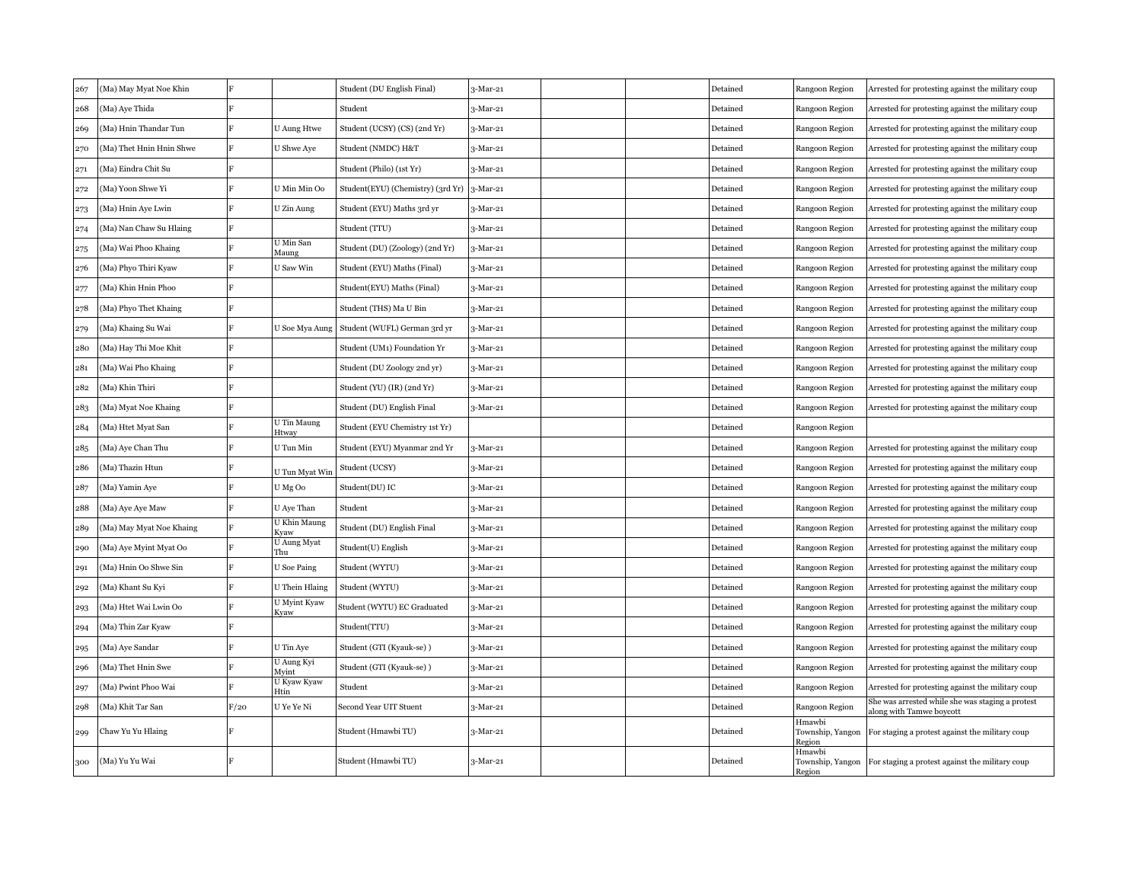| 267 | (Ma) May Myat Noe Khin   | F            |                      | Student (DU English Final)        | 3-Mar-21   |  | Detained | Rangoon Region                       | Arrested for protesting against the military coup                            |
|-----|--------------------------|--------------|----------------------|-----------------------------------|------------|--|----------|--------------------------------------|------------------------------------------------------------------------------|
| 268 | (Ma) Aye Thida           |              |                      | Student                           | $3-Mar-21$ |  | Detained | Rangoon Region                       | Arrested for protesting against the military coup                            |
| 269 | (Ma) Hnin Thandar Tun    | F            | <b>U Aung Htwe</b>   | Student (UCSY) (CS) (2nd Yr)      | $3-Mar-21$ |  | Detained | Rangoon Region                       | Arrested for protesting against the military coup                            |
| 270 | (Ma) Thet Hnin Hnin Shwe | $\mathbf{F}$ | U Shwe Aye           | Student (NMDC) H&T                | 3-Mar-21   |  | Detained | Rangoon Region                       | Arrested for protesting against the military coup                            |
| 271 | (Ma) Eindra Chit Su      |              |                      | Student (Philo) (1st Yr)          | $3-Mar-21$ |  | Detained | Rangoon Region                       | Arrested for protesting against the military coup                            |
| 272 | (Ma) Yoon Shwe Yi        |              | U Min Min Oo         | Student(EYU) (Chemistry) (3rd Yr) | 3-Mar-21   |  | Detained | Rangoon Region                       | Arrested for protesting against the military coup                            |
| 273 | (Ma) Hnin Aye Lwin       |              | U Zin Aung           | Student (EYU) Maths 3rd yr        | 3-Mar-21   |  | Detained | Rangoon Region                       | Arrested for protesting against the military coup                            |
| 274 | (Ma) Nan Chaw Su Hlaing  | $\mathbf{F}$ |                      | Student (TTU)                     | 3-Mar-21   |  | Detained | Rangoon Region                       | Arrested for protesting against the military coup                            |
| 275 | (Ma) Wai Phoo Khaing     |              | U Min San<br>Maung   | Student (DU) (Zoology) (2nd Yr)   | $3-Mar-21$ |  | Detained | Rangoon Region                       | Arrested for protesting against the military coup                            |
| 276 | (Ma) Phyo Thiri Kyaw     |              | U Saw Win            | Student (EYU) Maths (Final)       | 3-Mar-21   |  | Detained | Rangoon Region                       | Arrested for protesting against the military coup                            |
| 277 | (Ma) Khin Hnin Phoo      |              |                      | Student(EYU) Maths (Final)        | 3-Mar-21   |  | Detained | Rangoon Region                       | Arrested for protesting against the military coup                            |
| 278 | (Ma) Phyo Thet Khaing    |              |                      | Student (THS) Ma U Bin            | $3-Mar-21$ |  | Detained | Rangoon Region                       | Arrested for protesting against the military coup                            |
| 279 | (Ma) Khaing Su Wai       |              | U Soe Mya Aung       | Student (WUFL) German 3rd yr      | $3-Mar-21$ |  | Detained | Rangoon Region                       | Arrested for protesting against the military coup                            |
| 280 | (Ma) Hay Thi Moe Khit    |              |                      | Student (UM1) Foundation Yr       | 3-Mar-21   |  | Detained | Rangoon Region                       | Arrested for protesting against the military coup                            |
| 281 | (Ma) Wai Pho Khaing      | $\mathbf{F}$ |                      | Student (DU Zoology 2nd yr)       | $3-Mar-21$ |  | Detained | Rangoon Region                       | Arrested for protesting against the military coup                            |
| 282 | (Ma) Khin Thiri          |              |                      | Student (YU) (IR) (2nd Yr)        | $3-Mar-21$ |  | Detained | Rangoon Region                       | Arrested for protesting against the military coup                            |
| 283 | (Ma) Myat Noe Khaing     |              |                      | Student (DU) English Final        | 3-Mar-21   |  | Detained | Rangoon Region                       | Arrested for protesting against the military coup                            |
| 284 | (Ma) Htet Myat San       |              | U Tin Maung<br>Htway | Student (EYU Chemistry 1st Yr)    |            |  | Detained | Rangoon Region                       |                                                                              |
| 285 | (Ma) Aye Chan Thu        |              | U Tun Min            | Student (EYU) Myanmar 2nd Yr      | 3-Mar-21   |  | Detained | Rangoon Region                       | Arrested for protesting against the military coup                            |
| 286 | (Ma) Thazin Htun         |              | U Tun Myat Win       | Student (UCSY)                    | 3-Mar-21   |  | Detained | Rangoon Region                       | Arrested for protesting against the military coup                            |
| 287 | (Ma) Yamin Aye           |              | U MgOo               | Student(DU) IC                    | 3-Mar-21   |  | Detained | Rangoon Region                       | Arrested for protesting against the military coup                            |
| 288 | (Ma) Aye Aye Maw         |              | U Aye Than           | Student                           | $3-Mar-21$ |  | Detained | Rangoon Region                       | Arrested for protesting against the military coup                            |
| 289 | (Ma) May Myat Noe Khaing |              | U Khin Maung<br>Kvaw | Student (DU) English Final        | 3-Mar-21   |  | Detained | Rangoon Region                       | Arrested for protesting against the military coup                            |
| 290 | (Ma) Aye Myint Myat Oo   |              | U Aung Myat<br>Thu   | Student(U) English                | 3-Mar-21   |  | Detained | Rangoon Region                       | Arrested for protesting against the military coup                            |
| 291 | (Ma) Hnin Oo Shwe Sin    |              | U Soe Paing          | Student (WYTU)                    | 3-Mar-21   |  | Detained | Rangoon Region                       | Arrested for protesting against the military coup                            |
| 292 | (Ma) Khant Su Kyi        |              | U Thein Hlaing       | Student (WYTU)                    | $3-Mar-21$ |  | Detained | Rangoon Region                       | Arrested for protesting against the military coup                            |
| 293 | (Ma) Htet Wai Lwin Oo    |              | U Myint Kyaw<br>Kvaw | Student (WYTU) EC Graduated       | $3-Mar-21$ |  | Detained | Rangoon Region                       | Arrested for protesting against the military coup                            |
| 294 | (Ma) Thin Zar Kyaw       |              |                      | Student(TTU)                      | 3-Mar-21   |  | Detained | Rangoon Region                       | Arrested for protesting against the military coup                            |
| 295 | (Ma) Aye Sandar          |              | U Tin Aye            | Student (GTI (Kyauk-se))          | $3-Mar-21$ |  | Detained | Rangoon Region                       | Arrested for protesting against the military coup                            |
| 296 | (Ma) Thet Hnin Swe       |              | U Aung Kyi<br>Myint  | Student (GTI (Kyauk-se))          | 3-Mar-21   |  | Detained | Rangoon Region                       | Arrested for protesting against the military coup                            |
| 297 | (Ma) Pwint Phoo Wai      |              | U Kyaw Kyaw<br>Htin  | Student                           | 3-Mar-21   |  | Detained | Rangoon Region                       | Arrested for protesting against the military coup                            |
| 298 | (Ma) Khit Tar San        | F/20         | U Ye Ye Ni           | Second Year UIT Stuent            | 3-Mar-21   |  | Detained | Rangoon Region                       | She was arrested while she was staging a protest<br>along with Tamwe boycott |
| 299 | Chaw Yu Yu Hlaing        |              |                      | Student (Hmawbi TU)               | 3-Mar-21   |  | Detained | Hmawbi<br>Township, Yangon<br>Region | For staging a protest against the military coup                              |
| 300 | (Ma) Yu Yu Wai           |              |                      | Student (Hmawbi TU)               | 3-Mar-21   |  | Detained | Hmawbi<br>Region                     | Township, Yangon For staging a protest against the military coup             |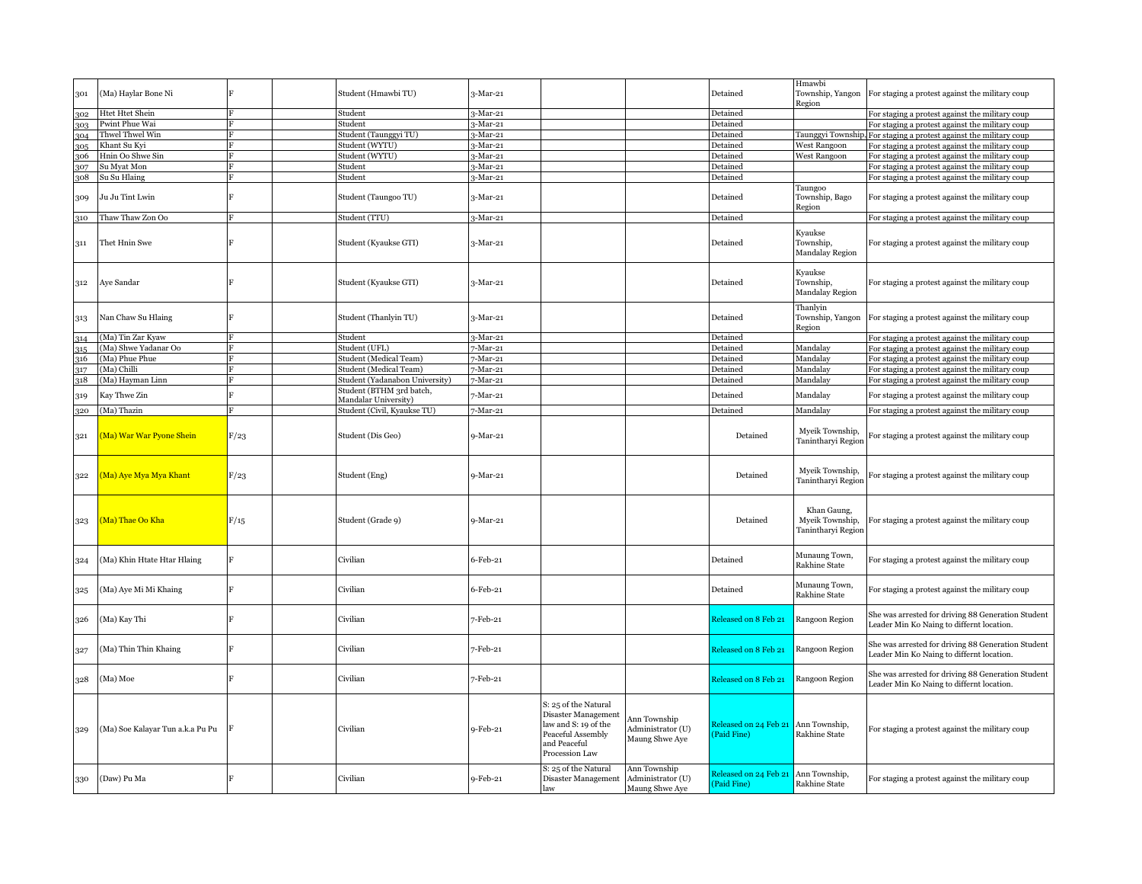| 301 | (Ma) Haylar Bone Ni              |      | Student (Hmawbi TU)            | 3-Mar-21               |                                                                                                                            |                                                     | Detained                             | Hmawbi<br>Township, Yangon                           | For staging a protest against the military coup                                                 |
|-----|----------------------------------|------|--------------------------------|------------------------|----------------------------------------------------------------------------------------------------------------------------|-----------------------------------------------------|--------------------------------------|------------------------------------------------------|-------------------------------------------------------------------------------------------------|
| 302 | <b>Htet Htet Shein</b>           |      | Student                        | $3-Mar-21$             |                                                                                                                            |                                                     | Detained                             | Region                                               | For staging a protest against the military coup                                                 |
|     | Pwint Phue Wai                   |      | Student                        | $3-Mar-21$             |                                                                                                                            |                                                     | Detained                             |                                                      |                                                                                                 |
| 303 |                                  |      | Student (Taunggyi TU)          |                        |                                                                                                                            |                                                     |                                      | Taunggyi Township,                                   | For staging a protest against the military coup                                                 |
| 304 | Thwel Thwel Win                  |      |                                | 3-Mar-21               |                                                                                                                            |                                                     | Detained                             |                                                      | For staging a protest against the military coup                                                 |
| 305 | Khant Su Kyi                     |      | Student (WYTU)                 | $\overline{3}$ -Mar-21 |                                                                                                                            |                                                     | Detained                             | West Rangoon                                         | For staging a protest against the military coup                                                 |
| 306 | Hnin Oo Shwe Sin                 |      | Student (WYTU)                 | 3-Mar-21               |                                                                                                                            |                                                     | Detained                             | West Rangoon                                         | For staging a protest against the military coup                                                 |
| 307 | Su Myat Mon                      |      | Student                        | $-Mar-21$              |                                                                                                                            |                                                     | Detained                             |                                                      | For staging a protest against the military coup                                                 |
| 308 | Su Su Hlaing                     |      | Student                        | $-Mar-21$              |                                                                                                                            |                                                     | Detained                             |                                                      | For staging a protest against the military coup                                                 |
| 309 | Ju Ju Tint Lwin                  |      | Student (Taungoo TU)           | $3-Mar-21$             |                                                                                                                            |                                                     | Detained                             | Taungoo<br>Township, Bago                            | For staging a protest against the military coup                                                 |
|     |                                  |      |                                |                        |                                                                                                                            |                                                     |                                      | Region                                               |                                                                                                 |
| 310 | Thaw Thaw Zon Oo                 |      | Student (TTU)                  | 3-Mar-21               |                                                                                                                            |                                                     | Detained                             |                                                      | For staging a protest against the military coup                                                 |
| 311 | Thet Hnin Swe                    |      | Student (Kyaukse GTI)          | $3-Mar-21$             |                                                                                                                            |                                                     | Detained                             | Kvaukse<br>Township,<br>Mandalay Region              | For staging a protest against the military coup                                                 |
| 312 | Aye Sandar                       |      | Student (Kyaukse GTI)          | 3-Mar-21               |                                                                                                                            |                                                     | Detained                             | Kyaukse<br>Township,<br>Mandalay Region              | For staging a protest against the military coup                                                 |
| 313 | Nan Chaw Su Hlaing               |      | Student (Thanlyin TU)          | 3-Mar-21               |                                                                                                                            |                                                     | Detained                             | Thanlyin<br>Township, Yangon<br>Region               | For staging a protest against the military coup                                                 |
| 314 | (Ma) Tin Zar Kyaw                |      | Student                        | $3-Mar-21$             |                                                                                                                            |                                                     | Detained                             |                                                      | For staging a protest against the military coup                                                 |
|     | (Ma) Shwe Yadanar Oo             |      | Student (UFL)                  | 7-Mar-21               |                                                                                                                            |                                                     | Detained                             | Mandalay                                             | For staging a protest against the military coup                                                 |
| 316 | (Ma) Phue Phue                   |      | Student (Medical Team)         | 7-Mar-21               |                                                                                                                            |                                                     | Detained                             | Mandalay                                             | For staging a protest against the military coup                                                 |
| 317 | (Ma) Chilli                      |      | Student (Medical Team)         | $\overline{7}$ -Mar-21 |                                                                                                                            |                                                     | Detained                             | Mandalay                                             | For staging a protest against the military coup                                                 |
| 318 | (Ma) Hayman Linn                 |      | Student (Yadanabon University) | 7-Mar-21               |                                                                                                                            |                                                     | Detained                             | Mandalay                                             | For staging a protest against the military coup                                                 |
|     |                                  |      | Student (BTHM 3rd batch,       |                        |                                                                                                                            |                                                     |                                      |                                                      |                                                                                                 |
| 319 | Kay Thwe Zin                     |      | Mandalar University)           | 7-Mar-21               |                                                                                                                            |                                                     | Detained                             | Mandalay                                             | For staging a protest against the military coup                                                 |
| 320 | (Ma) Thazin                      |      | Student (Civil, Kyaukse TU)    | 7-Mar-21               |                                                                                                                            |                                                     | Detained                             | Mandalay                                             | For staging a protest against the military coup                                                 |
|     |                                  |      |                                |                        |                                                                                                                            |                                                     |                                      |                                                      |                                                                                                 |
| 321 | Ma) War War Pyone Shein          | F/23 | Student (Dis Geo)              | $9-Mar-21$             |                                                                                                                            |                                                     | Detained                             | Myeik Township,<br>Tanintharyi Region                | For staging a protest against the military coup                                                 |
| 322 | Ma) Aye Mya Mya Khant            | F/23 | Student (Eng)                  | $9-Mar-21$             |                                                                                                                            |                                                     | Detained                             | Myeik Township,<br>Tanintharyi Region                | For staging a protest against the military coup                                                 |
| 323 | Ma) Thae Oo Kha                  | F/15 | Student (Grade 9)              | 9-Mar-21               |                                                                                                                            |                                                     | Detained                             | Khan Gaung,<br>Myeik Township,<br>Tanintharyi Region | For staging a protest against the military coup                                                 |
| 324 | (Ma) Khin Htate Htar Hlaing      |      | Civilian                       | $5$ -Feb-21            |                                                                                                                            |                                                     | Detained                             | Munaung Town,<br>Rakhine State                       | For staging a protest against the military coup                                                 |
| 325 | (Ma) Aye Mi Mi Khaing            |      | Civilian                       | ó-Feb-21               |                                                                                                                            |                                                     | Detained                             | Munaung Town,<br><b>Rakhine State</b>                | For staging a protest against the military coup                                                 |
| 326 | (Ma) Kay Thi                     |      | Civilian                       | 7-Feb-21               |                                                                                                                            |                                                     | Released on 8 Feb 21                 | Rangoon Region                                       | She was arrested for driving 88 Generation Student<br>Leader Min Ko Naing to differnt location. |
| 327 | (Ma) Thin Thin Khaing            |      | Civilian                       | 7-Feb-21               |                                                                                                                            |                                                     | Released on 8 Feb 21                 | Rangoon Region                                       | She was arrested for driving 88 Generation Student<br>Leader Min Ko Naing to differnt location. |
| 328 | (Ma) Moe                         |      | Civilian                       | -Feb-21                |                                                                                                                            |                                                     | Released on 8 Feb 21                 | Rangoon Region                                       | She was arrested for driving 88 Generation Student<br>Leader Min Ko Naing to differnt location. |
| 329 | (Ma) Soe Kalayar Tun a.k.a Pu Pu |      | Civilian                       | $9-Feb-21$             | S: 25 of the Natural<br>Disaster Management<br>law and S: 19 of the<br>Peaceful Assembly<br>and Peaceful<br>Procession Law | Ann Township<br>Administrator (U)<br>Maung Shwe Aye | Released on 24 Feb 21<br>(Paid Fine) | Ann Township,<br>Rakhine State                       | For staging a protest against the military coup                                                 |
| 330 | (Daw) Pu Ma                      |      | Civilian                       | $9-Feb-21$             | S: 25 of the Natural<br>Disaster Management<br>law                                                                         | Ann Township<br>Administrator (U)<br>Maung Shwe Aye | Released on 24 Feb 21<br>(Paid Fine) | Ann Township,<br><b>Rakhine State</b>                | For staging a protest against the military coup                                                 |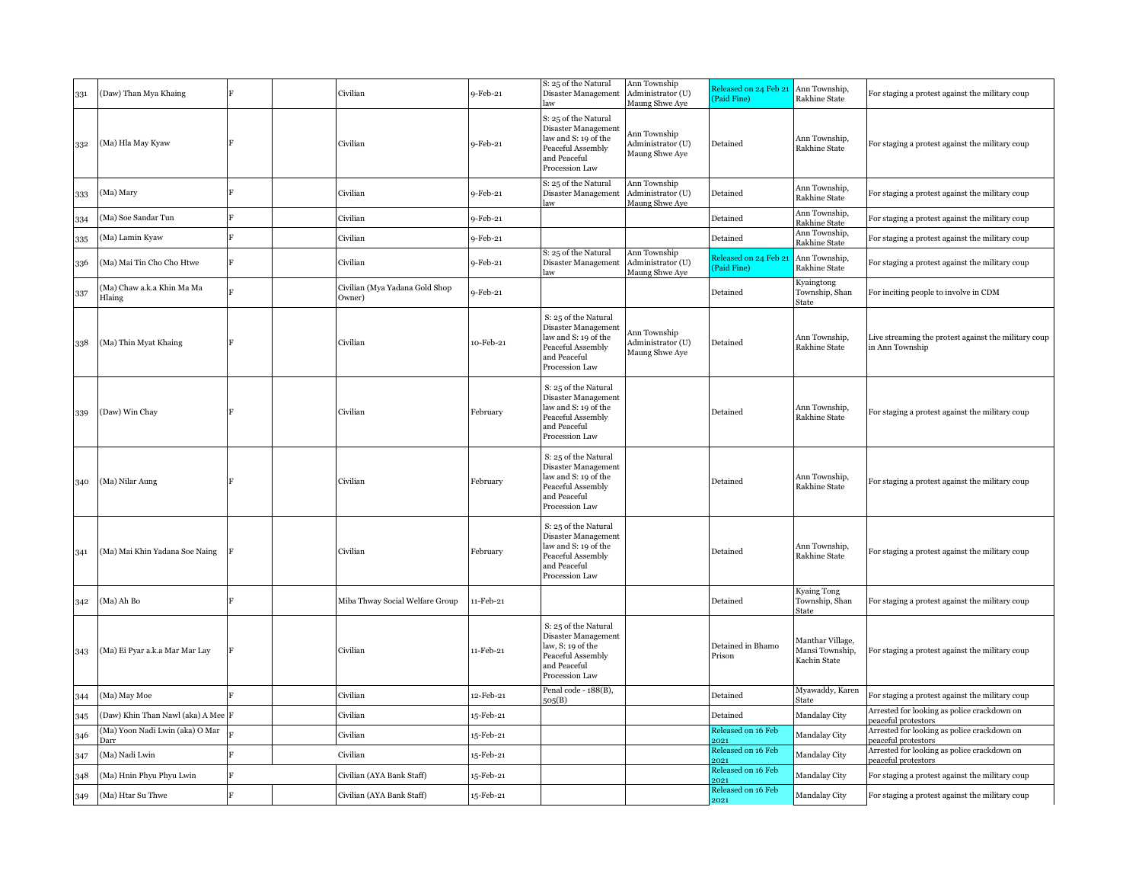| 331 | (Daw) Than Mya Khaing                   |  | Civilian                                 | 9-Feb-21   | S: 25 of the Natural<br>Disaster Management<br>law                                                                         | Ann Township<br>Administrator (U)<br>Maung Shwe Aye | Released on 24 Feb 21 Ann Township,<br>(Paid Fine) | Rakhine State                                       | For staging a protest against the military coup                         |
|-----|-----------------------------------------|--|------------------------------------------|------------|----------------------------------------------------------------------------------------------------------------------------|-----------------------------------------------------|----------------------------------------------------|-----------------------------------------------------|-------------------------------------------------------------------------|
| 332 | (Ma) Hla May Kyaw                       |  | Civilian                                 | $9-Feb-21$ | S: 25 of the Natural<br>Disaster Management<br>law and S: 19 of the<br>Peaceful Assembly<br>and Peaceful<br>Procession Law | Ann Township<br>Administrator (U)<br>Maung Shwe Aye | Detained                                           | Ann Township,<br><b>Rakhine State</b>               | For staging a protest against the military coup                         |
| 333 | (Ma) Mary                               |  | Civilian                                 | 9-Feb-21   | S: 25 of the Natural<br>Disaster Management<br>law                                                                         | Ann Township<br>Administrator (U)<br>Maung Shwe Aye | Detained                                           | Ann Township,<br><b>Rakhine State</b>               | For staging a protest against the military coup                         |
| 334 | (Ma) Soe Sandar Tun                     |  | Civilian                                 | 9-Feb-21   |                                                                                                                            |                                                     | Detained                                           | Ann Township,<br>Rakhine State                      | For staging a protest against the military coup                         |
| 335 | (Ma) Lamin Kyaw                         |  | Civilian                                 | 9-Feb-21   |                                                                                                                            |                                                     | Detained                                           | Ann Township,<br>Rakhine State                      | For staging a protest against the military coup                         |
| 336 | (Ma) Mai Tin Cho Cho Htwe               |  | Civilian                                 | 9-Feb-21   | S: 25 of the Natural<br>Disaster Management<br>law                                                                         | Ann Township<br>Administrator (U)<br>Maung Shwe Aye | Released on 24 Feb 2<br>(Paid Fine)                | Ann Township,<br>Rakhine State                      | For staging a protest against the military coup                         |
| 337 | (Ma) Chaw a.k.a Khin Ma Ma<br>Hlaing    |  | Civilian (Mya Yadana Gold Shop<br>Owner) | )-Feb-21   |                                                                                                                            |                                                     | Detained                                           | Kyaingtong<br>Township, Shan<br>State               | For inciting people to involve in CDM                                   |
| 338 | (Ma) Thin Myat Khaing                   |  | Civilian                                 | 10-Feb-21  | S: 25 of the Natural<br>Disaster Management<br>law and S: 19 of the<br>Peaceful Assembly<br>and Peaceful<br>Procession Law | Ann Township<br>Administrator (U)<br>Maung Shwe Aye | Detained                                           | Ann Township,<br><b>Rakhine State</b>               | Live streaming the protest against the military coup<br>in Ann Township |
| 339 | (Daw) Win Chay                          |  | Civilian                                 | February   | S: 25 of the Natural<br>Disaster Management<br>law and S: 19 of the<br>Peaceful Assembly<br>and Peaceful<br>Procession Law |                                                     | Detained                                           | Ann Township,<br>Rakhine State                      | For staging a protest against the military coup                         |
| 340 | (Ma) Nilar Aung                         |  | Civilian                                 | February   | S: 25 of the Natural<br>Disaster Management<br>law and S: 19 of the<br>Peaceful Assembly<br>and Peaceful<br>Procession Law |                                                     | Detained                                           | Ann Township,<br><b>Rakhine State</b>               | For staging a protest against the military coup                         |
| 341 | (Ma) Mai Khin Yadana Soe Naing          |  | Civilian                                 | February   | S: 25 of the Natural<br>Disaster Management<br>law and S: 19 of the<br>Peaceful Assembly<br>and Peaceful<br>Procession Law |                                                     | Detained                                           | Ann Township,<br>Rakhine State                      | For staging a protest against the military coup                         |
| 342 | (Ma) Ah Bo                              |  | Miba Thway Social Welfare Group          | 11-Feb-21  |                                                                                                                            |                                                     | Detained                                           | Kyaing Tong<br>Township, Shan<br>State              | For staging a protest against the military coup                         |
| 343 | (Ma) Ei Pyar a.k.a Mar Mar Lay          |  | Civilian                                 | 11-Feb-21  | S: 25 of the Natural<br>Disaster Management<br>law, S: 19 of the<br>Peaceful Assembly<br>and Peaceful<br>Procession Law    |                                                     | Detained in Bhamo<br>Prison                        | Manthar Village,<br>Mansi Township,<br>Kachin State | For staging a protest against the military coup                         |
| 344 | (Ma) May Moe                            |  | Civilian                                 | 12-Feb-21  | Penal code - 188(B),<br>505(B)                                                                                             |                                                     | Detained                                           | Myawaddy, Karen<br>State                            | For staging a protest against the military coup                         |
| 345 | (Daw) Khin Than Nawl (aka) A Mee F      |  | Civilian                                 | 15-Feb-21  |                                                                                                                            |                                                     | Detained                                           | Mandalay City                                       | Arrested for looking as police crackdown on<br>peaceful protestors      |
| 346 | (Ma) Yoon Nadi Lwin (aka) O Mar<br>Darr |  | Civilian                                 | 15-Feb-21  |                                                                                                                            |                                                     | Released on 16 Feb<br>2021                         | Mandalay City                                       | Arrested for looking as police crackdown on<br>peaceful protestors      |
| 347 | (Ma) Nadi Lwin                          |  | Civilian                                 | 15-Feb-21  |                                                                                                                            |                                                     | Released on 16 Feb<br>2021                         | Mandalay City                                       | Arrested for looking as police crackdown on<br>peaceful protestors      |
| 348 | (Ma) Hnin Phyu Phyu Lwin                |  | Civilian (AYA Bank Staff)                | 15-Feb-21  |                                                                                                                            |                                                     | Released on 16 Feb<br>2021                         | Mandalay City                                       | For staging a protest against the military coup                         |
| 349 | (Ma) Htar Su Thwe                       |  | Civilian (AYA Bank Staff)                | 15-Feb-21  |                                                                                                                            |                                                     | Released on 16 Feb<br>2021                         | Mandalay City                                       | For staging a protest against the military coup                         |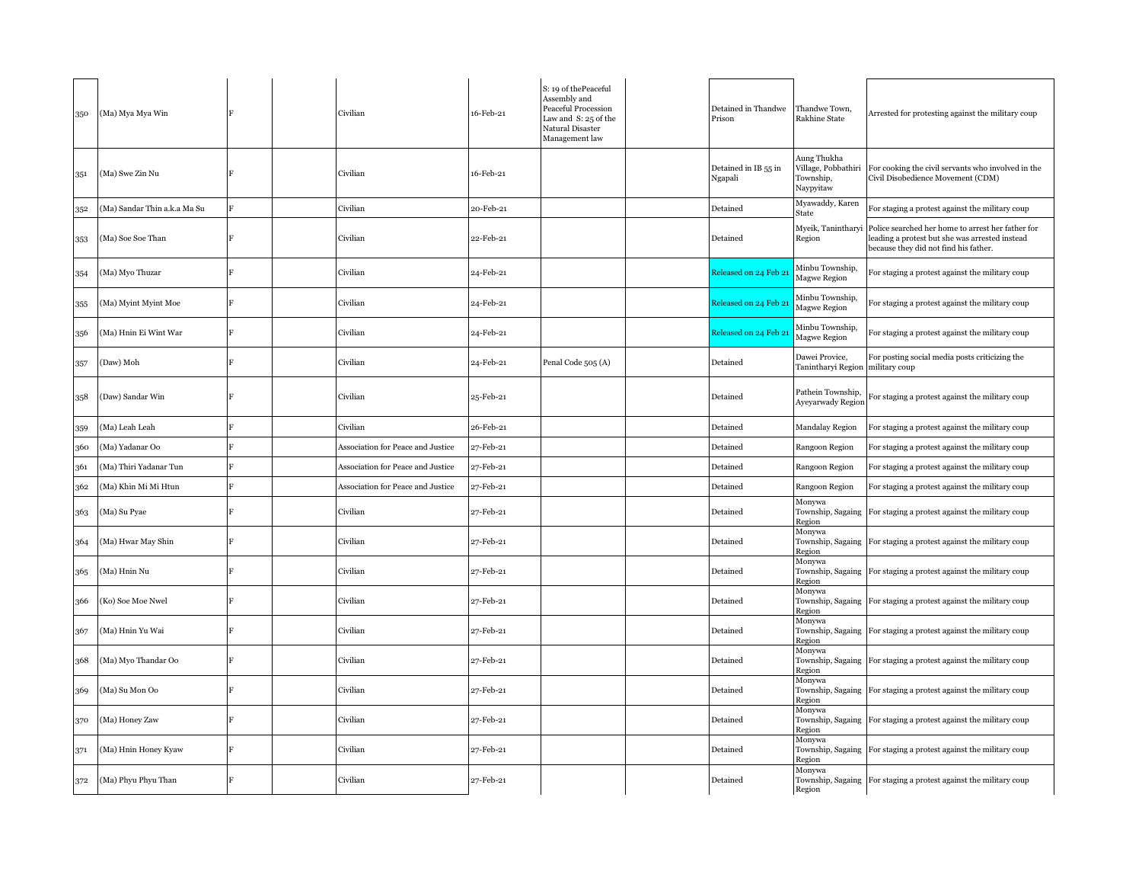| 350 | (Ma) Mya Mya Win             |  | Civilian                          | 16-Feb-21 | S: 19 of thePeaceful<br>Assembly and<br>Peaceful Procession<br>Law and S: 25 of the<br>Natural Disaster<br>Management law | Detained in Thandwe<br>Prison   | Thandwe Town,<br><b>Rakhine State</b>  | Arrested for protesting against the military coup                                                                                            |
|-----|------------------------------|--|-----------------------------------|-----------|---------------------------------------------------------------------------------------------------------------------------|---------------------------------|----------------------------------------|----------------------------------------------------------------------------------------------------------------------------------------------|
| 351 | (Ma) Swe Zin Nu              |  | Civilian                          | 16-Feb-21 |                                                                                                                           | Detained in IB 55 in<br>Ngapali | Aung Thukha<br>Township,<br>Naypyitaw  | Village, Pobbathiri For cooking the civil servants who involved in the<br>Civil Disobedience Movement (CDM)                                  |
| 352 | (Ma) Sandar Thin a.k.a Ma Su |  | Civilian                          | 20-Feb-21 |                                                                                                                           | Detained                        | Myawaddy, Karen<br>State               | For staging a protest against the military coup                                                                                              |
| 353 | (Ma) Soe Soe Than            |  | Civilian                          | 22-Feb-21 |                                                                                                                           | Detained                        | Myeik, Tanintharyi<br>Region           | Police searched her home to arrest her father for<br>leading a protest but she was arrested instead<br>because they did not find his father. |
| 354 | (Ma) Myo Thuzar              |  | Civilian                          | 24-Feb-21 |                                                                                                                           | Released on 24 Feb 2            | Minbu Township,<br><b>Magwe Region</b> | For staging a protest against the military coup                                                                                              |
| 355 | (Ma) Myint Myint Moe         |  | Civilian                          | 24-Feb-21 |                                                                                                                           | Released on 24 Feb 2            | Minbu Township,<br><b>Magwe Region</b> | For staging a protest against the military coup                                                                                              |
| 356 | (Ma) Hnin Ei Wint War        |  | Civilian                          | 24-Feb-21 |                                                                                                                           | Released on 24 Feb 2            | Minbu Township,<br>Magwe Region        | For staging a protest against the military coup                                                                                              |
| 357 | (Daw) Moh                    |  | Civilian                          | 24-Feb-21 | Penal Code 505 (A)                                                                                                        | Detained                        | Dawei Provice,<br>Tanintharyi Region   | For posting social media posts criticizing the<br>military coup                                                                              |
| 358 | (Daw) Sandar Win             |  | Civilian                          | 25-Feb-21 |                                                                                                                           | Detained                        | Pathein Township,<br>Ayeyarwady Region | For staging a protest against the military coup                                                                                              |
| 359 | (Ma) Leah Leah               |  | Civilian                          | 26-Feb-21 |                                                                                                                           | Detained                        | <b>Mandalay Region</b>                 | For staging a protest against the military coup                                                                                              |
| 360 | (Ma) Yadanar Oo              |  | Association for Peace and Justice | 27-Feb-21 |                                                                                                                           | Detained                        | Rangoon Region                         | For staging a protest against the military coup                                                                                              |
| 361 | (Ma) Thiri Yadanar Tun       |  | Association for Peace and Justice | 27-Feb-21 |                                                                                                                           | Detained                        | Rangoon Region                         | For staging a protest against the military coup                                                                                              |
| 362 | (Ma) Khin Mi Mi Htun         |  | Association for Peace and Justice | 27-Feb-21 |                                                                                                                           | Detained                        | Rangoon Region                         | For staging a protest against the military coup                                                                                              |
| 363 | (Ma) Su Pyae                 |  | Civilian                          | 27-Feb-21 |                                                                                                                           | Detained                        | Monywa<br>Region                       | Township, Sagaing For staging a protest against the military coup                                                                            |
| 364 | (Ma) Hwar May Shin           |  | Civilian                          | 27-Feb-21 |                                                                                                                           | Detained                        | Monywa<br>Region                       | Township, Sagaing For staging a protest against the military coup                                                                            |
| 365 | (Ma) Hnin Nu                 |  | Civilian                          | 27-Feb-21 |                                                                                                                           | Detained                        | Monywa<br>Region                       | Township, Sagaing For staging a protest against the military coup                                                                            |
| 366 | (Ko) Soe Moe Nwel            |  | Civilian                          | 27-Feb-21 |                                                                                                                           | Detained                        | Monywa<br>Region                       | Township, Sagaing For staging a protest against the military coup                                                                            |
| 367 | (Ma) Hnin Yu Wai             |  | Civilian                          | 27-Feb-21 |                                                                                                                           | Detained                        | Monywa<br>Region                       | Township, Sagaing For staging a protest against the military coup                                                                            |
| 368 | (Ma) Myo Thandar Oo          |  | Civilian                          | 27-Feb-21 |                                                                                                                           | Detained                        | Monywa<br>Region                       | Township, Sagaing For staging a protest against the military coup                                                                            |
| 369 | (Ma) Su Mon Oo               |  | Civilian                          | 27-Feb-21 |                                                                                                                           | Detained                        | Monywa<br>Region                       | Township, Sagaing For staging a protest against the military coup                                                                            |
| 370 | (Ma) Honey Zaw               |  | Civilian                          | 27-Feb-21 |                                                                                                                           | Detained                        | Monywa<br>Region                       | Township, Sagaing For staging a protest against the military coup                                                                            |
| 371 | (Ma) Hnin Honey Kyaw         |  | Civilian                          | 27-Feb-21 |                                                                                                                           | Detained                        | Monywa<br>Region                       | Township, Sagaing For staging a protest against the military coup                                                                            |
| 372 | (Ma) Phyu Phyu Than          |  | Civilian                          | 27-Feb-21 |                                                                                                                           | Detained                        | Monywa<br>Region                       | Township, Sagaing For staging a protest against the military coup                                                                            |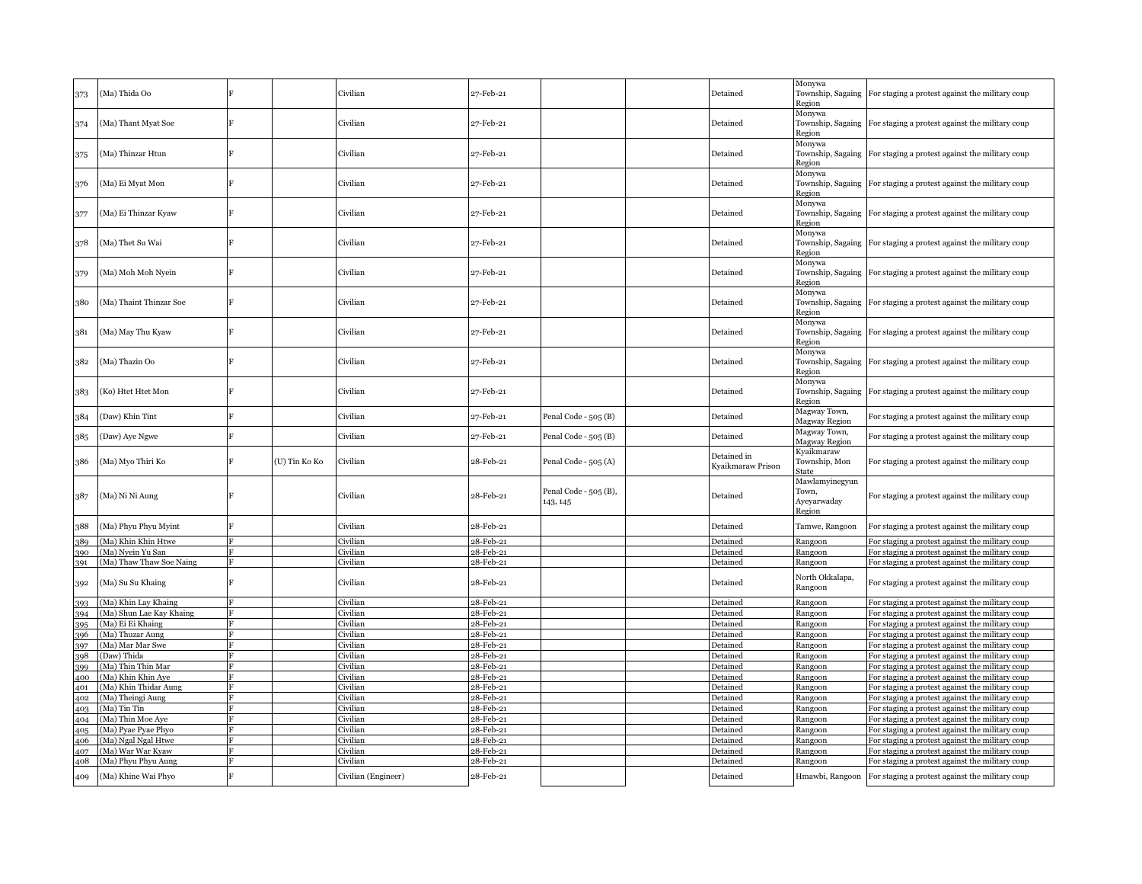| 373        | (Ma) Thida Oo                                |    |               | Civilian             | 27-Feb-21              |                                   | Detained                         | Monywa<br>Region                                 | Township, Sagaing For staging a protest against the military coup                                  |
|------------|----------------------------------------------|----|---------------|----------------------|------------------------|-----------------------------------|----------------------------------|--------------------------------------------------|----------------------------------------------------------------------------------------------------|
| 374        | (Ma) Thant Myat Soe                          | E. |               | Civilian             | 27-Feb-21              |                                   | Detained                         | Monywa<br>Region                                 | Township, Sagaing For staging a protest against the military coup                                  |
| 375        | (Ma) Thinzar Htun                            |    |               | Civilian             | 27-Feb-21              |                                   | Detained                         | Monywa<br>Region                                 | Township, Sagaing For staging a protest against the military coup                                  |
| 376        | (Ma) Ei Myat Mon                             | Е. |               | Civilian             | 27-Feb-21              |                                   | Detained                         | Monywa<br>Region                                 | Township, Sagaing For staging a protest against the military coup                                  |
| 377        | (Ma) Ei Thinzar Kyaw                         |    |               | Civilian             | 27-Feb-21              |                                   | Detained                         | Monywa<br>Region                                 | Township, Sagaing For staging a protest against the military coup                                  |
| 378        | (Ma) Thet Su Wai                             |    |               | Civilian             | 27-Feb-21              |                                   | Detained                         | Monywa<br>Region                                 | Township, Sagaing For staging a protest against the military coup                                  |
| 379        | (Ma) Moh Moh Nyein                           | F  |               | Civilian             | 27-Feb-21              |                                   | Detained                         | Monywa<br>Region                                 | Township, Sagaing For staging a protest against the military coup                                  |
| 380        | (Ma) Thaint Thinzar Soe                      | F  |               | Civilian             | 27-Feb-21              |                                   | Detained                         | Monywa<br>Region                                 | Township, Sagaing For staging a protest against the military coup                                  |
| 381        | (Ma) May Thu Kyaw                            | F. |               | Civilian             | 27-Feb-21              |                                   | Detained                         | Monywa<br>Region                                 | Township, Sagaing For staging a protest against the military coup                                  |
| 382        | (Ma) Thazin Oo                               |    |               | Civilian             | 27-Feb-21              |                                   | Detained                         | Monywa<br>Region                                 | Township, Sagaing For staging a protest against the military coup                                  |
| 383        | (Ko) Htet Htet Mon                           |    |               | Civilian             | 27-Feb-21              |                                   | Detained                         | Monywa<br>Region                                 | Township, Sagaing For staging a protest against the military coup                                  |
| 384        | (Daw) Khin Tint                              |    |               | Civilian             | 27-Feb-21              | Penal Code - 505 (B)              | Detained                         | Magway Town,<br>Magway Region                    | For staging a protest against the military coup                                                    |
| 385        | Daw) Aye Ngwe                                |    |               | Civilian             | 27-Feb-21              | Penal Code - 505 (B)              | Detained                         | Magway Town,<br>Magway Region                    | For staging a protest against the military coup                                                    |
| 386        | (Ma) Myo Thiri Ko                            | F  | (U) Tin Ko Ko | Civilian             | 28-Feb-21              | Penal Code - 505 (A)              | Detained in<br>Kyaikmaraw Prison | Kyaikmaraw<br>Township, Mon<br>State             | For staging a protest against the military coup                                                    |
| 387        | (Ma) Ni Ni Aung                              | E. |               | Civilian             | 28-Feb-21              | Penal Code - 505 (B),<br>143, 145 | Detained                         | Mawlamyinegyun<br>Town,<br>Ayeyarwaday<br>Region | For staging a protest against the military coup                                                    |
| 388        | (Ma) Phyu Phyu Myint                         |    |               | Civilian             | 28-Feb-21              |                                   | Detained                         | Tamwe, Rangoon                                   | For staging a protest against the military coup                                                    |
| 389        | Ma) Khin Khin Htwe                           |    |               | Civilian             | 28-Feb-21              |                                   | Detained                         | Rangoon                                          | For staging a protest against the military coup                                                    |
| 390        | Ma) Nyein Yu San                             |    |               | Civilian             | 28-Feb-21              |                                   | Detained                         | Rangoon                                          | For staging a protest against the military coup                                                    |
| 391<br>392 | Ma) Thaw Thaw Soe Naing<br>(Ma) Su Su Khaing |    |               | Civilian<br>Civilian | 28-Feb-21<br>28-Feb-21 |                                   | Detained<br>Detained             | Rangoon<br>North Okkalapa,<br>Rangoon            | For staging a protest against the military coup<br>For staging a protest against the military coup |
| 393        | Ma) Khin Lay Khaing                          |    |               | Civilian             | 28-Feb-21              |                                   | Detained                         | Rangoon                                          | For staging a protest against the military coup                                                    |
| 394        | (Ma) Shun Lae Kay Khaing                     |    |               | Civilian             | 28-Feb-21              |                                   | Detained                         | Rangoon                                          | For staging a protest against the military coup                                                    |
| 395        | Ma) Ei Ei Khaing                             |    |               | Civilian             | 28-Feb-21              |                                   | Detained                         | Rangoon                                          | For staging a protest against the military coup                                                    |
| 396        | Ma) Thuzar Aung                              |    |               | Civilian             | 28-Feb-21              |                                   | Detained                         | Rangoon                                          | For staging a protest against the military coup                                                    |
| 397        | (Ma) Mar Mar Swe                             |    |               | Civilian             | 28-Feb-21              |                                   | Detained                         | Rangoon                                          | For staging a protest against the military coup                                                    |
| 398<br>399 | (Daw) Thida<br>(Ma) Thin Thin Mar            |    |               | Civilian<br>Civilian | 28-Feb-21<br>28-Feb-21 |                                   | Detained<br>Detained             | Rangoon<br>Rangoon                               | For staging a protest against the military coup<br>For staging a protest against the military coup |
| 400        | Ma) Khin Khin Aye                            |    |               | Civilian             | 28-Feb-21              |                                   | Detained                         | Rangoon                                          | For staging a protest against the military coup                                                    |
| 401        | Ma) Khin Thidar Aung                         |    |               | Civilian             | 28-Feb-21              |                                   | Detained                         | Rangoon                                          | For staging a protest against the military coup                                                    |
| 402        | Ma) Theingi Aung                             |    |               | Civilian             | 28-Feb-21              |                                   | Detained                         | Rangoon                                          | For staging a protest against the military coup                                                    |
| 403        | Ma) Tin Tin                                  |    |               | Civilian             | 28-Feb-21              |                                   | Detained                         | Rangoon                                          | For staging a protest against the military coup                                                    |
| 404        | Ma) Thin Moe Aye                             |    |               | Civilian             | 28-Feb-21              |                                   | Detained                         | Rangoon                                          | For staging a protest against the military coup                                                    |
| 405        | Ma) Pyae Pyae Phyo                           |    |               | Civilian             | 28-Feb-21              |                                   | Detained                         | Rangoon                                          | For staging a protest against the military coup                                                    |
| 406        | Ma) Ngal Ngal Htwe                           |    |               | Civilian             | 28-Feb-21              |                                   | Detained                         | Rangoon                                          | For staging a protest against the military coup                                                    |
| 407<br>408 | Ma) War War Kyaw<br>(Ma) Phyu Phyu Aung      |    |               | Civilian<br>Civilian | 28-Feb-21<br>28-Feb-21 |                                   | Detained<br>Detained             | Rangoon<br>Rangoon                               | For staging a protest against the military coup<br>For staging a protest against the military coup |
|            |                                              |    |               |                      |                        |                                   |                                  |                                                  |                                                                                                    |
| 409        | (Ma) Khine Wai Phyo                          |    |               | Civilian (Engineer)  | 28-Feb-21              |                                   | Detained                         |                                                  | Hmawbi, Rangoon For staging a protest against the military coup                                    |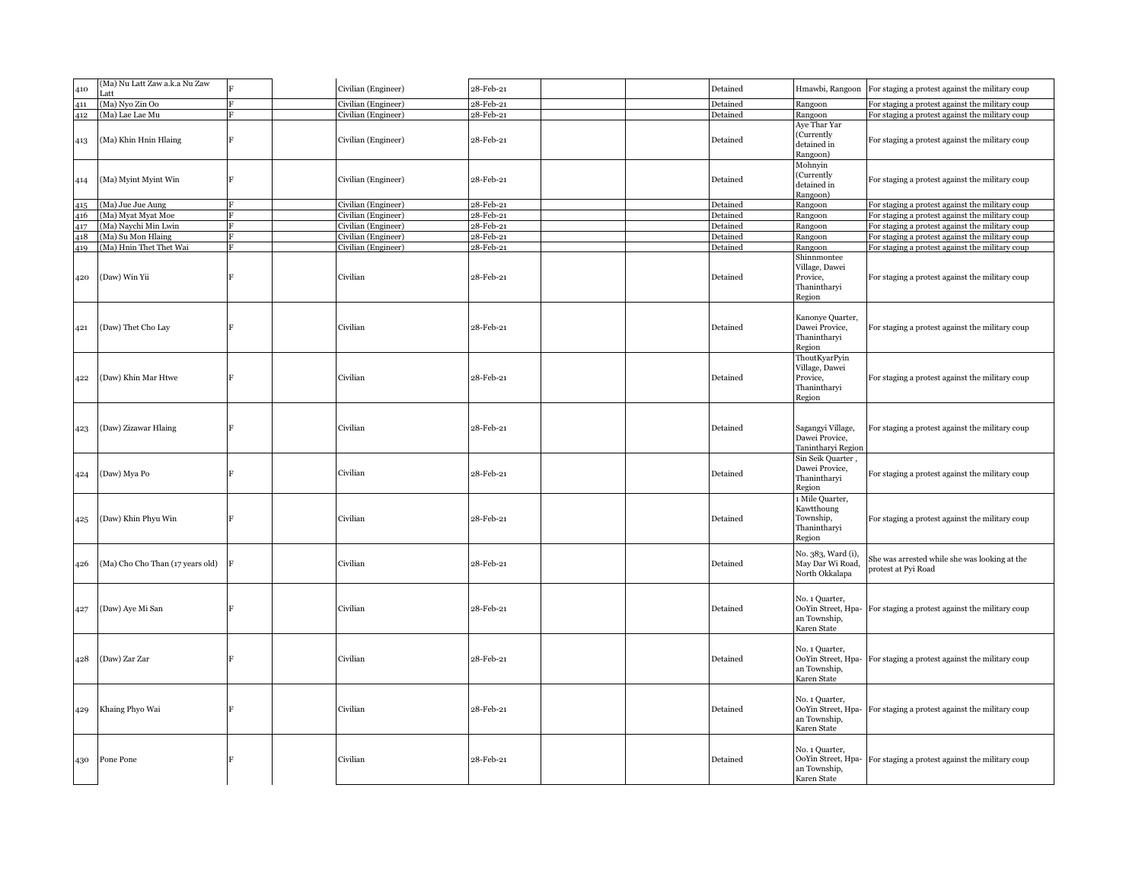| 410 | (Ma) Nu Latt Zaw a.k.a Nu Zaw<br>Latt |              | Civilian (Engineer) | 28-Feb-21 |  | Detained | Hmawbi, Rangoon                                                       | For staging a protest against the military coup                      |
|-----|---------------------------------------|--------------|---------------------|-----------|--|----------|-----------------------------------------------------------------------|----------------------------------------------------------------------|
| 411 | (Ma) Nyo Zin Oo                       | $\mathbf{F}$ | Civilian (Engineer) | 28-Feb-21 |  | Detained | Rangoon                                                               | For staging a protest against the military coup                      |
| 412 | (Ma) Lae Lae Mu                       |              | Civilian (Engineer) | 28-Feb-21 |  | Detained | Rangoon                                                               | For staging a protest against the military coup                      |
| 413 | (Ma) Khin Hnin Hlaing                 |              | Civilian (Engineer) | 28-Feb-21 |  | Detained | Aye Thar Yar<br>(Currently<br>detained in<br>Rangoon)                 | For staging a protest against the military coup                      |
| 414 | (Ma) Myint Myint Win                  |              | Civilian (Engineer) | 28-Feb-21 |  | Detained | Mohnyin<br>(Currently<br>detained in<br>Rangoon)                      | For staging a protest against the military coup                      |
| 415 | (Ma) Jue Jue Aung                     |              | Civilian (Engineer) | 28-Feb-21 |  | Detained | Rangoon                                                               | For staging a protest against the military coup                      |
| 416 | (Ma) Myat Myat Moe                    |              | Civilian (Engineer) | 28-Feb-21 |  | Detained | Rangoon                                                               | For staging a protest against the military coup                      |
| 417 | (Ma) Naychi Min Lwin                  |              | Civilian (Engineer) | 28-Feb-21 |  | Detained | Rangoon                                                               | For staging a protest against the military coup                      |
| 418 | (Ma) Su Mon Hlaing                    |              | Civilian (Engineer) | 28-Feb-21 |  | Detained | Rangoon                                                               | For staging a protest against the military coup                      |
| 419 | (Ma) Hnin Thet Thet Wai               |              | Civilian (Engineer) | 28-Feb-21 |  | Detained | Rangoon                                                               | For staging a protest against the military coup                      |
| 420 | (Daw) Win Yii                         |              | Civilian            | 28-Feb-21 |  | Detained | Shinnmontee<br>Village, Dawei<br>Provice,<br>Thanintharyi<br>Region   | For staging a protest against the military coup                      |
| 421 | (Daw) Thet Cho Lay                    |              | Civilian            | 28-Feb-21 |  | Detained | Kanonye Quarter,<br>Dawei Provice,<br>Thanintharyi<br>Region          | For staging a protest against the military coup                      |
| 422 | (Daw) Khin Mar Htwe                   |              | Civilian            | 28-Feb-21 |  | Detained | ThoutKyarPyin<br>Village, Dawei<br>Provice,<br>Thanintharyi<br>Region | For staging a protest against the military coup                      |
| 423 | (Daw) Zizawar Hlaing                  |              | Civilian            | 28-Feb-21 |  | Detained | Sagangyi Village,<br>Dawei Provice,<br>Tanintharyi Region             | For staging a protest against the military coup                      |
| 424 | (Daw) Mya Po                          |              | Civilian            | 28-Feb-21 |  | Detained | Sin Seik Quarter,<br>Dawei Provice,<br>Thanintharyi<br>Region         | For staging a protest against the military coup                      |
| 425 | (Daw) Khin Phyu Win                   |              | Civilian            | 28-Feb-21 |  | Detained | 1 Mile Quarter,<br>Kawtthoung<br>Township,<br>Thanintharyi<br>Region  | For staging a protest against the military coup                      |
| 426 | (Ma) Cho Cho Than (17 years old)      |              | Civilian            | 28-Feb-21 |  | Detained | No. 383, Ward (i),<br>May Dar Wi Road,<br>North Okkalapa              | She was arrested while she was looking at the<br>protest at Pyi Road |
| 427 | (Daw) Aye Mi San                      |              | Civilian            | 28-Feb-21 |  | Detained | No. 1 Quarter,<br>an Township,<br>Karen State                         | OoYin Street, Hpa- For staging a protest against the military coup   |
| 428 | (Daw) Zar Zar                         |              | Civilian            | 28-Feb-21 |  | Detained | No. 1 Quarter,<br>an Township,<br>Karen State                         | OoYin Street, Hpa- For staging a protest against the military coup   |
| 429 | Khaing Phyo Wai                       |              | Civilian            | 28-Feb-21 |  | Detained | No. 1 Quarter,<br>an Township,<br>Karen State                         | OoYin Street, Hpa- For staging a protest against the military coup   |
| 430 | Pone Pone                             |              | Civilian            | 28-Feb-21 |  | Detained | No. 1 Quarter,<br>an Township,<br>Karen State                         | OoYin Street, Hpa- For staging a protest against the military coup   |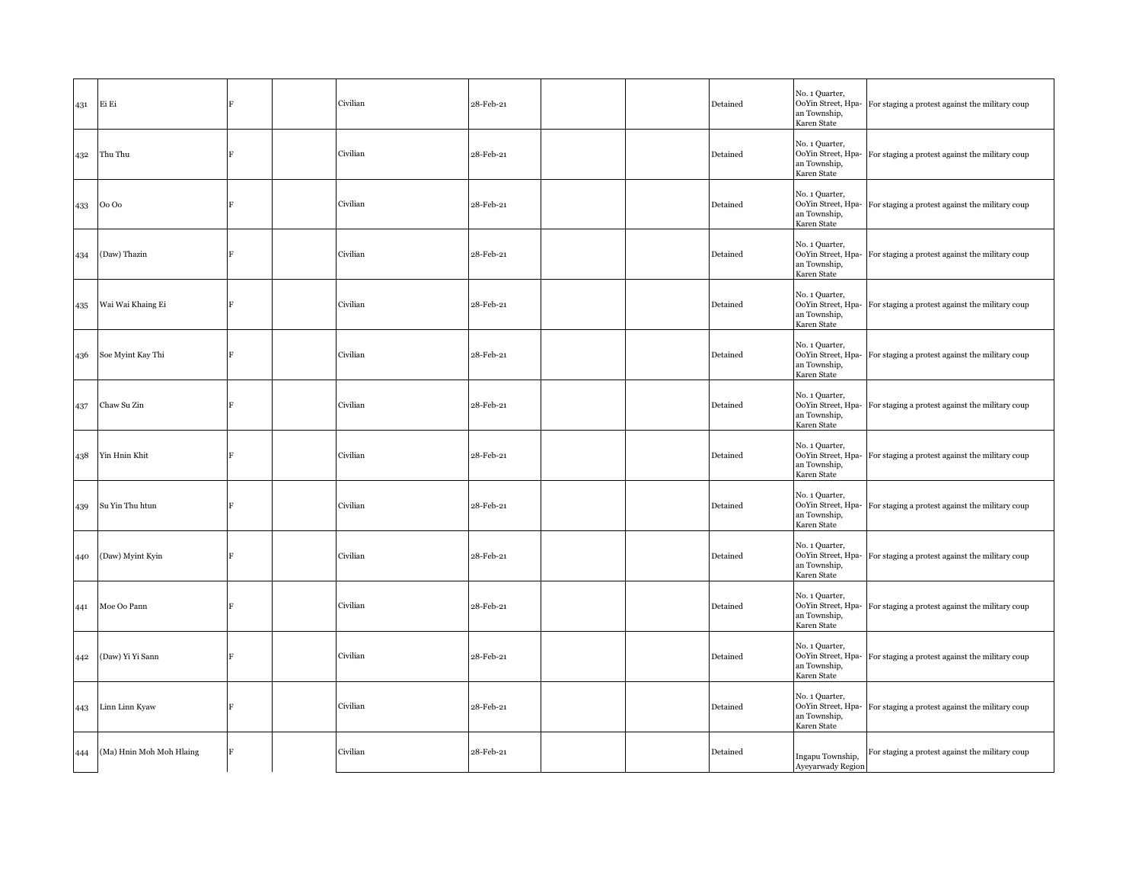| 431 | Ei Ei                    |  | Civilian | 28-Feb-21 |  | Detained | No. 1 Quarter,<br>an Township,<br>Karen State | OoYin Street, Hpa- For staging a protest against the military coup |
|-----|--------------------------|--|----------|-----------|--|----------|-----------------------------------------------|--------------------------------------------------------------------|
| 432 | Thu Thu                  |  | Civilian | 28-Feb-21 |  | Detained | No. 1 Quarter,<br>an Township,<br>Karen State | OoYin Street, Hpa- For staging a protest against the military coup |
| 433 | Oo Oo                    |  | Civilian | 28-Feb-21 |  | Detained | No. 1 Quarter,<br>an Township,<br>Karen State | OoYin Street, Hpa- For staging a protest against the military coup |
| 434 | (Daw) Thazin             |  | Civilian | 28-Feb-21 |  | Detained | No. 1 Quarter,<br>an Township,<br>Karen State | OoYin Street, Hpa- For staging a protest against the military coup |
| 435 | Wai Wai Khaing Ei        |  | Civilian | 28-Feb-21 |  | Detained | No. 1 Quarter,<br>an Township,<br>Karen State | OoYin Street, Hpa- For staging a protest against the military coup |
| 436 | Soe Myint Kay Thi        |  | Civilian | 28-Feb-21 |  | Detained | No. 1 Quarter,<br>an Township,<br>Karen State | OoYin Street, Hpa-For staging a protest against the military coup  |
| 437 | Chaw Su Zin              |  | Civilian | 28-Feb-21 |  | Detained | No. 1 Quarter,<br>an Township,<br>Karen State | OoYin Street, Hpa- For staging a protest against the military coup |
| 438 | Yin Hnin Khit            |  | Civilian | 28-Feb-21 |  | Detained | No. 1 Quarter,<br>an Township,<br>Karen State | OoYin Street, Hpa- For staging a protest against the military coup |
| 439 | Su Yin Thu htun          |  | Civilian | 28-Feb-21 |  | Detained | No. 1 Quarter,<br>an Township,<br>Karen State | OoYin Street, Hpa- For staging a protest against the military coup |
| 440 | (Daw) Myint Kyin         |  | Civilian | 28-Feb-21 |  | Detained | No. 1 Quarter,<br>an Township,<br>Karen State | OoYin Street, Hpa- For staging a protest against the military coup |
| 441 | Moe Oo Pann              |  | Civilian | 28-Feb-21 |  | Detained | No. 1 Quarter,<br>an Township,<br>Karen State | OoYin Street, Hpa- For staging a protest against the military coup |
| 442 | (Daw) Yi Yi Sann         |  | Civilian | 28-Feb-21 |  | Detained | No. 1 Quarter,<br>an Township,<br>Karen State | OoYin Street, Hpa- For staging a protest against the military coup |
| 443 | Linn Linn Kyaw           |  | Civilian | 28-Feb-21 |  | Detained | No. 1 Quarter,<br>an Township,<br>Karen State | OoYin Street, Hpa- For staging a protest against the military coup |
| 444 | (Ma) Hnin Moh Moh Hlaing |  | Civilian | 28-Feb-21 |  | Detained | Ingapu Township,<br>Ayeyarwady Region         | For staging a protest against the military coup                    |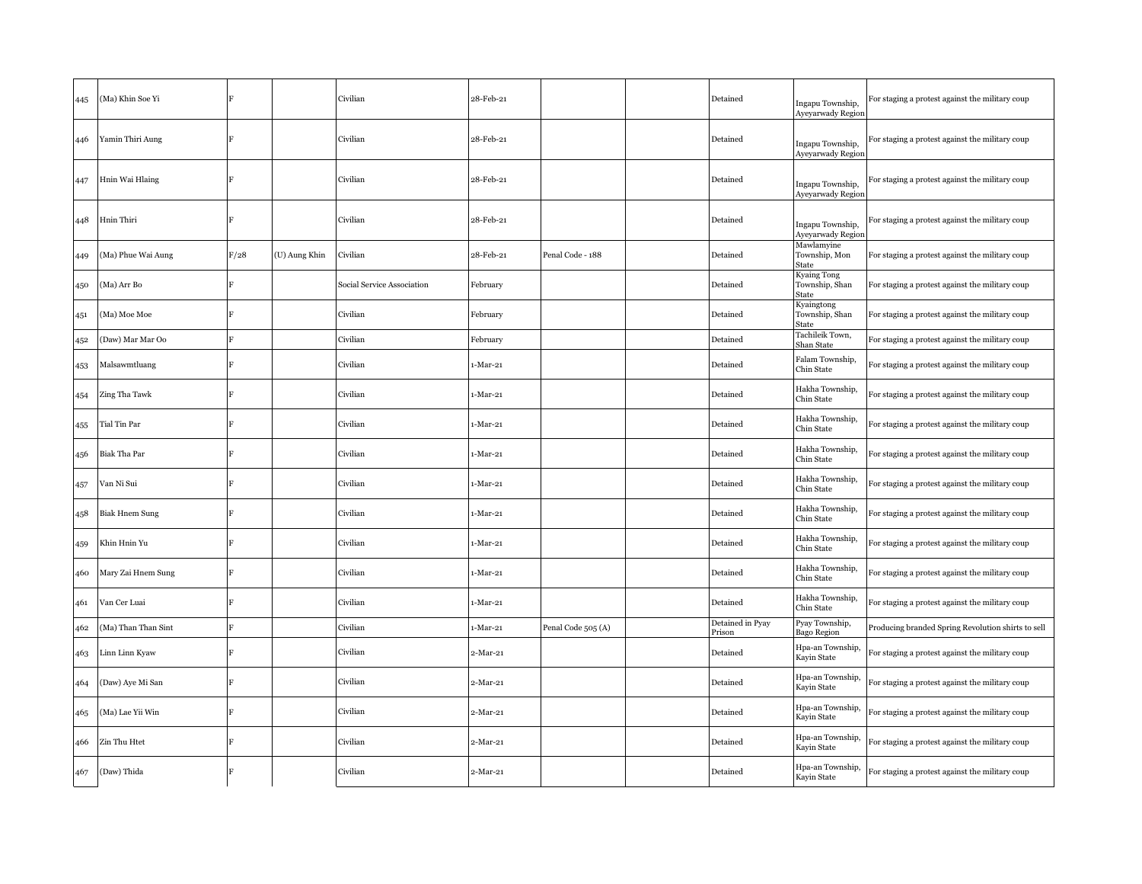| 445 | (Ma) Khin Soe Yi      |      |               | Civilian                   | 28-Feb-21  |                    | Detained                   | Ingapu Township,<br>Ayeyarwady Region        | For staging a protest against the military coup    |
|-----|-----------------------|------|---------------|----------------------------|------------|--------------------|----------------------------|----------------------------------------------|----------------------------------------------------|
| 446 | Yamin Thiri Aung      |      |               | Civilian                   | 28-Feb-21  |                    | Detained                   | Ingapu Township,<br>Ayeyarwady Region        | For staging a protest against the military coup    |
| 447 | Hnin Wai Hlaing       |      |               | Civilian                   | 28-Feb-21  |                    | Detained                   | Ingapu Township,<br>Ayeyarwady Region        | For staging a protest against the military coup    |
| 148 | Hnin Thiri            |      |               | Civilian                   | 28-Feb-21  |                    | Detained                   | Ingapu Township,<br><b>Ayeyarwady Region</b> | For staging a protest against the military coup    |
| 449 | (Ma) Phue Wai Aung    | F/28 | (U) Aung Khin | Civilian                   | 28-Feb-21  | Penal Code - 188   | Detained                   | Mawlamyine<br>Township, Mon<br>State         | For staging a protest against the military coup    |
| 450 | (Ma) Arr Bo           |      |               | Social Service Association | February   |                    | Detained                   | Kyaing Tong<br>Township, Shan<br>State       | For staging a protest against the military coup    |
| 451 | (Ma) Moe Moe          |      |               | Civilian                   | February   |                    | Detained                   | Kyaingtong<br>Township, Shan<br>State        | For staging a protest against the military coup    |
| 452 | (Daw) Mar Mar Oo      |      |               | Civilian                   | February   |                    | Detained                   | Tachileik Town,<br>Shan State                | For staging a protest against the military coup    |
| 453 | Malsawmtluang         |      |               | Civilian                   | 1-Mar-21   |                    | Detained                   | Falam Township,<br>Chin State                | For staging a protest against the military coup    |
| 454 | Zing Tha Tawk         |      |               | Civilian                   | -Mar-21    |                    | Detained                   | Hakha Township,<br>Chin State                | For staging a protest against the military coup    |
| 455 | Tial Tin Par          |      |               | Civilian                   | 1-Mar-21   |                    | Detained                   | Hakha Township,<br>Chin State                | For staging a protest against the military coup    |
| 456 | Biak Tha Par          |      |               | Civilian                   | -Mar-21    |                    | Detained                   | Hakha Township,<br>Chin State                | For staging a protest against the military coup    |
| 457 | Van Ni Sui            |      |               | Civilian                   | 1-Mar-21   |                    | Detained                   | Hakha Township,<br>Chin State                | For staging a protest against the military coup    |
| 458 | <b>Biak Hnem Sung</b> |      |               | Civilian                   | -Mar-21    |                    | Detained                   | Hakha Township,<br>Chin State                | For staging a protest against the military coup    |
| 459 | Khin Hnin Yu          |      |               | Civilian                   | -Mar-21    |                    | Detained                   | Hakha Township,<br>Chin State                | For staging a protest against the military coup    |
| 460 | Mary Zai Hnem Sung    |      |               | Civilian                   | 1-Mar-21   |                    | Detained                   | Hakha Township,<br>Chin State                | For staging a protest against the military coup    |
| 461 | Van Cer Luai          |      |               | Civilian                   | $-Mar-21$  |                    | Detained                   | Hakha Township,<br>Chin State                | For staging a protest against the military coup    |
| 462 | (Ma) Than Than Sint   |      |               | Civilian                   | -Mar-21    | Penal Code 505 (A) | Detained in Pyay<br>Prison | Pyay Township,<br><b>Bago Region</b>         | Producing branded Spring Revolution shirts to sell |
| 463 | Linn Linn Kyaw        |      |               | Civilian                   | 2-Mar-21   |                    | Detained                   | Hpa-an Township,<br>Kayin State              | For staging a protest against the military coup    |
| 464 | (Daw) Aye Mi San      |      |               | Civilian                   | 2-Mar-21   |                    | Detained                   | Hpa-an Township,<br>Kayin State              | For staging a protest against the military coup    |
| 465 | (Ma) Lae Yii Win      |      |               | Civilian                   | 2-Mar-21   |                    | Detained                   | Hpa-an Township,<br>Kayin State              | For staging a protest against the military coup    |
| 466 | Zin Thu Htet          |      |               | Civilian                   | $2-Mar-21$ |                    | Detained                   | Hpa-an Township,<br>Kayin State              | For staging a protest against the military coup    |
| 467 | (Daw) Thida           |      |               | Civilian                   | 2-Mar-21   |                    | Detained                   | Hpa-an Township,<br>Kayin State              | For staging a protest against the military coup    |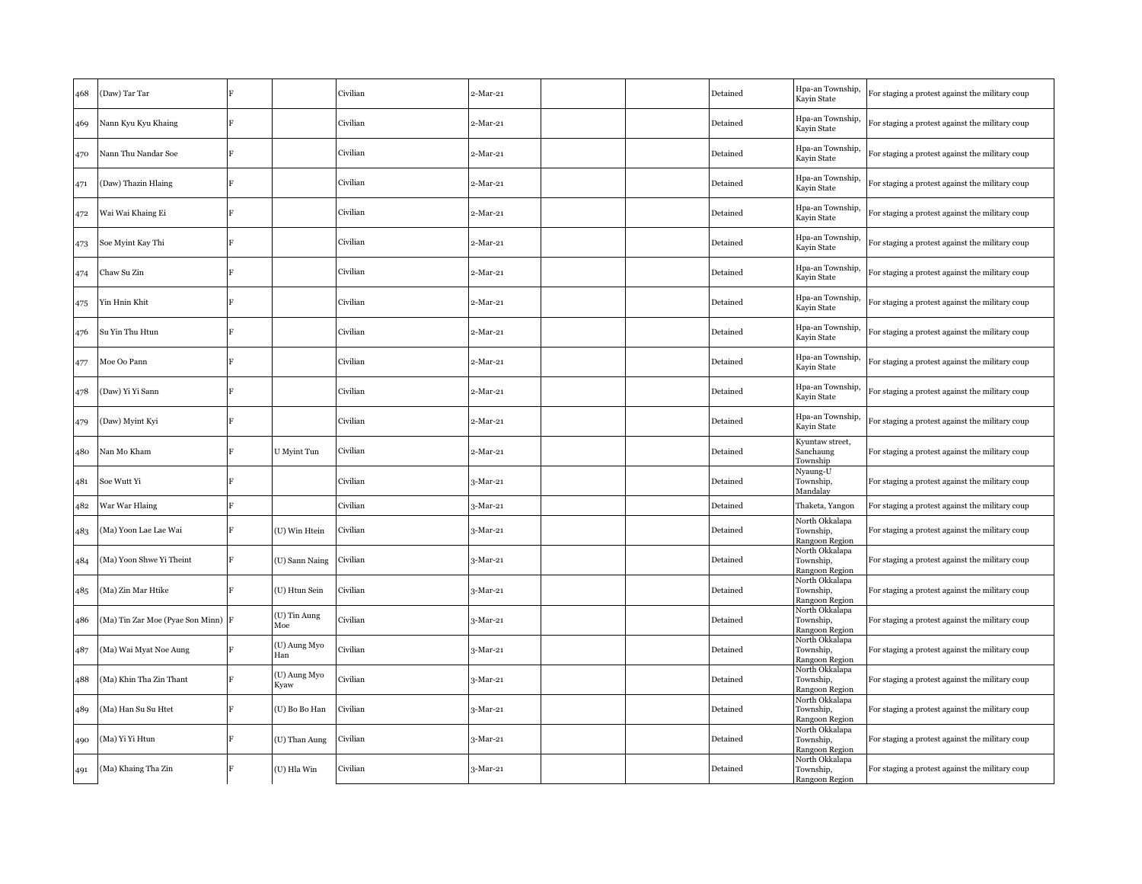| 468 | (Daw) Tar Tar                      |                      | Civilian | 2-Mar-21   |  | Detained | Hpa-an Township,<br>Kayin State               | For staging a protest against the military coup |
|-----|------------------------------------|----------------------|----------|------------|--|----------|-----------------------------------------------|-------------------------------------------------|
| 469 | Nann Kyu Kyu Khaing                |                      | Civilian | 2-Mar-21   |  | Detained | Hpa-an Township,<br>Kayin State               | For staging a protest against the military coup |
| 470 | Nann Thu Nandar Soe                |                      | Civilian | 2-Mar-21   |  | Detained | Hpa-an Township,<br>Kayin State               | For staging a protest against the military coup |
| 471 | (Daw) Thazin Hlaing                |                      | Civilian | 2-Mar-21   |  | Detained | Hpa-an Township,<br>Kayin State               | For staging a protest against the military coup |
| 472 | Wai Wai Khaing Ei                  |                      | Civilian | 2-Mar-21   |  | Detained | Hpa-an Township,<br>Kayin State               | For staging a protest against the military coup |
| 473 | Soe Myint Kay Thi                  |                      | Civilian | 2-Mar-21   |  | Detained | Hpa-an Township,<br>Kayin State               | For staging a protest against the military coup |
| 474 | Chaw Su Zin                        |                      | Civilian | 2-Mar-21   |  | Detained | Hpa-an Township,<br>Kayin State               | For staging a protest against the military coup |
| 475 | Yin Hnin Khit                      |                      | Civilian | 2-Mar-21   |  | Detained | Hpa-an Township,<br>Kayin State               | For staging a protest against the military coup |
| 476 | Su Yin Thu Htun                    |                      | Civilian | 2-Mar-21   |  | Detained | Hpa-an Township,<br>Kayin State               | For staging a protest against the military coup |
| 477 | Moe Oo Pann                        |                      | Civilian | 2-Mar-21   |  | Detained | Hpa-an Township,<br>Kayin State               | For staging a protest against the military coup |
| 478 | (Daw) Yi Yi Sann                   |                      | Civilian | 2-Mar-21   |  | Detained | Hpa-an Township,<br>Kayin State               | For staging a protest against the military coup |
| 479 | (Daw) Myint Kyi                    |                      | Civilian | 2-Mar-21   |  | Detained | Hpa-an Township,<br>Kayin State               | For staging a protest against the military coup |
| 480 | Nan Mo Kham                        | U Myint Tun          | Civilian | 2-Mar-21   |  | Detained | Kyuntaw street,<br>Sanchaung<br>Township      | For staging a protest against the military coup |
| 481 | Soe Wutt Yi                        |                      | Civilian | 3-Mar-21   |  | Detained | Nyaung-U<br>Township,<br>Mandalay             | For staging a protest against the military coup |
| 482 | War War Hlaing                     |                      | Civilian | $3-Mar-21$ |  | Detained | Thaketa, Yangon                               | For staging a protest against the military coup |
| 483 | (Ma) Yoon Lae Lae Wai              | (U) Win Htein        | Civilian | 3-Mar-21   |  | Detained | North Okkalapa<br>Township,<br>Rangoon Region | For staging a protest against the military coup |
| 484 | (Ma) Yoon Shwe Yi Theint           | (U) Sann Naing       | Civilian | $3-Mar-21$ |  | Detained | North Okkalapa<br>Township,<br>Rangoon Region | For staging a protest against the military coup |
| 485 | Ma) Zin Mar Htike                  | (U) Htun Sein        | Civilian | $3-Mar-21$ |  | Detained | North Okkalapa<br>Township,<br>Rangoon Region | For staging a protest against the military coup |
| 486 | (Ma) Tin Zar Moe (Pyae Son Minn) F | (U) Tin Aung<br>Moe  | Civilian | $3-Mar-21$ |  | Detained | North Okkalapa<br>Township,<br>Rangoon Region | For staging a protest against the military coup |
| 487 | (Ma) Wai Myat Noe Aung             | (U) Aung Myo<br>Han  | Civilian | $3-Mar-21$ |  | Detained | North Okkalapa<br>Township,<br>Rangoon Region | For staging a protest against the military coup |
| 188 | Ma) Khin Tha Zin Thant             | (U) Aung Myo<br>Kyaw | Civilian | 3-Mar-21   |  | Detained | North Okkalapa<br>Township,<br>Rangoon Region | For staging a protest against the military coup |
| 489 | (Ma) Han Su Su Htet                | (U) Bo Bo Han        | Civilian | 3-Mar-21   |  | Detained | North Okkalapa<br>Township,<br>Rangoon Region | For staging a protest against the military coup |
| 490 | (Ma) Yi Yi Htun                    | (U) Than Aung        | Civilian | 3-Mar-21   |  | Detained | North Okkalapa<br>Township,<br>Rangoon Region | For staging a protest against the military coup |
| 491 | (Ma) Khaing Tha Zin                | (U) Hla Win          | Civilian | 3-Mar-21   |  | Detained | North Okkalapa<br>Township,<br>Rangoon Region | For staging a protest against the military coup |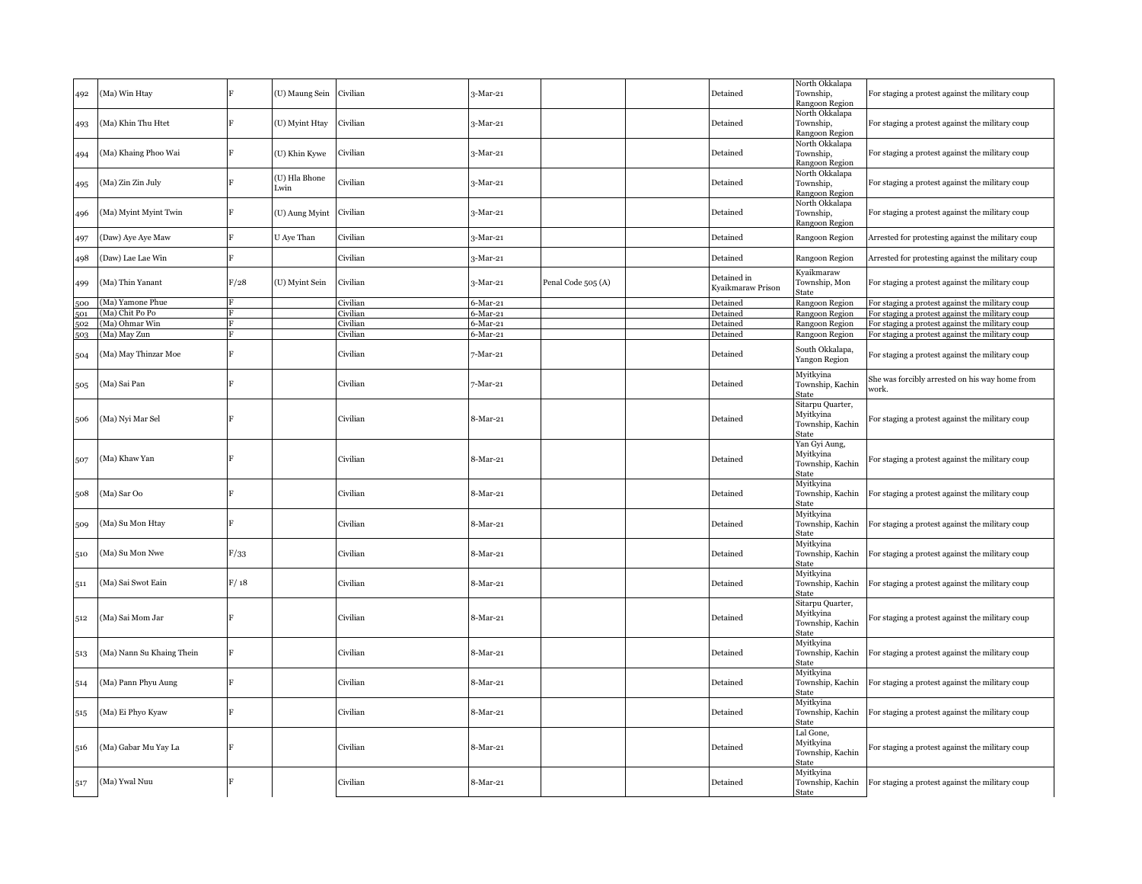| 492 | (Ma) Win Htay             |      | (U) Maung Sein        | Civilian | $3-Mar-21$  |                    | Detained                         | North Okkalapa<br>Township,<br>Rangoon Region                     | For staging a protest against the military coup                  |
|-----|---------------------------|------|-----------------------|----------|-------------|--------------------|----------------------------------|-------------------------------------------------------------------|------------------------------------------------------------------|
| 493 | (Ma) Khin Thu Htet        |      | (U) Myint Htay        | Civilian | 3-Mar-21    |                    | Detained                         | North Okkalapa<br>Township,<br>Rangoon Region                     | For staging a protest against the military coup                  |
| 494 | (Ma) Khaing Phoo Wai      |      | (U) Khin Kywe         | Civilian | 3-Mar-21    |                    | Detained                         | North Okkalapa<br>Township,<br>Rangoon Region                     | For staging a protest against the military coup                  |
| 495 | (Ma) Zin Zin July         |      | (U) Hla Bhone<br>Lwin | Civilian | $3-Mar-21$  |                    | Detained                         | North Okkalapa<br>Township,<br>Rangoon Region                     | For staging a protest against the military coup                  |
| 496 | (Ma) Myint Myint Twin     |      | (U) Aung Myint        | Civilian | 3-Mar-21    |                    | Detained                         | North Okkalapa<br>Township,<br>Rangoon Region                     | For staging a protest against the military coup                  |
| 497 | (Daw) Aye Aye Maw         |      | U Aye Than            | Civilian | 3-Mar-21    |                    | Detained                         | Rangoon Region                                                    | Arrested for protesting against the military coup                |
| 498 | (Daw) Lae Lae Win         |      |                       | Civilian | 3-Mar-21    |                    | Detained                         | Rangoon Region                                                    | Arrested for protesting against the military coup                |
| 499 | (Ma) Thin Yanant          | F/28 | (U) Myint Sein        | Civilian | 3-Mar-21    | Penal Code 505 (A) | Detained in<br>Kyaikmaraw Prison | Kyaikmaraw<br>Township, Mon<br>State                              | For staging a protest against the military coup                  |
| 500 | Ma) Yamone Phue           |      |                       | Civilian | $5$ -Mar-21 |                    | Detained                         | Rangoon Region                                                    | For staging a protest against the military coup                  |
| 501 | Ma) Chit Po Po            |      |                       | Civilian | $6$ -Mar-21 |                    | Detained                         | Rangoon Region                                                    | For staging a protest against the military coup                  |
| 502 | (Ma) Ohmar Win            |      |                       | Civilian | $5$ -Mar-21 |                    | Detained                         | Rangoon Region                                                    | For staging a protest against the military coup                  |
| 503 | Ma) May Zun               |      |                       | Civilian | $-Mar-21$   |                    | Detained                         | Rangoon Region                                                    | For staging a protest against the military coup                  |
| 504 | (Ma) May Thinzar Moe      |      |                       | Civilian | 7-Mar-21    |                    | Detained                         | South Okkalapa,<br>Yangon Region                                  | For staging a protest against the military coup                  |
| 505 | Ma) Sai Pan               |      |                       | Civilian | 7-Mar-21    |                    | Detained                         | Myitkyina<br>Township, Kachin<br>State                            | She was forcibly arrested on his way home from<br>work.          |
| 506 | (Ma) Nyi Mar Sel          |      |                       | Civilian | 8-Mar-21    |                    | Detained                         | Sitarpu Quarter,<br>Myitkyina<br>Township, Kachin<br><b>State</b> | For staging a protest against the military coup                  |
| 507 | (Ma) Khaw Yan             |      |                       | Civilian | 8-Mar-21    |                    | Detained                         | Yan Gyi Aung,<br>Myitkyina<br>Township, Kachin<br>State           | For staging a protest against the military coup                  |
| 508 | (Ma) Sar Oo               |      |                       | Civilian | 8-Mar-21    |                    | Detained                         | Myitkyina<br>Township, Kachin<br><b>State</b>                     | For staging a protest against the military coup                  |
| 509 | Ma) Su Mon Htay           |      |                       | Civilian | 8-Mar-21    |                    | Detained                         | Myitkyina<br>Township, Kachin<br>State                            | For staging a protest against the military coup                  |
| 510 | (Ma) Su Mon Nwe           | F/33 |                       | Civilian | 8-Mar-21    |                    | Detained                         | Myitkyina<br>Township, Kachin<br>State                            | For staging a protest against the military coup                  |
| 511 | (Ma) Sai Swot Eain        | F/18 |                       | Civilian | 8-Mar-21    |                    | Detained                         | Myitkyina<br>Township, Kachin<br>State                            | For staging a protest against the military coup                  |
| 512 | (Ma) Sai Mom Jar          |      |                       | Civilian | 8-Mar-21    |                    | Detained                         | Sitarpu Quarter,<br>Myitkyina<br>Township, Kachin<br>State        | For staging a protest against the military coup                  |
| 513 | (Ma) Nann Su Khaing Thein |      |                       | Civilian | 8-Mar-21    |                    | Detained                         | Myitkyina<br>Township, Kachin<br>State                            | For staging a protest against the military coup                  |
| 514 | (Ma) Pann Phyu Aung       |      |                       | Civilian | 8-Mar-21    |                    | Detained                         | Myitkyina<br>Township, Kachin<br>State                            | For staging a protest against the military coup                  |
| 515 | (Ma) Ei Phyo Kyaw         |      |                       | Civilian | 8-Mar-21    |                    | Detained                         | Myitkyina<br>Township, Kachin<br>State                            | For staging a protest against the military coup                  |
| 516 | (Ma) Gabar Mu Yay La      |      |                       | Civilian | 8-Mar-21    |                    | Detained                         | Lal Gone,<br>Myitkyina<br>Township, Kachin<br>State               | For staging a protest against the military coup                  |
| 517 | (Ma) Ywal Nuu             |      |                       | Civilian | 8-Mar-21    |                    | Detained                         | Myitkyina<br>State                                                | Township, Kachin For staging a protest against the military coup |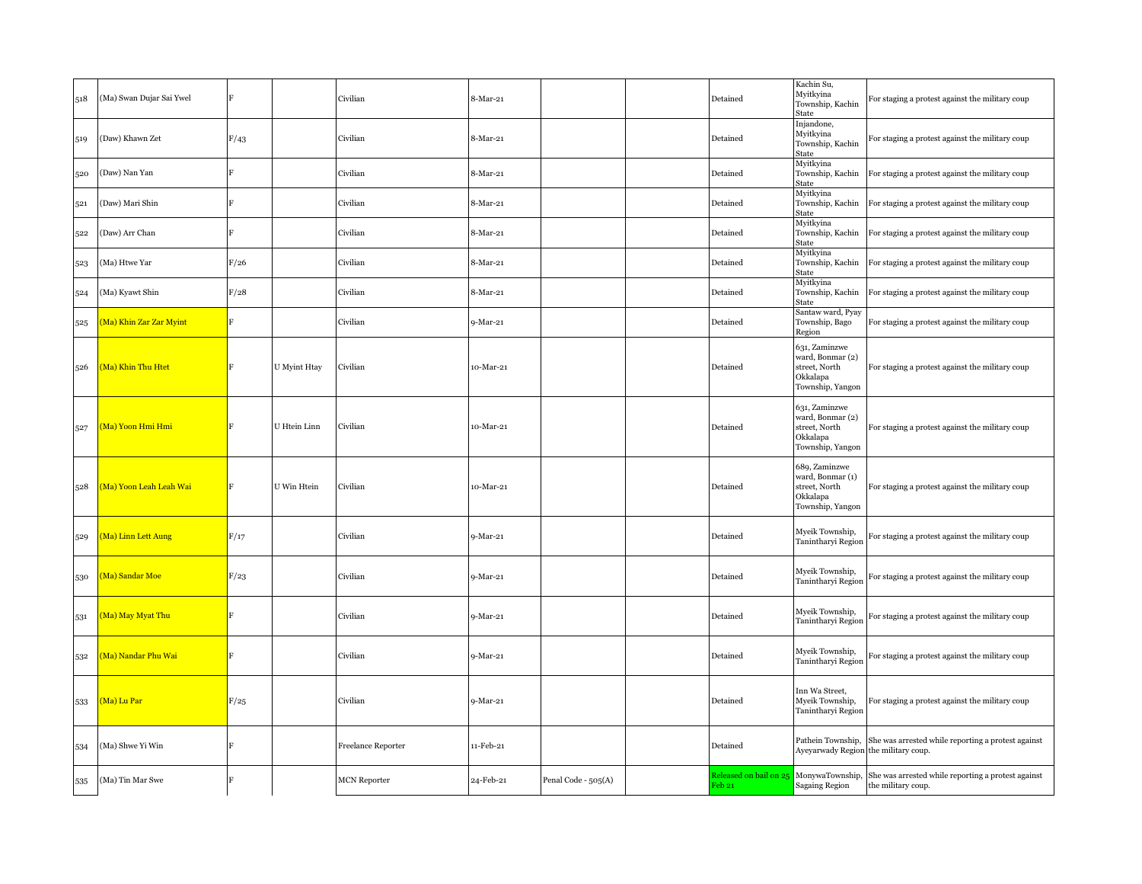| 518 | (Ma) Swan Dujar Sai Ywel      |      |                     | Civilian                  | 8-Mar-21   |                     | Detained                                              | Kachin Su,<br>Myitkyina<br>Township, Kachin<br>State                               | For staging a protest against the military coup                          |
|-----|-------------------------------|------|---------------------|---------------------------|------------|---------------------|-------------------------------------------------------|------------------------------------------------------------------------------------|--------------------------------------------------------------------------|
| 519 | (Daw) Khawn Zet               | F/43 |                     | Civilian                  | 8-Mar-21   |                     | Detained                                              | Injandone,<br>Myitkyina<br>Township, Kachin<br>State                               | For staging a protest against the military coup                          |
| 520 | (Daw) Nan Yan                 |      |                     | Civilian                  | 8-Mar-21   |                     | Detained                                              | Myitkyina<br>Township, Kachin<br>State                                             | For staging a protest against the military coup                          |
| 521 | (Daw) Mari Shin               |      |                     | Civilian                  | 8-Mar-21   |                     | Detained                                              | Myitkyina<br>Township, Kachin<br>State                                             | For staging a protest against the military coup                          |
| 522 | (Daw) Arr Chan                |      |                     | Civilian                  | 8-Mar-21   |                     | Detained                                              | Myitkyina<br>Township, Kachin<br>State                                             | For staging a protest against the military coup                          |
| 523 | (Ma) Htwe Yar                 | F/26 |                     | Civilian                  | 8-Mar-21   |                     | Detained                                              | Myitkyina<br>Township, Kachin<br>State                                             | For staging a protest against the military coup                          |
| 524 | (Ma) Kyawt Shin               | F/28 |                     | Civilian                  | 8-Mar-21   |                     | Detained                                              | Myitkyina<br>Township, Kachin<br>State                                             | For staging a protest against the military coup                          |
| 525 | Ma) Khin Zar Zar Myint        | E.   |                     | Civilian                  | $9-Mar-21$ |                     | Detained                                              | Santaw ward, Pyay<br>Township, Bago<br>Region                                      | For staging a protest against the military coup                          |
| 526 | Ma) Khin Thu Htet             | F    | <b>U</b> Myint Htay | Civilian                  | 10-Mar-21  |                     | Detained                                              | 631, Zaminzwe<br>ward, Bonmar (2)<br>street, North<br>Okkalapa<br>Township, Yangon | For staging a protest against the military coup                          |
| 527 | Ma) <mark>Yoon Hmi Hmi</mark> | E.   | U Htein Linn        | Civilian                  | 10-Mar-21  |                     | Detained                                              | 631, Zaminzwe<br>ward, Bonmar (2)<br>street, North<br>Okkalapa<br>Township, Yangon | For staging a protest against the military coup                          |
| 528 | Ma) Yoon Leah Leah Wai        | F    | U Win Htein         | Civilian                  | 10-Mar-21  |                     | Detained                                              | 689, Zaminzwe<br>ward, Bonmar (1)<br>street, North<br>Okkalapa<br>Township, Yangon | For staging a protest against the military coup                          |
| 529 | Ma) Linn Lett Aung            | F/17 |                     | Civilian                  | 9-Mar-21   |                     | Detained                                              | Myeik Township,<br>Tanintharyi Region                                              | For staging a protest against the military coup                          |
| 530 | Ma) Sandar Moe                | F/23 |                     | Civilian                  | $9-Mar-21$ |                     | Detained                                              | Myeik Township,<br>Tanintharyi Region                                              | For staging a protest against the military coup                          |
| 531 | Ma) May Myat Thu              |      |                     | Civilian                  | $9-Mar-21$ |                     | Detained                                              | Myeik Township,<br>Tanintharyi Regior                                              | For staging a protest against the military coup                          |
| 532 | Ma) Nandar Phu Wai            | E.   |                     | Civilian                  | 9-Mar-21   |                     | Detained                                              | Myeik Township,<br>Tanintharyi Region                                              | For staging a protest against the military coup                          |
| 533 | Ma) Lu Par                    | F/25 |                     | Civilian                  | 9-Mar-21   |                     | Detained                                              | Inn Wa Street,<br>Myeik Township,<br>Tanintharyi Region                            | For staging a protest against the military coup                          |
| 534 | (Ma) Shwe Yi Win              |      |                     | <b>Freelance Reporter</b> | 11-Feb-21  |                     | Detained                                              | Pathein Township,<br>Ayeyarwady Region the military coup.                          | She was arrested while reporting a protest against                       |
| 535 | (Ma) Tin Mar Swe              |      |                     | <b>MCN</b> Reporter       | 24-Feb-21  | Penal Code - 505(A) | Released on bail on 25<br>$\overline{\text{Feb}}\ 21$ | MonywaTownship,<br><b>Sagaing Region</b>                                           | She was arrested while reporting a protest against<br>the military coup. |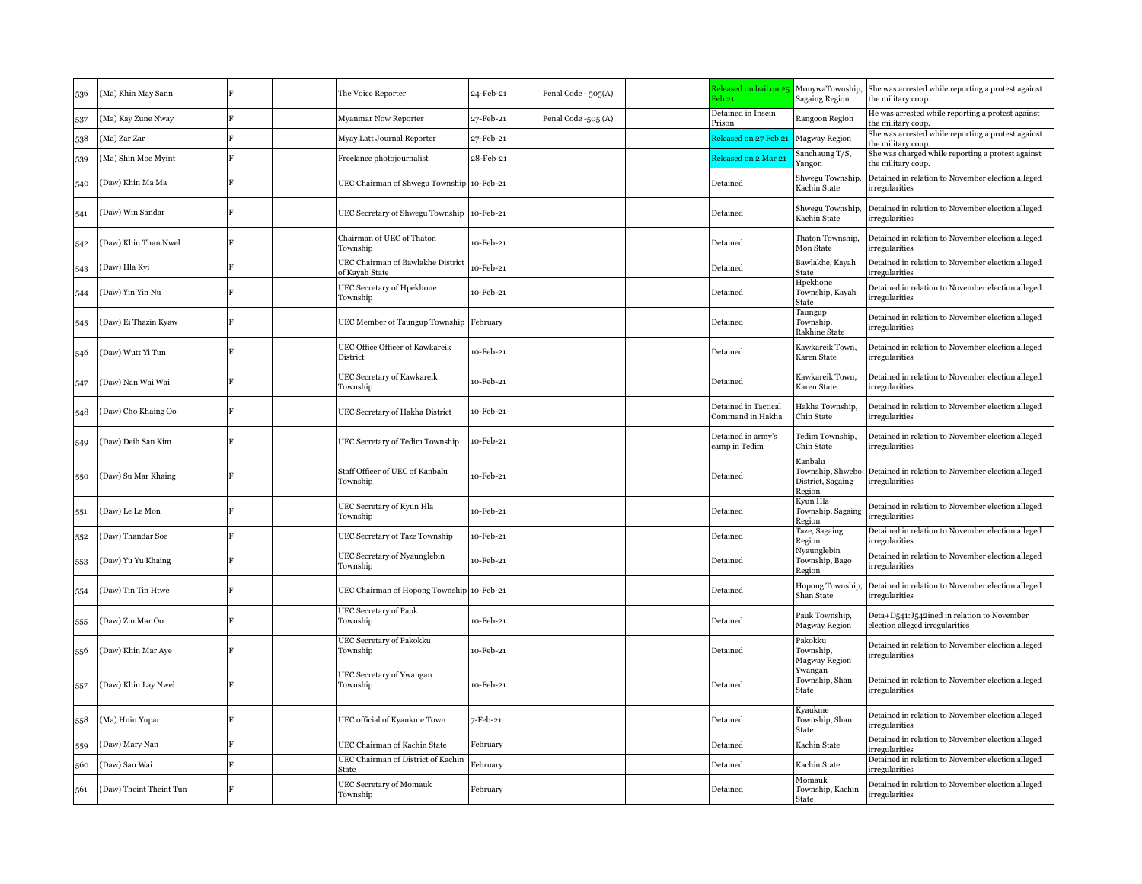| 536 | (Ma) Khin May Sann      |  | The Voice Reporter                                  | 24-Feb-21 | Penal Code - 505(A) | Released on bail on 25 MonywaTownship,<br>eb 21 | Sagaing Region                                             | She was arrested while reporting a protest against<br>the military coup.      |
|-----|-------------------------|--|-----------------------------------------------------|-----------|---------------------|-------------------------------------------------|------------------------------------------------------------|-------------------------------------------------------------------------------|
| 537 | (Ma) Kay Zune Nway      |  | <b>Myanmar Now Reporter</b>                         | 27-Feb-21 | Penal Code -505 (A) | Detained in Insein<br>Prison                    | Rangoon Region                                             | He was arrested while reporting a protest against<br>the military coup.       |
| 538 | (Ma) Zar Zar            |  | Myay Latt Journal Reporter                          | 27-Feb-21 |                     | Released on 27 Feb 21                           | Magway Region                                              | She was arrested while reporting a protest against<br>the military coup.      |
| 539 | Ma) Shin Moe Myint      |  | Freelance photojournalist                           | 28-Feb-21 |                     | Released on 2 Mar 21                            | Sanchaung T/S,<br>Yangon                                   | She was charged while reporting a protest against<br>he military coup.        |
| 540 | Daw) Khin Ma Ma         |  | UEC Chairman of Shwegu Township 10-Feb-21           |           |                     | Detained                                        | Shwegu Township,<br>Kachin State                           | Detained in relation to November election alleged<br>irregularities           |
| 541 | (Daw) Win Sandar        |  | UEC Secretary of Shwegu Township                    | 10-Feb-21 |                     | Detained                                        | Shwegu Township,<br>Kachin State                           | Detained in relation to November election alleged<br>rregularities            |
| 542 | (Daw) Khin Than Nwel    |  | Chairman of UEC of Thaton<br>Fownship               | 10-Feb-21 |                     | Detained                                        | Thaton Township,<br>Mon State                              | Detained in relation to November election alleged<br>rregularities            |
| 543 | Daw) Hla Kyi            |  | UEC Chairman of Bawlakhe District<br>of Kayah State | 10-Feb-21 |                     | Detained                                        | Bawlakhe, Kayah<br>State                                   | Detained in relation to November election alleged<br>rregularities            |
| 544 | (Daw) Yin Yin Nu        |  | UEC Secretary of Hpekhone<br>Township               | 10-Feb-21 |                     | Detained                                        | Hpekhone<br>Township, Kayah<br>State                       | Detained in relation to November election alleged<br>rregularities            |
| 545 | (Daw) Ei Thazin Kyaw    |  | UEC Member of Taungup Township                      | February  |                     | Detained                                        | Taungup<br>Township,<br>Rakhine State                      | Detained in relation to November election alleged<br>rregularities            |
| 546 | Daw) Wutt Yi Tun        |  | UEC Office Officer of Kawkareik<br>District         | 10-Feb-21 |                     | Detained                                        | Kawkareik Town,<br>Karen State                             | Detained in relation to November election alleged<br>rregularities            |
| 547 | (Daw) Nan Wai Wai       |  | UEC Secretary of Kawkareik<br>Township              | 10-Feb-21 |                     | Detained                                        | Kawkareik Town,<br>Karen State                             | Detained in relation to November election alleged<br>rregularities            |
| 548 | (Daw) Cho Khaing Oo     |  | UEC Secretary of Hakha District                     | 10-Feb-21 |                     | Detained in Tactical<br>Command in Hakha        | Hakha Township,<br>Chin State                              | Detained in relation to November election alleged<br>rregularities            |
| 549 | (Daw) Deih San Kim      |  | UEC Secretary of Tedim Township                     | 10-Feb-21 |                     | Detained in army's<br>camp in Tedim             | Tedim Township,<br>Chin State                              | Detained in relation to November election alleged<br>rregularities            |
| 550 | (Daw) Su Mar Khaing     |  | Staff Officer of UEC of Kanbalu<br>Township         | 10-Feb-21 |                     | Detained                                        | Kanbalu<br>Township, Shwebo<br>District, Sagaing<br>Region | Detained in relation to November election alleged<br>irregularities           |
| 551 | (Daw) Le Le Mon         |  | UEC Secretary of Kyun Hla<br>Fownship               | 10-Feb-21 |                     | Detained                                        | Kyun Hla<br>Township, Sagaing<br>Region                    | Detained in relation to November election alleged<br>irregularities           |
| 552 | Daw) Thandar Soe        |  | UEC Secretary of Taze Township                      | 10-Feb-21 |                     | Detained                                        | Taze, Sagaing<br>Region                                    | Detained in relation to November election alleged<br>rregularities            |
| 553 | (Daw) Yu Yu Khaing      |  | UEC Secretary of Nyaunglebin<br>Township            | 10-Feb-21 |                     | Detained                                        | Nyaunglebin<br>Township, Bago<br>Region                    | Detained in relation to November election alleged<br>irregularities           |
| 554 | (Daw) Tin Tin Htwe      |  | UEC Chairman of Hopong Township 10-Feb-21           |           |                     | Detained                                        | Hopong Township,<br>Shan State                             | Detained in relation to November election alleged<br>rregularities            |
| 555 | (Daw) Zin Mar Oo        |  | <b>UEC Secretary of Pauk</b><br>Township            | 10-Feb-21 |                     | Detained                                        | Pauk Township,<br>Magway Region                            | Deta+D541:J542ined in relation to November<br>election alleged irregularities |
| 556 | (Daw) Khin Mar Aye      |  | UEC Secretary of Pakokku<br>Fownship                | 10-Feb-21 |                     | Detained                                        | Pakokku<br>Township,<br>Magway Region                      | Detained in relation to November election alleged<br>rregularities            |
| 557 | (Daw) Khin Lay Nwel     |  | UEC Secretary of Ywangan<br>Township                | 10-Feb-21 |                     | Detained                                        | Ywangan<br>Township, Shan<br>State                         | Detained in relation to November election alleged<br>irregularities           |
| 558 | (Ma) Hnin Yupar         |  | UEC official of Kyaukme Town                        | -Feb-21   |                     | Detained                                        | Kyaukme<br>Township, Shan<br>State                         | Detained in relation to November election alleged<br>irregularities           |
| 559 | [Daw) Mary Nan          |  | UEC Chairman of Kachin State                        | February  |                     | Detained                                        | Kachin State                                               | Detained in relation to November election alleged<br>rregularities            |
| 560 | [Daw) San Wai           |  | UEC Chairman of District of Kachin<br>State         | February  |                     | Detained                                        | Kachin State                                               | Detained in relation to November election alleged<br>rregularities            |
| 561 | (Daw) Theint Theint Tun |  | <b>UEC Secretary of Momauk</b><br>Township          | February  |                     | Detained                                        | Momauk<br>Township, Kachin<br>State                        | Detained in relation to November election alleged<br>irregularities           |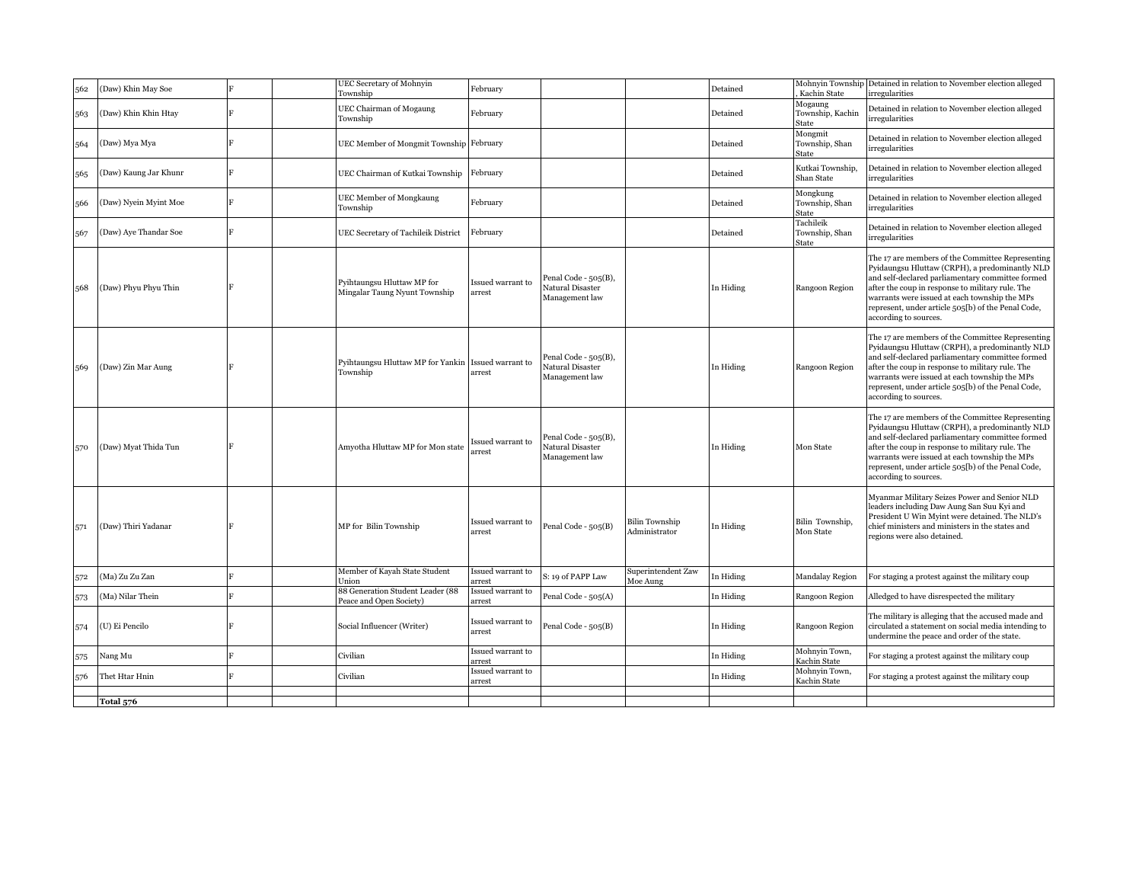| 562 | (Daw) Khin May Soe    |  | UEC Secretary of Mohnyin<br>Township                        | February                           |                                                                   |                                        | Detained  | Mohnyin Township<br>Kachin State     | Detained in relation to November election alleged<br>irregularities                                                                                                                                                                                                                                                                        |
|-----|-----------------------|--|-------------------------------------------------------------|------------------------------------|-------------------------------------------------------------------|----------------------------------------|-----------|--------------------------------------|--------------------------------------------------------------------------------------------------------------------------------------------------------------------------------------------------------------------------------------------------------------------------------------------------------------------------------------------|
| 563 | (Daw) Khin Khin Htay  |  | UEC Chairman of Mogaung<br>Fownship                         | February                           |                                                                   |                                        | Detained  | Mogaung<br>Township, Kachin<br>State | Detained in relation to November election alleged<br>irregularities                                                                                                                                                                                                                                                                        |
| 564 | (Daw) Mya Mya         |  | UEC Member of Mongmit Township February                     |                                    |                                                                   |                                        | Detained  | Mongmit<br>Township, Shan<br>State   | Detained in relation to November election alleged<br>irregularities                                                                                                                                                                                                                                                                        |
| 565 | (Daw) Kaung Jar Khunr |  | UEC Chairman of Kutkai Township                             | February                           |                                                                   |                                        | Detained  | Kutkai Township,<br>Shan State       | Detained in relation to November election alleged<br>irregularities                                                                                                                                                                                                                                                                        |
| 566 | (Daw) Nyein Myint Moe |  | UEC Member of Mongkaung<br>Township                         | February                           |                                                                   |                                        | Detained  | Mongkung<br>Township, Shan<br>State  | Detained in relation to November election alleged<br>irregularities                                                                                                                                                                                                                                                                        |
| 567 | (Daw) Aye Thandar Soe |  | UEC Secretary of Tachileik District                         | February                           |                                                                   |                                        | Detained  | Tachileik<br>Township, Shan<br>State | Detained in relation to November election alleged<br>irregularities                                                                                                                                                                                                                                                                        |
| 568 | (Daw) Phyu Phyu Thin  |  | Pyihtaungsu Hluttaw MP for<br>Mingalar Taung Nyunt Township | Issued warrant to<br>arrest        | Penal Code - 505(B),<br>Vatural Disaster<br>Management law        |                                        | In Hiding | Rangoon Region                       | The 17 are members of the Committee Representing<br>Pyidaungsu Hluttaw (CRPH), a predominantly NLD<br>and self-declared parliamentary committee formed<br>after the coup in response to military rule. The<br>warrants were issued at each township the MPs<br>represent, under article 505[b) of the Penal Code,<br>according to sources. |
| 569 | (Daw) Zin Mar Aung    |  | Pyihtaungsu Hluttaw MP for Yankin<br>Township               | Issued warrant to<br>arrest        | Penal Code - 505(B),<br><b>Natural Disaster</b><br>Management law |                                        | In Hiding | Rangoon Region                       | The 17 are members of the Committee Representing<br>Pyidaungsu Hluttaw (CRPH), a predominantly NLD<br>and self-declared parliamentary committee formed<br>after the coup in response to military rule. The<br>warrants were issued at each township the MPs<br>represent, under article 505[b) of the Penal Code,<br>according to sources. |
| 570 | (Daw) Myat Thida Tun  |  | Amyotha Hluttaw MP for Mon state                            | Issued warrant to<br><b>arrest</b> | Penal Code - 505(B),<br><b>Natural Disaster</b><br>Management law |                                        | In Hiding | Mon State                            | The 17 are members of the Committee Representing<br>Pyidaungsu Hluttaw (CRPH), a predominantly NLD<br>and self-declared parliamentary committee formed<br>after the coup in response to military rule. The<br>warrants were issued at each township the MPs<br>represent, under article 505[b) of the Penal Code,<br>according to sources. |
| 571 | (Daw) Thiri Yadanar   |  | MP for Bilin Township                                       | Issued warrant to<br>arrest        | Penal Code - 505(B)                                               | <b>Bilin Township</b><br>Administrator | In Hiding | Bilin Township,<br>Mon State         | Myanmar Military Seizes Power and Senior NLD<br>leaders including Daw Aung San Suu Kyi and<br>President U Win Myint were detained. The NLD's<br>chief ministers and ministers in the states and<br>regions were also detained.                                                                                                             |
| 572 | (Ma) Zu Zu Zan        |  | Member of Kayah State Student<br>Union                      | Issued warrant to<br>arrest        | S: 19 of PAPP Law                                                 | Superintendent Zaw<br>Moe Aung         | In Hiding | Mandalay Region                      | For staging a protest against the military coup                                                                                                                                                                                                                                                                                            |
| 573 | (Ma) Nilar Thein      |  | 88 Generation Student Leader (88<br>Peace and Open Society) | Issued warrant to<br>urrest        | Penal Code - 505(A)                                               |                                        | In Hiding | Rangoon Region                       | Alledged to have disrespected the military                                                                                                                                                                                                                                                                                                 |
| 574 | (U) Ei Pencilo        |  | Social Influencer (Writer)                                  | Issued warrant to<br>arrest        | Penal Code - 505(B)                                               |                                        | In Hiding | Rangoon Region                       | The military is alleging that the accused made and<br>circulated a statement on social media intending to<br>undermine the peace and order of the state.                                                                                                                                                                                   |
| 575 | Nang Mu               |  | Civilian                                                    | Issued warrant to<br>rrest         |                                                                   |                                        | In Hiding | Mohnyin Town,<br>Kachin State        | For staging a protest against the military coup                                                                                                                                                                                                                                                                                            |
| 576 | Thet Htar Hnin        |  | Civilian                                                    | Issued warrant to<br>arrest        |                                                                   |                                        | In Hiding | Mohnyin Town,<br>Kachin State        | For staging a protest against the military coup                                                                                                                                                                                                                                                                                            |
|     |                       |  |                                                             |                                    |                                                                   |                                        |           |                                      |                                                                                                                                                                                                                                                                                                                                            |
|     | Total 576             |  |                                                             |                                    |                                                                   |                                        |           |                                      |                                                                                                                                                                                                                                                                                                                                            |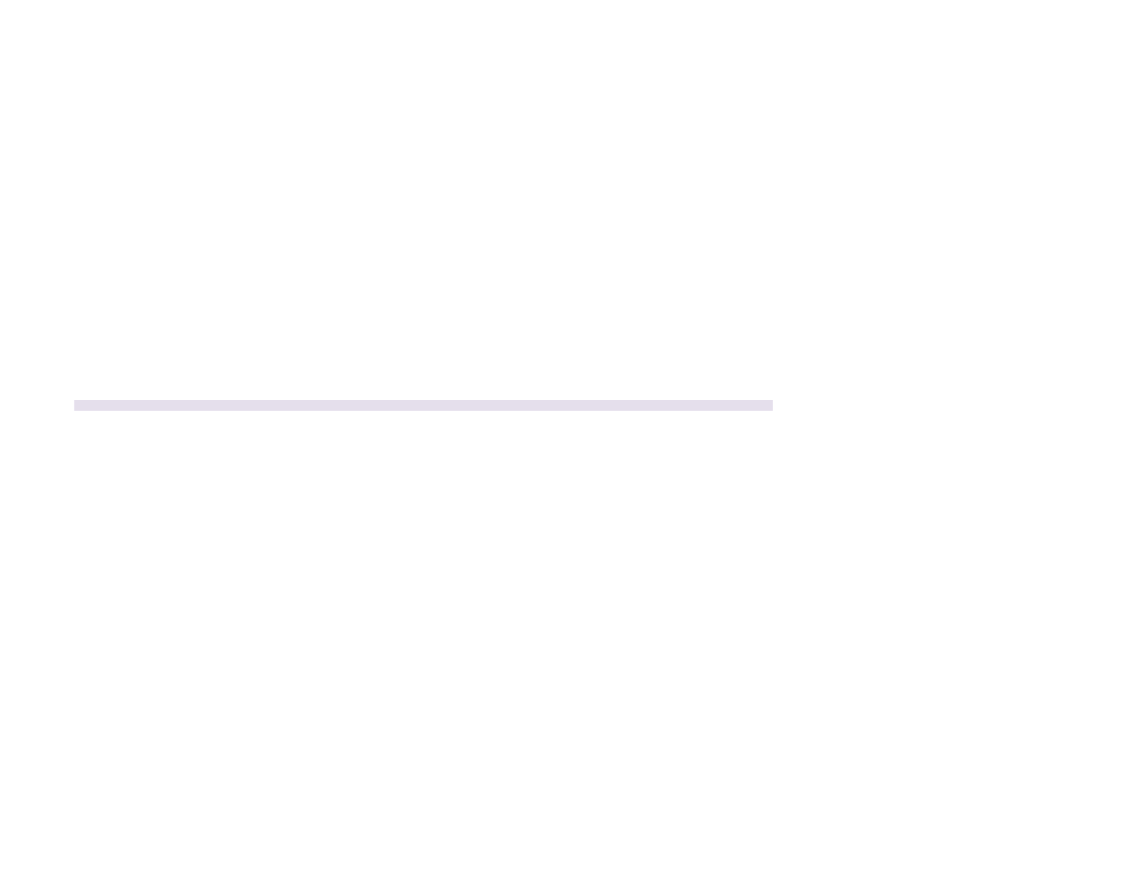a series and the series of the series of the series of the series of the series of the series of the series of